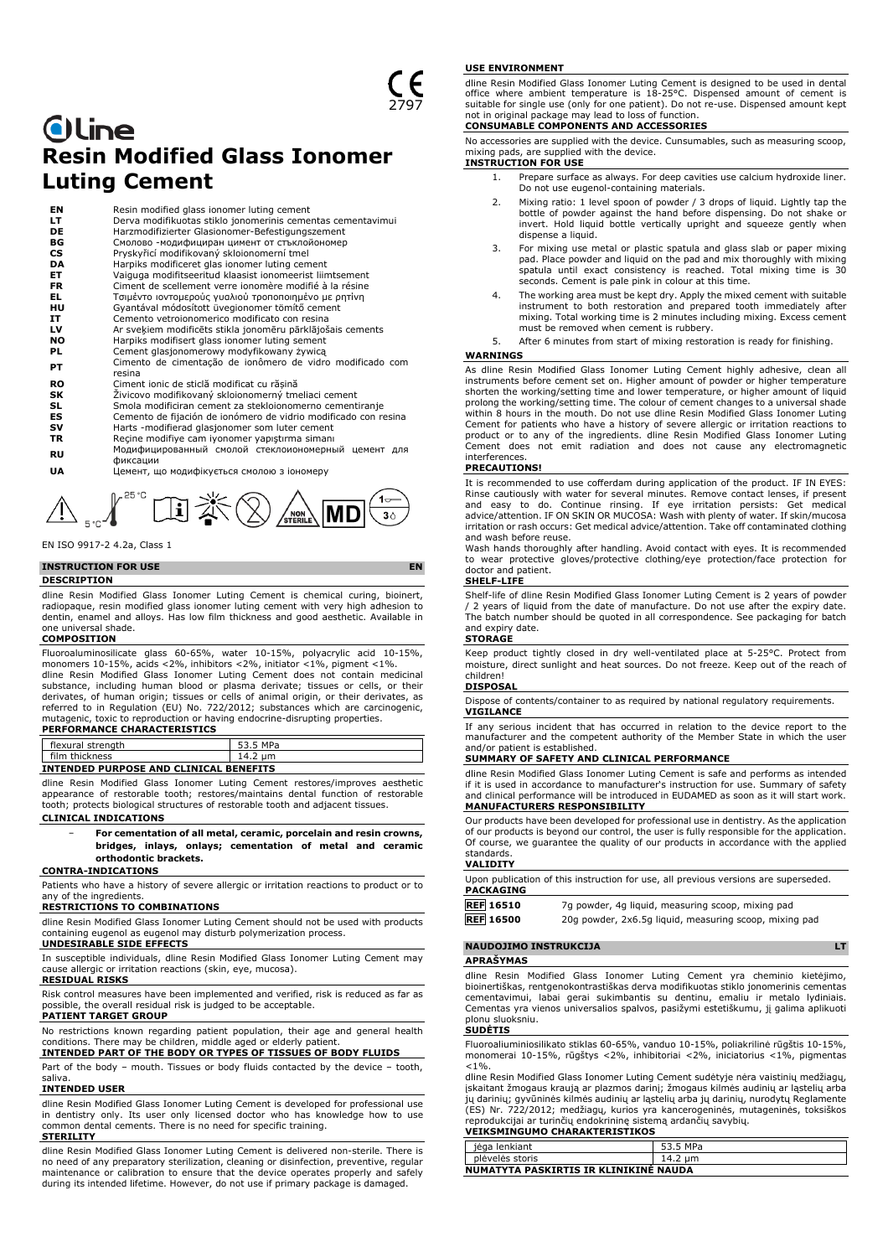# **Oline Resin Modified Glass Ionomer Luting Cement**

| EN        | Resin modified glass ionomer luting cement                          |
|-----------|---------------------------------------------------------------------|
| LT        | Derva modifikuotas stiklo jonomerinis cementas cementavimui         |
| DE        | Harzmodifizierter Glasionomer-Befestigungszement                    |
| BG        | Смолово -модифициран цимент от стъклойономер                        |
| <b>CS</b> | Pryskyřicí modifikovaný skloionomerní tmel                          |
| DA        | Harpiks modificeret glas ionomer luting cement                      |
| ET        | Vaiguga modifitseeritud klaasist ionomeerist liimtsement            |
| <b>FR</b> | Ciment de scellement verre jonomère modifié à la résine             |
| EL.       | Τσιμέντο ιοντομερούς γυαλιού τροποποιημένο με ρητίνη                |
| HU        | Gyantával módosított üvegionomer tömítő cement                      |
| IT        | Cemento vetroionomerico modificato con resina                       |
| LV        | Ar sveķiem modificēts stikla jonomēru pārklājošais cements          |
| NO.       | Harpiks modifisert glass ionomer luting sement                      |
| PL        | Cement glasjonomerowy modyfikowany żywicą                           |
| PT        | Cimento de cimentação de ionômero de vidro modificado com<br>resina |
| <b>RO</b> | Ciment ionic de sticlă modificat cu răsină                          |
| SΚ        | Živicovo modifikovaný skloionomerný tmeliaci cement                 |
| SL        | Smola modificiran cement za stekloionomerno cementiranje            |
| ES        | Cemento de fijación de ionómero de vidrio modificado con resina     |
| sv        | Harts -modifierad glasjonomer som luter cement                      |
| TR        | Recine modifiye cam iyonomer yapıştırma simanı                      |
|           | Модифицированный смолой стеклоиономерный цемент для                 |
| RU        | фиксации                                                            |
| UA        | Цемент, що модифікується смолою з іономеру                          |

EN ISO 9917-2 4.2a, Class 1

**INSTRUCTION FOR USE EN**

## **DESCRIPTION**

dline Resin Modified Glass Ionomer Luting Cement is chemical curing, bioinert, radiopaque, resin modified glass ionomer luting cement with very high adhesion to dentin, enamel and alloys. Has low film thickness and good aesthetic. Available in one universal shade.

 $\Lambda_{\rm sc}f^{\rm acc}$  H  $\rm K\otimes\Lambda_{\rm sc}$ 

### **COMPOSITION**

Fluoroaluminosilicate glass 60-65%, water 10-15%, polyacrylic acid 10-15%, monomers 10-15%, acids <2%, inhibitors <2%, initiator <1%, pigment <1%. dline Resin Modified Glass Ionomer Luting Cement does not contain medicinal substance, including human blood or plasma derivate; tissues or cells, or their derivates, of human origin; tissues or cells of animal origin, or their derivates, as referred to in Regulation (EU) No. 722/2012; substances which are carcinogenic, mutagenic, toxic to reproduction or having endocrine-disrupting properties.

### **PERFORMANCE CHARACTERISTICS**

| INTENDED PURPOSE AND CLINICAL BENEFITS |
|----------------------------------------|
|                                        |
| film thickness<br>14.2 um              |
| flexural strength<br>53.5 MPa          |

dline Resin Modified Glass Ionomer Luting Cement restores/improves aesthetic appearance of restorable tooth; restores/maintains dental function of restorable tooth; protects biological structures of restorable tooth and adjacent tissues. **CLINICAL INDICATIONS**

### − **For cementation of all metal, ceramic, porcelain and resin crowns, bridges, inlays, onlays; cementation of metal and ceramic orthodontic brackets.**

### **CONTRA-INDICATIONS**

Patients who have a history of severe allergic or irritation reactions to product or to any of the ingredients

### **RESTRICTIONS TO COMBINATIONS**

dline Resin Modified Glass Ionomer Luting Cement should not be used with products containing eugenol as eugenol may disturb polymerization process.

# **UNDESIRABLE SIDE EFFECTS**

In susceptible individuals, dline Resin Modified Glass Ionomer Luting Cement may cause allergic or irritation reactions (skin, eye, mucosa).

# **RESIDUAL RISKS**

Risk control measures have been implemented and verified, risk is reduced as far as possible, the overall residual risk is judged to be acceptable.

### **PATIENT TARGET GROUP**

No restrictions known regarding patient population, their age and general health conditions. There may be children, middle aged or elderly patient.

# **INTENDED PART OF THE BODY OR TYPES OF TISSUES OF BODY FLUIDS**

Part of the body – mouth. Tissues or body fluids contacted by the device – tooth, saliva.

### **INTENDED USER**

dline Resin Modified Glass Ionomer Luting Cement is developed for professional use in dentistry only. Its user only licensed doctor who has knowledge how to use common dental cements. There is no need for specific training. **STERILITY**

dline Resin Modified Glass Ionomer Luting Cement is delivered non-sterile. There is no need of any preparatory sterilization, cleaning or disinfection, preventive, regular maintenance or calibration to ensure that the device operates properly and safely during its intended lifetime. However, do not use if primary package is damaged.

### **USE ENVIRONMENT**

dline Resin Modified Glass Ionomer Luting Cement is designed to be used in dental office where ambient temperature is 18-25°C. Dispensed amount of cement is suitable for single use (only for one patient). Do not re-use. Dispensed amount kept not in original package may lead to loss of function. **CONSUMABLE COMPONENTS AND ACCESSORIES**

No accessories are supplied with the device. Cunsumables, such as measuring scoop, mixing pads, are supplied with the device.

# **INSTRUCTION FOR USE**

- 1. Prepare surface as always. For deep cavities use calcium hydroxide liner. Do not use eugenol-containing materials.
- 2. Mixing ratio: 1 level spoon of powder / 3 drops of liquid. Lightly tap the bottle of powder against the hand before dispensing. Do not shake or invert. Hold liquid bottle vertically upright and squeeze gently when dispense a liquid.
- 3. For mixing use metal or plastic spatula and glass slab or paper mixing pad. Place powder and liquid on the pad and mix thoroughly with mixing spatula until exact consistency is reached. Total mixing time is 30 seconds. Cement is pale pink in colour at this time.
- 4. The working area must be kept dry. Apply the mixed cement with suitable instrument to both restoration and prepared tooth immediately after mixing. Total working time is 2 minutes including mixing. Excess cement must be removed when cement is rubbery.
- 5. After 6 minutes from start of mixing restoration is ready for finishing.

### **WARNINGS**

As dline Resin Modified Glass Ionomer Luting Cement highly adhesive, clean all instruments before cement set on. Higher amount of powder or higher temperature shorten the working/setting time and lower temperature, or higher amount of liquid prolong the working/setting time. The colour of cement changes to a universal shade within 8 hours in the mouth. Do not use dline Resin Modified Glass Ionomer Luting Cement for patients who have a history of severe allergic or irritation reactions to product or to any of the ingredients. dline Resin Modified Glass Ionomer Luting Cement does not emit radiation and does not cause any electromagnetic interferences.

### **PRECAUTIONS!**

It is recommended to use cofferdam during application of the product. IF IN EYES: Rinse cautiously with water for several minutes. Remove contact lenses, if present and easy to do. Continue rinsing. If eye irritation persists: Get medical advice/attention. IF ON SKIN OR MUCOSA: Wash with plenty of water. If skin/mucosa irritation or rash occurs: Get medical advice/attention. Take off contaminated clothing and wash before reuse.

Wash hands thoroughly after handling. Avoid contact with eyes. It is recommended to wear protective gloves/protective clothing/eye protection/face protection for doctor and patient.

## **SHELF-LIFE**

Shelf-life of dline Resin Modified Glass Ionomer Luting Cement is 2 years of powder / 2 years of liquid from the date of manufacture. Do not use after the expiry date. The batch number should be quoted in all correspondence. See packaging for batch and expiry date.

### **STORAGE**

Keep product tightly closed in dry well-ventilated place at 5-25°C. Protect from moisture, direct sunlight and heat sources. Do not freeze. Keep out of the reach of children!

## **DISPOSAL**

Dispose of contents/container to as required by national regulatory requirements. **VIGILANCE**

If any serious incident that has occurred in relation to the device report to the manufacturer and the competent authority of the Member State in which the user and/or patient is established.

# **SUMMARY OF SAFETY AND CLINICAL PERFORMANCE**

dline Resin Modified Glass Ionomer Luting Cement is safe and performs as intended if it is used in accordance to manufacturer's instruction for use. Summary of safety and clinical performance will be introduced in EUDAMED as soon as it will start work. **MANUFACTURERS RESPONSIBILITY**

Our products have been developed for professional use in dentistry. As the application of our products is beyond our control, the user is fully responsible for the application. Of course, we guarantee the quality of our products in accordance with the applied standards.

### **VALIDITY**

|                  | Upon publication of this instruction for use, all previous versions are superseded. |
|------------------|-------------------------------------------------------------------------------------|
| <b>PACKAGING</b> |                                                                                     |
| <b>REF</b> 16510 | 7q powder, 4q liquid, measuring scoop, mixing pad                                   |
| $F = F$          |                                                                                     |

**REF 16500** 20g powder, 2x6.5g liquid, measuring scoop, mixing pad

# **NAUDOJIMO INSTRUKCIJA LT**

# **APRAŠYMAS**

dline Resin Modified Glass Ionomer Luting Cement yra cheminio kietėjimo, bioinertiškas, rentgenokontrastiškas derva modifikuotas stiklo jonomerinis cementas cementavimui, labai gerai sukimbantis su dentinu, emaliu ir metalo lydiniais. Cementas yra vienos universalios spalvos, pasižymi estetiškumu, jį galima aplikuoti plonu sluoksniu.

### **SUDĖTIS**

Fluoroaliuminiosilikato stiklas 60-65%, vanduo 10-15%, poliakrilinė rūgštis 10-15%, monomerai 10-15%, rūgštys <2%, inhibitoriai <2%, iniciatorius <1%, pigmentas  $< 1\%$ .

dline Resin Modified Glass Ionomer Luting Cement sudėtyje nėra vaistinių medžiagų, įskaitant žmogaus kraują ar plazmos darinį; žmogaus kilmės audinių ar ląstelių arba jų darinių; gyvūninės kilmės audinių ar ląstelių arba jų darinių, nurodytų Reglamente<br>(ES) Nr. 722/2012; medžiagų, kurios yra kancerogeninės, mutageninės, toksiškos<br>reprodukcijai ar turinčių endokrininę sistemą ardančių sa **VEIKSMINGUMO CHARAKTERISTIKOS**

| jėga lenkiant                         | 53.5 MPa |
|---------------------------------------|----------|
| plėvelės storis                       | 14.2 um  |
| NUMATYTA PASKIRTIS IR KLINIKINE NAUDA |          |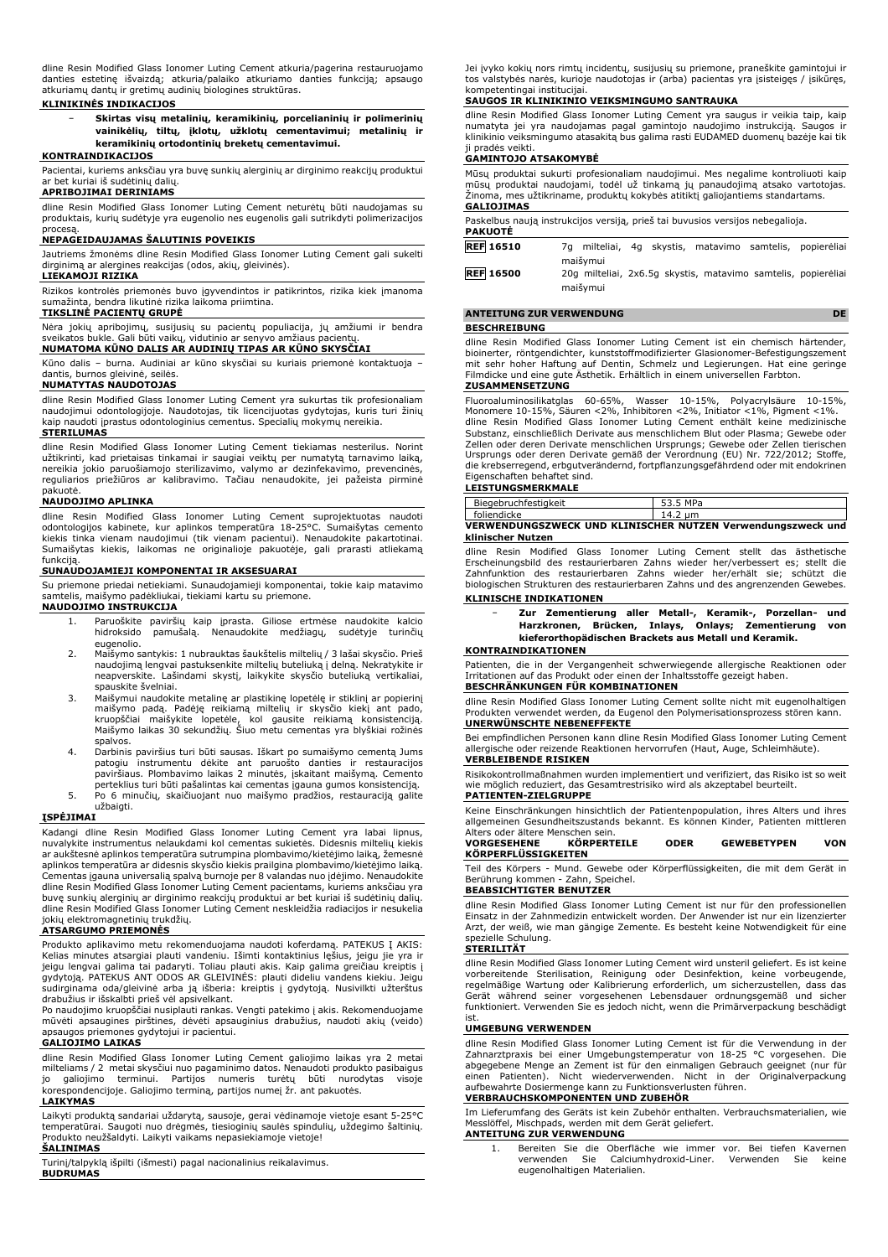dline Resin Modified Glass Ionomer Luting Cement atkuria/pagerina restauruojamo danties estetinę išvaizdą; atkuria/palaiko atkuriamo danties funkciją; apsaugo atkuriamų dantų ir gretimų audinių biologines struktūras.

## **KLINIKINĖS INDIKACIJOS**

− **Skirtas visų metalinių, keramikinių, porcelianinių ir polimerinių vainikėlių, tiltų, įklotų, užklotų cementavimui; metalinių ir keramikinių ortodontinių breketų cementavimui.**

# **KONTRAINDIKACIJOS**

Pacientai, kuriems anksčiau yra buvę sunkių alerginių ar dirginimo reakcijų produktui ar bet kuriai iš sudėtinių dalių.

# **APRIBOJIMAI DERINIAMS**

dline Resin Modified Glass Ionomer Luting Cement neturėtų būti naudojamas su produktais, kurių sudėtyje yra eugenolio nes eugenolis gali sutrikdyti polimerizacijos

# procesą. **NEPAGEIDAUJAMAS ŠALUTINIS POVEIKIS**

Jautriems žmonėms dline Resin Modified Glass Ionomer Luting Cement gali sukelti dirginimą ar alergines reakcijas (odos, akių, gleivinės). **LIEKAMOJI RIZIKA**

Rizikos kontrolės priemonės buvo įgyvendintos ir patikrintos, rizika kiek įmanoma sumažinta, bendra likutinė rizika laikoma priimtina.

### **TIKSLINĖ PACIENTŲ GRUPĖ**

Nėra jokių apribojimų, susijusių su pacientų populiacija, jų amžiumi ir bendra sveikatos bukle. Gali būti vaikų, vidutinio ar senyvo amžiaus pacientų.

# **NUMATOMA KŪNO DALIS AR AUDINIŲ TIPAS AR KŪNO SKYSČIAI**

Kūno dalis – burna. Audiniai ar kūno skysčiai su kuriais priemonė kontaktuoja – dantis, burnos gleivinė, seilės.

# **NUMATYTAS NAUDOTOJAS**

dline Resin Modified Glass Ionomer Luting Cement yra sukurtas tik profesionaliam naudojimui odontologijoje. Naudotojas, tik licencijuotas gydytojas, kuris turi žinių kaip naudoti įprastus odontologinius cementus. Specialių mokymų nereikia.

### **STERILUMAS**

dline Resin Modified Glass Ionomer Luting Cement tiekiamas nesterilus. Norint<br>užtikrinti, kad prietaisas tinkamai ir saugiai veiktų per numatytą tarnavimo laiką,<br>nereikia jokio paruošiamojo sterilizavimo, valymo ar dezinfe reguliarios priežiūros ar kalibravimo. Tačiau nenaudokite, jei pažeista pirminė

# pakuotė. **NAUDOJIMO APLINKA**

dline Resin Modified Glass Ionomer Luting Cement suprojektuotas naudoti odontologijos kabinete, kur aplinkos temperatūra 18-25°C. Sumaišytas cemento kiekis tinka vienam naudojimui (tik vienam pacientui). Nenaudokite pakartotinai. Sumaišytas kiekis, laikomas ne originalioje pakuotėje, gali prarasti atliekamą funkciją.

### **SUNAUDOJAMIEJI KOMPONENTAI IR AKSESUARAI**

Su priemone priedai netiekiami. Sunaudojamieji komponentai, tokie kaip matavimo samtelis, maišymo padėkliukai, tiekiami kartu su priemone. **NAUDOJIMO INSTRUKCIJA**

- 1. Paruoškite paviršių kaip įprasta. Giliose ertmėse naudokite kalcio hidroksido pamušalą. Nenaudokite medžiagų, sudėtyje turinčių eugenolio.
- 2. Maišymo santykis: 1 nubrauktas šaukštelis miltelių / 3 lašai skysčio. Prieš naudojimą lengvai pastuksenkite miltelių buteliuką į delną. Nekratykite ir neapverskite. Lašindami skystį, laikykite skysčio buteliuką vertikaliai, spauskite švelniai.
- 3. Maišymui naudokite metalinę ar plastikinę lopetėlę ir stiklinį ar popierinį<br>maišymo padą. Padėję reikiamą miltelių ir skysčio kiekį ant pado,<br>kruopščiai maišykite lopetėle, kol gausite reikiamą konsistenciją.<br>Maišymo la spalvos.
- 4. Darbinis paviršius turi būti sausas. Iškart po sumaišymo cementą Jums<br>patogiu instrumentu dėkite ant paruošto danties ir restauracijos<br>paviršiaus. Plombavimo laikas 2 minutės, įskaitant maišymą. Cemento<br>pertekliu
- 5. Po 6 minučių, skaičiuojant nuo maišymo pradžios, restauraciją galite užbaigti.

### **ĮSPĖJIMAI**

Kadangi dline Resin Modified Glass Ionomer Luting Cement yra labai lipnus, nuvalykite instrumentus nelaukdami kol cementas sukietės. Didesnis miltelių kiekis ar aukštesnė aplinkos temperatūra sutrumpina plombavimo/kietėjimo laiką, žemesnė aplinkos temperatūra ar didesnis skysčio kiekis prailgina plombavimo/kietėjimo laiką. Cementas įgauna universalią spalvą burnoje per 8 valandas nuo įdėjimo. Nenaudokite dline Resin Modified Glass Ionomer Luting Cement pacientams, kuriems anksčiau yra buvę sunkių alerginių ar dirginimo reakcijų produktui ar bet kuriai iš sudėtinių dalių. dline Resin Modified Glass Ionomer Luting Cement neskleidžia radiacijos ir nesukelia jokių elektromagnetinių trukdžių.

### **ATSARGUMO PRIEMONĖS**

Produkto aplikavimo metu rekomenduojama naudoti koferdamą. PATEKUS Į AKIS: Kelias minutes atsargiai plauti vandeniu. Išimti kontaktinius lęšius, jeigu jie yra ir jeigu lengvai galima tai padaryti. Toliau plauti akis. Kaip galima greičiau kreiptis į gydytoją. PATEKUS ANT ODOS AR GLEIVINĖS: plauti dideliu vandens kiekiu. Jeigu sudirginama oda/gleivinė arba ją išberia: kreiptis į gydytoją. Nusivilkti užterštus drabužius ir išskalbti prieš vėl apsivelkant. Po naudojimo kruopščiai nusiplauti rankas. Vengti patekimo į akis. Rekomenduojame

mūvėti apsaugines pirštines, dėvėti apsauginius drabužius, naudoti akių (veido) apsaugos priemones gydytojui ir pacientui.

# **GALIOJIMO LAIKAS**

dline Resin Modified Glass Ionomer Luting Cement galiojimo laikas yra 2 metai milteliams / 2 metai skysčiui nuo pagaminimo datos. Nenaudoti produkto pasibaigus jo galiojimo terminui. Partijos numeris turėtų būti nurodytas visoje korespondencijoje. Galiojimo terminą, partijos numeį žr. ant pakuotės. **LAIKYMAS**

# Laikyti produktą sandariai uždarytą, sausoje, gerai vėdinamoje vietoje esant 5-25°C temperatūrai. Saugoti nuo drėgmės, tiesioginių saulės spindulių, uždegimo šaltinių. Produkto neužšaldyti. Laikyti vaikams nepasiekiamoje vietoje!

# **ŠALINIMAS**

Turinį/talpyklą išpilti (išmesti) pagal nacionalinius reikalavimus. **BUDRUMAS**

Jei įvyko kokių nors rimtų incidentų, susijusių su priemone, praneškite gamintojui ir tos valstybės narės, kurioje naudotojas ir (arba) pacientas yra įsisteigęs / įsikūręs, kompetentingai institucijai.

### **SAUGOS IR KLINIKINIO VEIKSMINGUMO SANTRAUKA**

dline Resin Modified Glass Ionomer Luting Cement yra saugus ir veikia taip, kaip numatyta jei yra naudojamas pagal gamintojo naudojimo instrukciją. Saugos ir klinikinio veiksmingumo atasakitą bus galima rasti EUDAMED duomenų bazėje kai tik ji pradės veikti.

## **GAMINTOJO ATSAKOMYBĖ**

Mūsų produktai sukurti profesionaliam naudojimui. Mes negalime kontroliuoti kaip mūsų produktai naudojami, todėl už tinkamą jų panaudojimą atsako vartotojas. Žinoma, mes užtikriname, produktų kokybės atitiktį galiojantiems standartams. **GALIOJIMAS**

| Paskelbus naują instrukcijos versiją, prieš tai buvusios versijos nebegalioja.<br><b>PAKUOTĖ</b> |          |  |                                                               |  |
|--------------------------------------------------------------------------------------------------|----------|--|---------------------------------------------------------------|--|
| <b>REF 16510</b>                                                                                 | maišymui |  | 7q milteliai, 4q skystis, matavimo samtelis, popierėliai      |  |
| <b>REF</b> 16500                                                                                 |          |  | 20q milteliai, 2x6.5q skystis, matavimo samtelis, popierėliai |  |

maišymui

### **ANTEITUNG ZUR VERWENDUNG DE BESCHREIBUNG**

dline Resin Modified Glass Ionomer Luting Cement ist ein chemisch härtender, bioinerter, röntgendichter, kunststoffmodifizierter Glasionomer-Befestigungszement mit sehr hoher Haftung auf Dentin, Schmelz und Legierungen. Hat eine geringe Filmdicke und eine gute Ästhetik. Erhältlich in einem universellen Farbton.

### **ZUSAMMENSETZUNG**

Fluoroaluminosilikatglas 60-65%, Wasser 10-15%, Polyacrylsäure 10-15%, Monomere 10-15%, Säuren <2%, Inhibitoren <2%, Initiator <1%, Pigment <1%.<br>dline Resin Modified Glass Ionomer Luting Cement enthält keine medizinische<br>Substanz, einschließlich Derivate aus menschlichem Blut oder Pl Zellen oder deren Derivate menschlichen Ursprungs; Gewebe oder Zellen tierischen<br>Ursprungs oder deren Derivate gemäß der Verordnung (EU) Nr. 722/2012; Stoffe,<br>die krebserregend, erbgutverändernd, fortpflanzungsgefährdend o

# Eigenschaften behaftet sind. **LEISTUNGSMERKMALE**

| Biegebruchfestigkeit | 53.5 MPa                                                    |
|----------------------|-------------------------------------------------------------|
| foliendicke          | 14.2 um                                                     |
|                      | VERWENDUNGSZWECK UND KLINISCHER NUTZEN Verwendungszweck und |
| klinischer Nutzen    |                                                             |

dline Resin Modified Glass Ionomer Luting Cement stellt das ästhetische<br>Erscheinungsbild des restaurierbaren Zahns wieder her/verbessert es; stellt die<br>Zahnfunktion des restaurierbaren Zahns wieder her/erhält sie; schützt biologischen Strukturen des restaurierbaren Zahns und des angrenzenden Gewebes.

### **KLINISCHE INDIKATIONEN**

− **Zur Zementierung aller Metall-, Keramik-, Porzellan- und Harzkronen, Brücken, Inlays, Onlays; Zementierung von kieferorthopädischen Brackets aus Metall und Keramik.**

### **KONTRAINDIKATIONEN**

Patienten, die in der Vergangenheit schwerwiegende allergische Reaktionen oder Irritationen auf das Produkt oder einen der Inhaltsstoffe gezeigt haben. **BESCHRÄNKUNGEN FÜR KOMBINATIONEN**

dline Resin Modified Glass Ionomer Luting Cement sollte nicht mit eugenolhaltigen Produkten verwendet werden, da Eugenol den Polymerisationsprozess stören kann. **UNERWÜNSCHTE NEBENEFFEKTE**

Bei empfindlichen Personen kann dline Resin Modified Glass Ionomer Luting Cement allergische oder reizende Reaktionen hervorrufen (Haut, Auge, Schleimhäute). **VERBLEIBENDE RISIKEN**

Risikokontrollmaßnahmen wurden implementiert und verifiziert, das Risiko ist so weit wie möglich reduziert, das Gesamtrestrisiko wird als akzeptabel beurteilt. **PATIENTEN-ZIELGRUPPE**

Keine Einschränkungen hinsichtlich der Patientenpopulation, ihres Alters und ihres allgemeinen Gesundheitszustands bekannt. Es können Kinder, Patienten mittleren Alters oder ältere Menschen sein.

| <b>VORGESEHENE</b>  | <b>KORPERTEILE</b> | <b>ODER</b> | <b>GEWEBETYPEN</b> | VON |
|---------------------|--------------------|-------------|--------------------|-----|
| KÖRPERFLÜSSIGKEITEN |                    |             |                    |     |
|                     |                    |             |                    |     |

Teil des Körpers - Mund. Gewebe oder Körperflüssigkeiten, die mit dem Gerät in Berührung kommen - Zahn, Speichel.

### **BEABSICHTIGTER BENUTZER**

dline Resin Modified Glass Ionomer Luting Cement ist nur für den professionellen Einsatz in der Zahnmedizin entwickelt worden. Der Anwender ist nur ein lizenzierter Arzt, der weiß, wie man gängige Zemente. Es besteht keine Notwendigkeit für eine spezielle Schulung.

### **STERILITÄT**

dline Resin Modified Glass Ionomer Luting Cement wird unsteril geliefert. Es ist keine vorbereitende Sterilisation, Reinigung oder Desinfektion, keine vorbeugende,<br>regelmäßige Wartung oder Kalibrierung erforderlich, um sicherzustellen, dass das<br>Gerät während seiner vorgesehenen Lebensdauer ordnungsgemäß und

### **UMGEBUNG VERWENDEN**

dline Resin Modified Glass Ionomer Luting Cement ist für die Verwendung in der Zahnarztpraxis bei einer Umgebungstemperatur von 18-25 °C vorgesehen. Die abgegebene Menge an Zement ist für den einmaligen Gebrauch geeignet (nur für einen Patienten). Nicht wiederverwenden. Nicht in der Originalverpackung aufbewahrte Dosiermenge kann zu Funktionsverlusten führen.

# **VERBRAUCHSKOMPONENTEN UND ZUBEHÖR**

Im Lieferumfang des Geräts ist kein Zubehör enthalten. Verbrauchsmaterialien, wie Messlöffel, Mischpads, werden mit dem Gerät geliefert. **ANTEITUNG ZUR VERWENDUNG**

1. Bereiten Sie die Oberfläche wie immer vor. Bei tiefen Kavernen verwenden Sie Calciumhydroxid-Liner. Verwenden Sie keine eugenolhaltigen Materialien.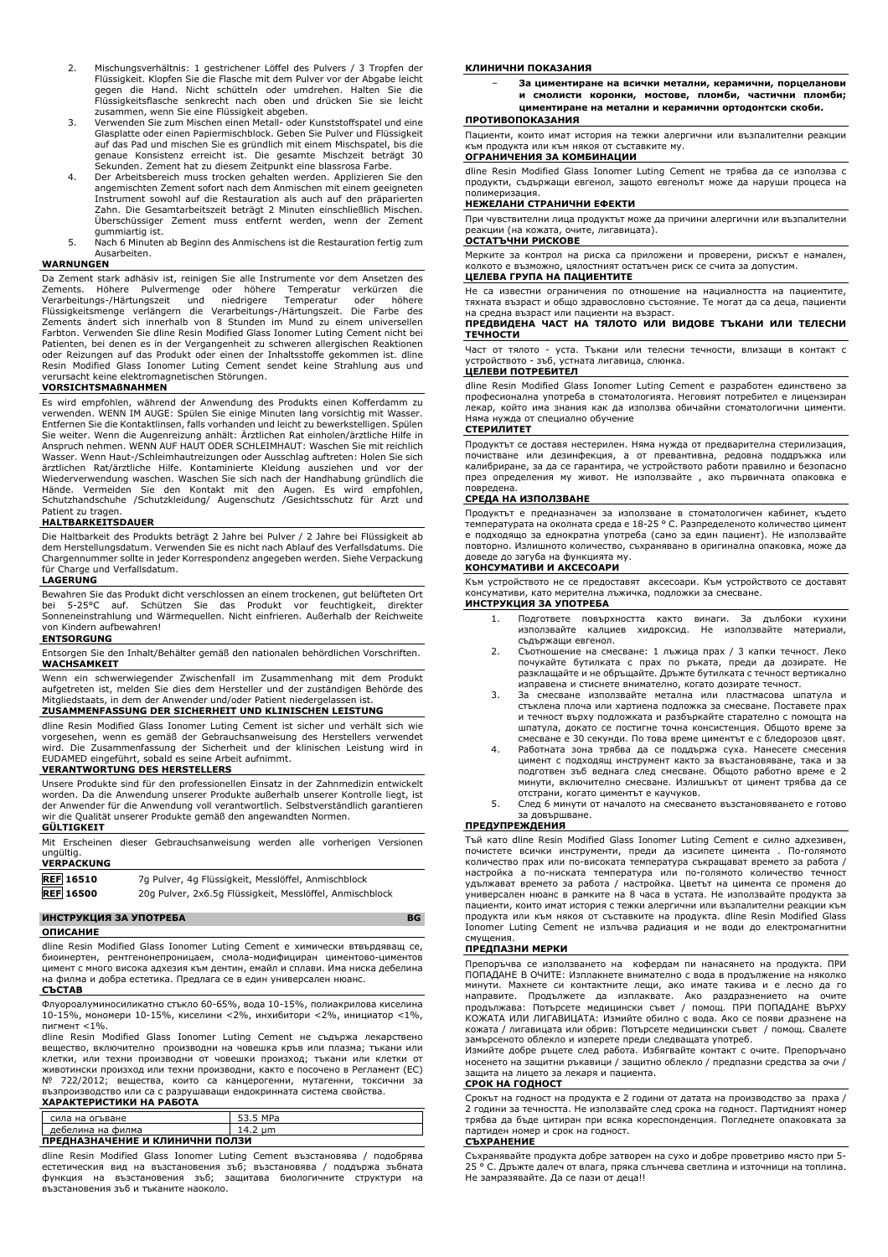- 2. Mischungsverhältnis: 1 gestrichener Löffel des Pulvers / 3 Tropfen der Flüssigkeit. Klopfen Sie die Flasche mit dem Pulver vor der Abgabe leicht gegen die Hand. Nicht schütteln oder umdrehen. Halten Sie die Flüssigkeitsflasche senkrecht nach oben und drücken Sie sie leicht
- zusammen, wenn Sie eine Flüssigkeit abgeben. 3. Verwenden Sie zum Mischen einen Metall- oder Kunststoffspatel und eine Glasplatte oder einen Papiermischblock. Geben Sie Pulver und Flüssigkeit auf das Pad und mischen Sie es gründlich mit einem Mischspatel, bis die genaue Konsistenz erreicht ist. Die gesamte Mischzeit beträgt 30
- Sekunden. Zement hat zu diesem Zeitpunkt eine blassrosa Farbe. 4. Der Arbeitsbereich muss trocken gehalten werden. Applizieren Sie den angemischten Zement sofort nach dem Anmischen mit einem geeigneten Instrument sowohl auf die Restauration als auch auf den präparierten Zahn. Die Gesamtarbeitszeit beträgt 2 Minuten einschließlich Mischen. Überschüssiger Zement muss entfernt werden, wenn der Zement gummiartig ist.
- 5. Nach 6 Minuten ab Beginn des Anmischens ist die Restauration fertig zum Ausarbeiten.

## **WARNUNGEN**

Da Zement stark adhäsiv ist, reinigen Sie alle Instrumente vor dem Ansetzen des<br>Zements. Höhere Pulvermenge oder höhere Temperatur verkürzen die<br>Verarbeitungs-/Härtungszeit und niedrigere Temperatur oder höhere<br>Flüssigkeit Zements ändert sich innerhalb von 8 Stunden im Mund zu einem universellen Farbton. Verwenden Sie dline Resin Modified Glass Ionomer Luting Cement nicht bei Patienten, bei denen es in der Vergangenheit zu schweren allergischen Reaktionen oder Reizungen auf das Produkt oder einen der Inhaltsstoffe gekommen ist. dline Resin Modified Glass Ionomer Luting Cement sendet keine Strahlung aus und verursacht keine elektromagnetischen Störungen.

## **VORSICHTSMAßNAHMEN**

Es wird empfohlen, während der Anwendung des Produkts einen Kofferdamm zu verwenden. WENN IM AUGE: Spülen Sie einige Minuten lang vorsichtig mit Wasser. Entfernen Sie die Kontaktlinsen, falls vorhanden und leicht zu bewerkstelligen. Spülen Sie weiter. Wenn die Augenreizung anhält: Ärztlichen Rat einholen/ärztliche Hilfe in Anspruch nehmen. WENN AUF HAUT ODER SCHLEIMHAUT: Waschen Sie mit reichlich Wasser. Wenn Haut-/Schleimhautreizungen oder Ausschlag auftreten: Holen Sie sich ärztlichen Rat/ärztliche Hilfe. Kontaminierte Kleidung ausziehen und vor der<br>Wiederverwendung waschen. Waschen Sie sich nach der Handhabung gründlich die<br>Hände. Vermeiden Sie den Kontakt mit den Augen. Es wird empfohlen,<br>S Patient zu tragen.

### **HALTBARKEITSDAUER**

Die Haltbarkeit des Produkts beträgt 2 Jahre bei Pulver / 2 Jahre bei Flüssigkeit ab dem Herstellungsdatum. Verwenden Sie es nicht nach Ablauf des Verfallsdatums. Die Chargennummer sollte in jeder Korrespondenz angegeben werden. Siehe Verpackung narge und Verfallsdatum.

## **LAGERUNG**

Bewahren Sie das Produkt dicht verschlossen an einem trockenen, gut belüfteten Ort bei 5-25°C auf. Schützen Sie das Produkt vor feuchtigkeit, direkter Sonneneinstrahlung und Wärmequellen. Nicht einfrieren. Außerhalb der Reichweite von Kindern aufbewahren!

# **ENTSORGUNG**

Entsorgen Sie den Inhalt/Behälter gemäß den nationalen behördlichen Vorschriften. **WACHSAMKEIT**

Wenn ein schwerwiegender Zwischenfall im Zusammenhang mit dem Produkt aufgetreten ist, melden Sie dies dem Hersteller und der zuständigen Behörde des Mitgliedstaats, in dem der Anwender und/oder Patient niedergelassen ist.

# **ZUSAMMENFASSUNG DER SICHERHEIT UND KLINISCHEN LEISTUNG**

dline Resin Modified Glass Ionomer Luting Cement ist sicher und verhält sich wie vorgesehen, wenn es gemäß der Gebrauchsanweisung des Herstellers verwendet wird. Die Zusammenfassung der Sicherheit und der klinischen Leistung wird in EUDAMED eingeführt, sobald es seine Arbeit aufnimmt.

### **VERANTWORTUNG DES HERSTELLERS**

Unsere Produkte sind für den professionellen Einsatz in der Zahnmedizin entwickelt worden. Da die Anwendung unserer Produkte außerhalb unserer Kontrolle liegt, ist der Anwender für die Anwendung voll verantwortlich. Selbstverständlich garantieren die Qualität unserer Produkte gemäß den angewandten Normen. **GÜLTIGKEIT**

Mit Erscheinen dieser Gebrauchsanweisung werden alle vorherigen Versionen ungültig.

| <b>VERPACKUNG</b> |                                                          |
|-------------------|----------------------------------------------------------|
| <b>REF</b> 16510  | 7g Pulver, 4g Flüssigkeit, Messlöffel, Anmischblock      |
| <b>REF</b> 16500  | 20g Pulver, 2x6.5g Flüssigkeit, Messlöffel, Anmischblock |

# **ИНСТРУКЦИЯ ЗА УПОТРЕБА BG**

### **ОПИСАНИЕ**

dline Resin Modified Glass Ionomer Luting Cement е химически втвърдяващ се, биоинертен, рентгенонепроницаем, смола-модифициран циментово-циментов цимент с много висока адхезия към дентин, емайл и сплави. Има ниска дебелина на филма и добра естетика. Предлага се в един универсален нюанс.

# **СЪСТАВ**

Флуороалуминосиликатно стъкло 60-65%, вода 10-15%, полиакрилова киселина 10-15%, мономери 10-15%, киселини <2%, инхибитори <2%, инициатор <1%, пигмент <1%.

dline Resin Modified Glass Ionomer Luting Cement не съдържа лекарствено вещество, включително производни на човешка кръв или плазма; тъкани или клетки, или техни производни от човешки произход; тъкани или клетки от животински произход или техни производни, както е посочено в Регламент (ЕС) № 722/2012; вещества, които са канцерогенни, мутагенни, токсични за<br>възпроизводство или са с разрушаващи ендокринната система свойства.<br>**ХАРАКТЕРИСТИКИ НА РАБОТА** 

| <b>ARPANIEPHUIFINE HA PABUIA</b> |          |  |
|----------------------------------|----------|--|
| сила на огъване                  | 53.5 MPa |  |
| дебелина на филма                | 14.2 um  |  |
| ПРЕДНАЗНАЧЕНИЕ И КЛИНИЧНИ ПОЛЗИ  |          |  |

dline Resin Modified Glass Ionomer Luting Cement възстановява / подобрява естетическия вид на възстановения зъб; възстановява / поддържа зъбната функция на възстановения зъб; защитава биологичните структури на възстановения зъб и тъканите наоколо.

### **КЛИНИЧНИ ПОКАЗАНИЯ**

− **За циментиране на всички метални, керамични, порцеланови и смолисти коронки, мостове, пломби, частични пломби; циментиране на метални и керамични ортодонтски скоби.**

# **ПРОТИВОПОКАЗАНИЯ**

Пациенти, които имат история на тежки алергични или възпалителни реакции към продукта или към някоя от съставките му. **ОГРАНИЧЕНИЯ ЗА КОМБИНАЦИИ**

dline Resin Modified Glass Ionomer Luting Cement не трябва да се използва с продукти, съдържащи евгенол, защото евгенолът може да наруши процеса на полимеризация.

# **НЕЖЕЛАНИ СТРАНИЧНИ ЕФЕКТИ**

При чувствителни лица продуктът може да причини алергични или възпалителни реакции (на кожата, очите, лигавицата).

### **ОСТАТЪЧНИ РИСКОВЕ**

Мерките за контрол на риска са приложени и проверени, рискът е намален, колкото е възможно, цялостният остатъчен риск се счита за допустим.

# **ЦЕЛЕВА ГРУПА НА ПАЦИЕНТИТЕ**

Не са известни ограничения по отношение на нациалността на пациентите, тяхната възраст и общо здравословно състояние. Те могат да са деца, пациенти на средна възраст или пациенти на възраст.

## **ПРЕДВИДЕНА ЧАСТ НА ТЯЛОТО ИЛИ ВИДОВЕ ТЪКАНИ ИЛИ ТЕЛЕСНИ ТЕЧНОСТИ**

Част от тялото - уста. Тъкани или телесни течности, влизащи в контакт с устройството - зъб, устната лигавица, слюнка.

# **ЦЕЛЕВИ ПОТРЕБИТЕЛ**

dline Resin Modified Glass Ionomer Luting Cement е разработен единствено за професионална употреба в стоматологията. Неговият потребител е лицензиран лекар, който има знания как да използва обичайни стоматологични цименти. .<br>нужда от специално обучение

## **СТЕРИЛИТЕТ**

Продуктът се доставя нестерилен. Няма нужда от предварителна стерилизация, почистване или дезинфекция, а от превантивна, редовна поддръжка или калибриране, за да се гарантира, че устройството работи правилно и безопасно през определения му живот. Не използвайте , ако първичната опаковка е повредена.

### **СРЕДА НА ИЗПОЛЗВАНЕ**

Продуктът е предназначен за използване в стоматологичен кабинет, където температурата на околната среда е 18-25 ° C. Разпределеното количество цимент е подходящо за еднократна употреба (само за един пациент). Не използвайте повторно. Излишното количество, съхранявано в оригинална опаковка, може да

# доведе до загуба на функцията му. **КОНСУМАТИВИ И АКСЕСОАРИ**

Към устройството не се предоставят аксесоари. Към устройството се доставят консумативи, като мерителна лъжичка, подложки за смесване. **ИНСТРУКЦИЯ ЗА УПОТРЕБА**

- 1. Подгответе повърхността както винаги. За дълбоки кухини използвайте калциев хидроксид. Не използвайте материали, съдържащи евгенол.
- 2. Съотношение на смесване: 1 лъжица прах / 3 капки течност. Леко почукайте бутилката с прах по ръката, преди да дозирате. Не разклащайте и не обръщайте. Дръжте бутилката с течност вертикално изправена и стиснете внимателно, когато дозирате течност.
- 3. За смесване използвайте метална или пластмасова шпатула и стъклена плоча или хартиена подложка за смесване. Поставете прах и течност върху подложката и разбъркайте старателно с помощта на шпатула, докато се постигне точна консистенция. Общото време за смесване е 30 секунди. По това време циментът е с бледорозов цвят.
- Работната зона трябва да се поддържа суха. Нанесете смесения цимент с подходящ инструмент както за възстановяване, така и за подготвен зъб веднага след смесване. Общото работно време е 2 минути, включително смесване. Излишъкът от цимент трябва да се отстрани, когато циментът е каучуков.
- 5. След 6 минути от началото на смесването възстановяването е готово за довършване.

### **ПРЕДУПРЕЖДЕНИЯ**

Тъй като dline Resin Modified Glass Ionomer Luting Cement е силно адхезивен, почистете всички инструменти, преди да изсипете цимента . По-голямото количество прах или по-високата температура съкращават времето за работа / настройка а по-ниската температура или по-голямото количество течност удължават времето за работа / настройка. Цветът на цимента се променя до универсален нюанс в рамките на 8 часа в устата. Не използвайте продукта за пациенти, които имат история с тежки алергични или възпалителни реакции към продукта или към някоя от съставките на продукта. dline Resin Modified Glass Ionomer Luting Cement не излъчва радиация и не води до електромагнитни смущения.

### **ПРЕДПАЗНИ МЕРКИ**

Препоръчва се използването на кофердам пи нанасянето на продукта. ПРИ ПОПАДАНЕ В ОЧИТЕ: Изплакнете внимателно с вода в продължение на няколко минути. Махнете си контактните лещи, ако имате такива и е лесно да го направите. Продължете да изплаквате. Ако раздразнението на очите продължава: Потърсете медицински съвет / помощ. ПРИ ПОПАДАНЕ ВЪРХУ КОЖАТА ИЛИ ЛИГАВИЦАТА: Измийте обилно с вода. Ако се появи дразнене на кожата / лигавицата или обрив: Потърсете медицински съвет / помощ. Свалете замърсеното облекло и изперете преди следващата употреб.

Измийте добре ръцете след работа. Избягвайте контакт с очите. Препоръчано носенето на защитни ръкавици / защитно облекло / предпазни средства за очи / защита на лицето за лекаря и пациента.

### **СРОК НА ГОДНОСТ**

Срокът на годност на продукта е 2 години от датата на производство за праха / 2 години за течността. Не използвайте след срока на годност. Партидният номер трябва да бъде цитиран при всяка кореспонденция. Погледнете опаковката за партиден номер и срок на годност.

### **СЪХРАНЕНИЕ**

Съхранявайте продукта добре затворен на сухо и добре проветриво място при 5- 25 ° C. Дръжте далеч от влага, пряка слънчева светлина и източници на топлина. Не замразявайте. Да се пази от деца!!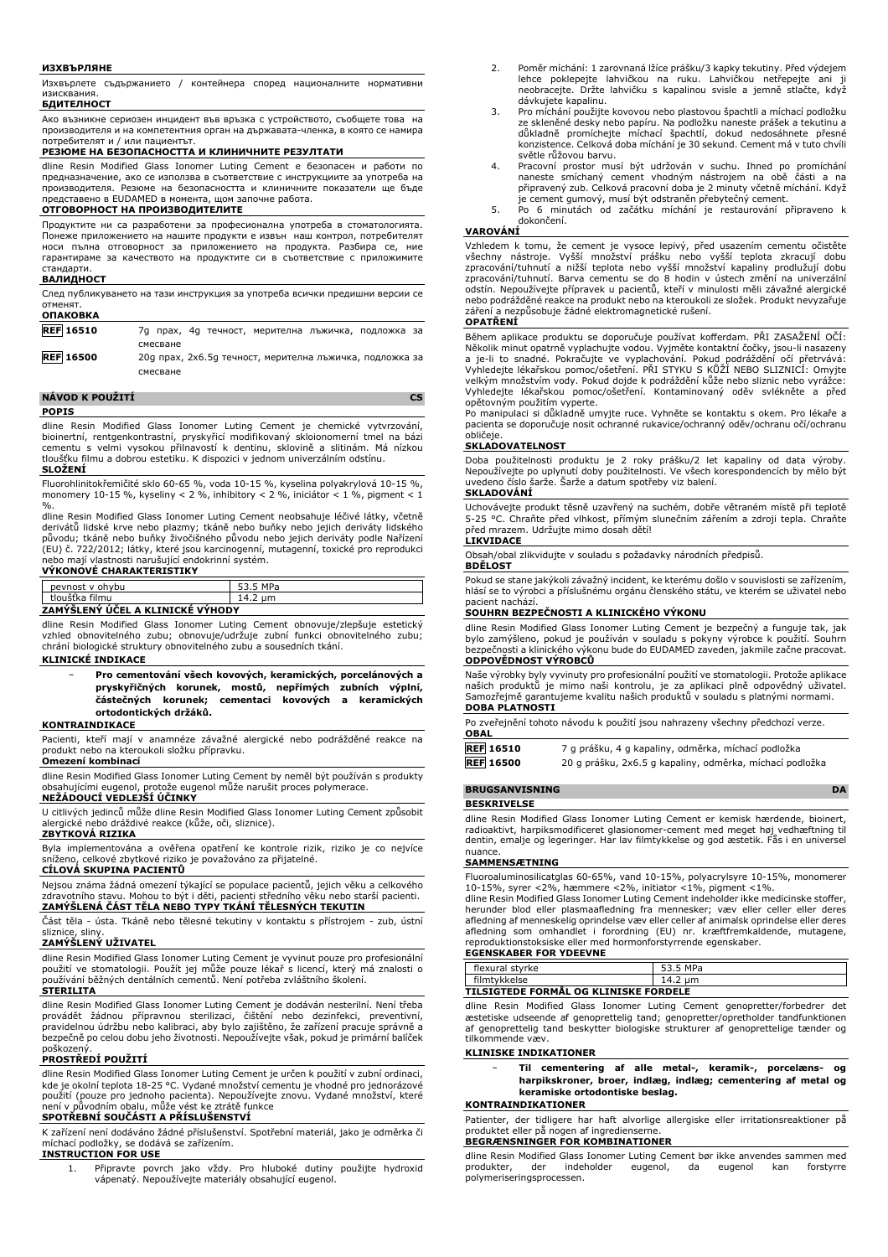### **ИЗХВЪРЛЯНЕ**

Изхвърлете съдържанието / контейнера според националните нормативни изисквания

### **БДИТЕЛНОСТ**

Ако възникне сериозен инцидент във връзка с устройството, съобщете това на производителя и на компетентния орган на държавата-членка, в която се намира потребителят и / или пациентът.

# **РЕЗЮМЕ НА БЕЗОПАСНОСТТА И КЛИНИЧНИТЕ РЕЗУЛТАТИ**

dline Resin Modified Glass Ionomer Luting Cement е безопасен и работи по предназначение, ако се използва в съответствие с инструкциите за употреба на производителя. Резюме на безопасността и клиничните показатели ще бъде представено в EUDAMED в момента, щом започне работа.

# **ОТГОВОРНОСТ НА ПРОИЗВОДИТЕЛИТЕ**

Продуктите ни са разработени за професионална употреба в стоматологията. Понеже приложението на нашите продукти е извън наш контрол, потребителят носи пълна отговорност за приложението на продукта. Разбира се, ние гарантираме за качеството на продуктите си в съответствие с приложимите стандарти.

### **ВАЛИДНОСТ**

След публикуването на тази инструкция за употреба всички предишни версии се отменят.

| <b>ОПАКОВКА</b>  |                                                          |
|------------------|----------------------------------------------------------|
| <b>REF</b> 16510 | 7д прах, 4д течност, мерителна лъжичка, подложка за      |
|                  | смесване                                                 |
| <b>REF 16500</b> | 20g прах, 2х6.5д течност, мерителна лъжичка, подложка за |
|                  | смесване                                                 |

### **NÁVOD K POUŽITÍ CS POPIS**

dline Resin Modified Glass Ionomer Luting Cement je chemické vytvrzování, bioinertní, rentgenkontrastní, pryskyřicí modifikovaný skloionomerní tmel na bázi cementu s velmi vysokou přilnavostí k dentinu, sklovině a slitinám. Má nízkou tloušťku filmu a dobrou estetiku. K dispozici v jednom univerzálním odstínu. **SLOŽENÍ**

Fluorohlinitokřemičité sklo 60-65 %, voda 10-15 %, kyselina polyakrylová 10-15 %, monomery 10-15 %, kyseliny < 2 %, inhibitory < 2 %, iniciátor < 1 %, pigment < 1

%.<br>dline Resin Modified Glass Ionomer Luting Cement neobsahuje léčivé látky, včetně<br>derivátů lidské krve nebo plazmy; tkáně nebo buňky nebo jejich deriváty lidského<br>původu; tkáně nebo buňky živočišného původu nebo jejich d nebo mají vlastnosti narušující endokrinní systém. **VÝKONOVÉ CHARAKTERISTIKY**

| peynost y ohybu                                    | MD <sub>2</sub><br>. ن ب |
|----------------------------------------------------|--------------------------|
| $\mathbf{v}$ . $\mathbf{r}$ .<br>filmu<br>tlouštka | um<br>17.Z               |
| -                                                  |                          |

# **ZAMÝŠLENÝ ÚČEL A KLINICKÉ VÝHODY**

dline Resin Modified Glass Ionomer Luting Cement obnovuje/zlepšuje estetický vzhled obnovitelného zubu; obnovuje/udržuje zubní funkci obnovitelného zubu; chrání biologické struktury obnovitelného zubu a sousedních tkání.

### **KLINICKÉ INDIKACE**

− **Pro cementování všech kovových, keramických, porcelánových a pryskyřičných korunek, mostů, nepřímých zubních výplní, částečných korunek; cementaci kovových a keramických ortodontických držáků.**

### **KONTRAINDIKACE**

Pacienti, kteří mají v anamnéze závažné alergické nebo podrážděné reakce na produkt nebo na kteroukoli složku přípravku.

### **Omezení kombinací**

dline Resin Modified Glass Ionomer Luting Cement by neměl být používán s produkty obsahujícími eugenol, protože eugenol může narušit proces polymerace.

# **NEŽÁDOUCÍ VEDLEJŠÍ ÚČINKY**

U citlivých jedinců může dline Resin Modified Glass Ionomer Luting Cement způsobit alergické nebo dráždivé reakce (kůže, oči, sliznice).

# **ZBYTKOVÁ RIZIKA**

Byla implementována a ověřena opatření ke kontrole rizik, riziko je co nejvíce sníženo, celkové zbytkové riziko je považováno za přijatelné.

# **CÍLOVÁ SKUPINA PACIENTŮ**

Nejsou známa žádná omezení týkající se populace pacientů, jejich věku a celkového<br>zdravotního stavu. Mohou to být i děti, pacienti středního věku nebo starší pacienti.<br>**ZAMÝŠLENÁ ČÁST TĚLA NEBO TYPY TKÁNÍ TĚLESNÝCH TEKUTIN** 

Část těla - ústa. Tkáně nebo tělesné tekutiny v kontaktu s přístrojem - zub, ústní sliznice, sliny.

# **ZAMÝŠLENÝ UŽIVATEL**

dline Resin Modified Glass Ionomer Luting Cement je vyvinut pouze pro profesionální použití ve stomatologii. Použít jej může pouze lékař s licencí, který má znalosti o používání běžných dentálních cementů. Není potřeba zvláštního školení.

## **STERILITA**

dline Resin Modified Glass Ionomer Luting Cement je dodáván nesterilní. Není třeba provádět žádnou přípravnou sterilizaci, čištění nebo dezinfekci, preventivní, pravidelnou údržbu nebo kalibraci, aby bylo zajištěno, že zařízení pracuje správně a bezpečně po celou dobu jeho životnosti. Nepoužívejte však, pokud je primární balíček poškozený.

### **PROSTŘEDÍ POUŽITÍ**

dline Resin Modified Glass Ionomer Luting Cement je určen k použití v zubní ordinaci, kde je okolní teplota 18-25 °C. Vydané množství cementu je vhodné pro jednorázové použití (pouze pro jednoho pacienta). Nepoužívejte znovu. Vydané množství, které není v původním obalu, může vést ke ztrátě funkce

# **SPOTŘEBNÍ SOUČÁSTI A PŘÍSLUŠENSTVÍ**

K zařízení není dodáváno žádné příslušenství. Spotřební materiál, jako je odměrka či míchací podložky, se dodává se zařízením.

### **INSTRUCTION FOR USE**

1. Připravte povrch jako vždy. Pro hluboké dutiny použijte hydroxid vápenatý. Nepoužívejte materiály obsahující eugenol.

- 2. Poměr míchání: 1 zarovnaná lžíce prášku/3 kapky tekutiny. Před výdejem lehce poklepejte lahvičkou na ruku. Lahvičkou netřepejte ani ji neobracejte. Držte lahvičku s kapalinou svisle a jemně stlačte, když dávkujete kapalinu.
- 3. Pro míchání použijte kovovou nebo plastovou špachtli a míchací podložku ze sklenéné desky nebo papíru. Na podložku naneste prášek a tekutinu a<br>důkladně promíchejte míchací špachtlí, dokud nedosáhnete přesné<br>konzistence. Celková doba míchání je 30 sekund. Cement má v tuto chvíli světle růžovou barvu.
- 4. Pracovní prostor musí být udržován v suchu. Ihned po promíchání naneste smíchaný cement vhodným nástrojem na obě části a na připravený zub. Celková pracovní doba je 2 minuty včetně míchání. Když
- je cement gumový, musí být odstraněn přebytečný cement. 5. Po 6 minutách od začátku míchání je restaurování připraveno k dokončení.

### **VAROVÁNÍ**

Vzhledem k tomu, že cement je vysoce lepivý, před usazením cementu očistěte všechny nástroje. Vyšší množství prášku nebo vyšší teplota zkracují dobu zpracování/tuhnutí a nižší teplota nebo vyšší množství kapaliny prodlužují dobu zpracování/tuhnutí. Barva cementu se do 8 hodin v ústech změní na univerzální odstín. Nepoužívejte přípravek u pacientů, kteří v minulosti měli závažné alergické nebo podrážděné reakce na produkt nebo na kteroukoli ze složek. Produkt nevyzařuje záření a nezpůsobuje žádné elektromagnetické rušení.

# **OPATŘENÍ**

Během aplikace produktu se doporučuje používat kofferdam. PŘI ZASAŽENÍ OČÍ: Několik minut opatrně vyplachujte vodou. Vyjměte kontaktní čočky, jsou-li nasazeny a je-li to snadné. Pokračujte ve vyplachování. Pokud podráždění očí přetrvává: Vyhledejte lékařskou pomoc/ošetření. PŘI STYKU S KŮŽÍ NEBO SLIZNICÍ: Omyjte velkým množstvím vody. Pokud dojde k podráždění kůže nebo sliznic nebo vyrážce: Vyhledejte lékařskou pomoc/ošetření. Kontaminovaný oděv svlékněte a před opětovným použitím vyperte.

Po manipulaci si důkladně umyjte ruce. Vyhněte se kontaktu s okem. Pro lékaře a pacienta se doporučuje nosit ochranné rukavice/ochranný oděv/ochranu očí/ochranu .<br>obličeje

### **SKLADOVATELNOST**

Doba použitelnosti produktu je 2 roky prášku/2 let kapaliny od data výroby. Nepoužívejte po uplynutí doby použitelnosti. Ve všech korespondencích by mělo být uvedeno číslo šarže. Šarže a datum spotřeby viz balení.

### **SKLADOVÁNÍ**

Uchovávejte produkt těsně uzavřený na suchém, dobře větraném místě při teplotě 5-25 °C. Chraňte před vlhkost, přímým slunečním zářením a zdroji tepla. Chraňte před mrazem. Udržujte mimo dosah dětí! **LIKVIDACE**

Obsah/obal zlikvidujte v souladu s požadavky národních předpisů.

## **BDĚLOST**

Pokud se stane jakýkoli závažný incident, ke kterému došlo v souvislosti se zařízením, hlásí se to výrobci a příslušnému orgánu členského státu, ve kterém se uživatel nebo pacient nachází.

### **SOUHRN BEZPEČNOSTI A KLINICKÉHO VÝKONU**

dline Resin Modified Glass Ionomer Luting Cement je bezpečný a funguje tak, jak bylo zamýšleno, pokud je používán v souladu s pokyny výrobce k použití. Souhrn bezpečnosti a klinického výkonu bude do EUDAMED zaveden, jakmile začne pracovat. **ODPOVĚDNOST VÝROBCŮ**

Naše výrobky byly vyvinuty pro profesionální použití ve stomatologii. Protože aplikace našich produktů je mimo naši kontrolu, je za aplikaci plně odpovědný uživatel. Samozřejmě garantujeme kvalitu našich produktů v souladu s platnými normami. **DOBA PLATNOSTI**

Po zveřejnění tohoto návodu k použití jsou nahrazeny všechny předchozí verze. **OBAL**

| <b>REF</b> 16510 | 7 g prášku, 4 g kapaliny, odměrka, míchací podložka      |
|------------------|----------------------------------------------------------|
| <b>REF</b> 16500 | 20 g prášku, 2x6.5 g kapaliny, odměrka, míchací podložka |

# **BRUGSANVISNING DA**

**BESKRIVELSE**

dline Resin Modified Glass Ionomer Luting Cement er kemisk hærdende, bioinert, radioaktivt, harpiksmodificeret glasionomer-cement med meget høj vedhæftning til dentin, emalje og legeringer. Har lav filmtykkelse og god æstetik. Fås i en universel nuance.

### **SAMMENSÆTNING**

Fluoroaluminosilicatglas 60-65%, vand 10-15%, polyacrylsyre 10-15%, monomerer 10-15%, syrer <2%, hæmmere <2%, initiator <1%, pigment <1%.

dline Resin Modified Glass Ionomer Luting Cement indeholder ikke medicinske stoffer, herunder blod eller plasmaafledning fra mennesker; væv eller celler eller deres afledning af menneskelig oprindelse væv eller celler af animalsk oprindelse eller deres afledning som omhandlet i forordning (EU) nr. kræftfremkaldende, mutagene, reproduktionstoksiske eller med hormonforstyrrende egenskaber.

### **EGENSKABER FOR YDEEVNE** flexural styrke 53.5 MPa filmtykkelse 14.2 μm

### **TILSIGTEDE FORMÅL OG KLINISKE FORDELE**

dline Resin Modified Glass Ionomer Luting Cement genopretter/forbedrer det æstetiske udseende af genoprettelig tand; genopretter/opretholder tandfunktionen af genoprettelig tand beskytter biologiske strukturer af genoprettelige tænder og tilkommende væv.

### **KLINISKE INDIKATIONER**

− **Til cementering af alle metal-, keramik-, porcelæns- og harpikskroner, broer, indlæg, indlæg; cementering af metal og keramiske ortodontiske beslag.**

### **KONTRAINDIKATIONER**

Patienter, der tidligere har haft alvorlige allergiske eller irritationsreaktioner på produktet eller på nogen af ingredienserne.

# **BEGRÆNSNINGER FOR KOMBINATIONER**

dline Resin Modified Glass Ionomer Luting Cement bør ikke anvendes sammen med produkter, der indeholder eugenol, da eugenol kan forstyrre produkter, der indeholder eugenol, da eugenol kan forstyrre polymeriseringsprocessen.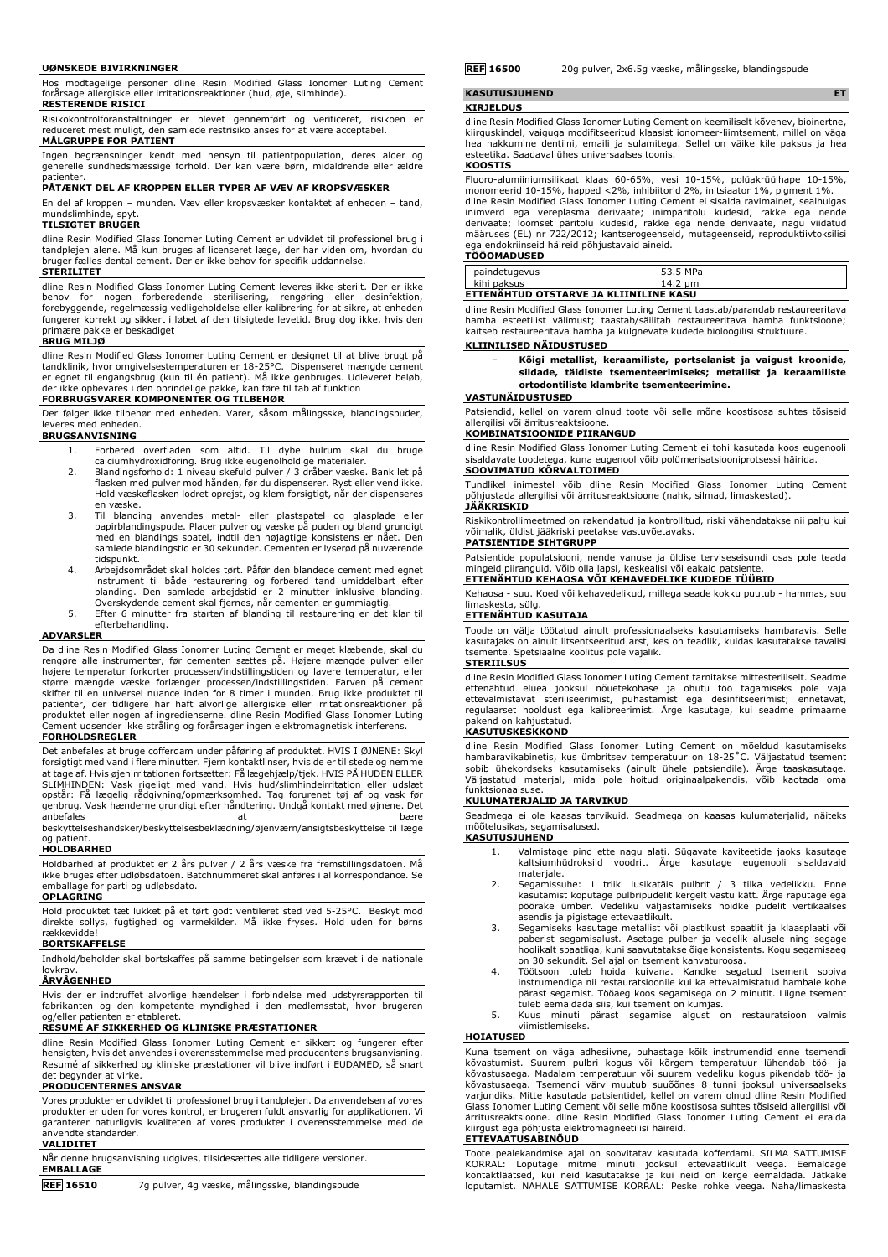### **UØNSKEDE BIVIRKNINGER**

Hos modtagelige personer dline Resin Modified Glass Ionomer Luting Cement forårsage allergiske eller irritationsreaktioner (hud, øje, slimhinde). **RESTERENDE RISICI**

Risikokontrolforanstaltninger er blevet gennemført og verificeret, risikoen er reduceret mest muligt, den samlede restrisiko anses for at være acceptabel. **MÅLGRUPPE FOR PATIENT**

Ingen begrænsninger kendt med hensyn til patientpopulation, deres alder og generelle sundhedsmæssige forhold. Der kan være børn, midaldrende eller ældre

# patienter. **PÅTÆNKT DEL AF KROPPEN ELLER TYPER AF VÆV AF KROPSVÆSKER**

En del af kroppen – munden. Væv eller kropsvæsker kontaktet af enheden – tand, mundslimhinde, spyt.

### **TILSIGTET BRUGER**

dline Resin Modified Glass Ionomer Luting Cement er udviklet til professionel brug i tandplejen alene. Må kun bruges af licenseret læge, der har viden om, hvordan du bruger fælles dental cement. Der er ikke behov for specifik uddannelse.

### **STERILITET**

dline Resin Modified Glass Ionomer Luting Cement leveres ikke-sterilt. Der er ikke behov for nogen forberedende sterilisering, rengøring eller desinfektion,<br>forebyggende,-regelmæssig-vedligeholdelse-eller-kalibrering-for-at-sikre,-at-enheden<br>fungerer-korrekt-og-sikkert-i-løbet-af-den-tilsigtede-levetid.primære pakke er beskadiget

### **BRUG MILJØ**

dline Resin Modified Glass Ionomer Luting Cement er designet til at blive brugt på tandklinik, hvor omgivelsestemperaturen er 18-25°C. Dispenseret mængde cement er egnet til engangsbrug (kun til én patient). Må ikke genbruges. Udleveret beløb, der ikke opbevares i den oprindelige pakke, kan føre til tab af funktion

# **FORBRUGSVARER KOMPONENTER OG TILBEHØR**

Der følger ikke tilbehør med enheden. Varer, såsom målingsske, blandingspuder, leveres med enheden.

### **BRUGSANVISNING**

- 1. Forbered overfladen som altid. Til dybe hulrum skal du bruge calciumhydroxidforing. Brug ikke eugenolholdige materialer.
- 2. Blandingsforhold: 1 niveau skefuld pulver / 3 dråber væske. Bank let på flasken med pulver mod hånden, før du dispenserer. Ryst eller vend ikke. Hold væskeflasken lodret oprejst, og klem forsigtigt, når der dispenseres en væske.
- 3. Til blanding anvendes metal- eller plastspatel og glasplade eller papirblandingspude. Placer pulver og væske på puden og bland grundigt med en blandings spatel, indtil den nøjagtige konsistens er nået. Den samlede blandingstid er 30 sekunder. Cementen er lyserød på nuværende tidspunkt.
- 4. Arbejdsområdet skal holdes tørt. Påfør den blandede cement med egnet instrument til både restaurering og forbered tand umiddelbart efter blanding. Den samlede arbejdstid er 2 minutter inklusive blanding. Overskydende cement skal fjernes, når cementen er gummiagtig.
- 5. Efter 6 minutter fra starten af blanding til restaurering er det klar til efterbehandling.

### **ADVARSLER**

Da dline Resin Modified Glass Ionomer Luting Cement er meget klæbende, skal du rengøre alle instrumenter, før cementen sættes på. Højere mængde pulver eller<br>højere temperatur forkorter processen/indstillingstiden og lavere temperatur, eller<br>større mængde væske forlænger processen/indstillingstiden. F skifter til en universel nuance inden for 8 timer i munden. Brug ikke produktet til patienter, der tidligere har haft alvorlige allergiske eller irritationsreaktioner på produktet eller nogen af ingredienserne. dline Resin Modified Glass Ionomer Luting Cement udsender ikke stråling og forårsager ingen elektromagnetisk interferens.

# **FORHOLDSREGLER**

Det anbefales at bruge cofferdam under påføring af produktet. HVIS I ØJNENE: Skyl forsigtigt med vand i flere minutter. Fjern kontaktlinser, hvis de er til stede og nemme at tage af. Hvis øjenirritationen fortsætter: Få lægehjælp/tjek. HVIS PÅ HUDEN ELLER<br>SLIMHINDEN: Vask rigeligt med vand. Hvis hud/slimhindeirritation eller udslæt<br>opstår: Få lægelig rådgivning/opmærksomhed. Tag forurenet t beskyttelseshandsker/beskyttelsesbeklædning/øjenværn/ansigtsbeskyttelse til læge

### og patient. **HOLDBARHED**

Holdbarhed af produktet er 2 års pulver / 2 års væske fra fremstillingsdatoen. Må ikke bruges efter udløbsdatoen. Batchnummeret skal anføres i al korrespondance. Se emballage for parti og udløbsdato.

# **OPLAGRING**

Hold produktet tæt lukket på et tørt godt ventileret sted ved 5-25°C. Beskyt mod direkte sollys, fugtighed og varmekilder. Må ikke fryses. Hold uden for børns rækkevidde!

# **BORTSKAFFELSE**

Indhold/beholder skal bortskaffes på samme betingelser som krævet i de nationale lovkrav.

# **ÅRVÅGENHED**

Hvis der er indtruffet alvorlige hændelser i forbindelse med udstyrsrapporten til fabrikanten og den kompetente myndighed i den medlemsstat, hvor brugeren

# og/eller patienten er etableret. **RESUMÉ AF SIKKERHED OG KLINISKE PRÆSTATIONER**

dline Resin Modified Glass Ionomer Luting Cement er sikkert og fungerer efter hensigten, hvis det anvendes i overensstemmelse med producentens brugsanvisning. Resumé af sikkerhed og kliniske præstationer vil blive indført i EUDAMED, så snart

# det begynder at virke. **PRODUCENTERNES ANSVAR**

Vores produkter er udviklet til professionel brug i tandplejen. Da anvendelsen af vores produkter er uden for vores kontrol, er brugeren fuldt ansvarlig for applikationen. Vi garanterer naturligvis kvaliteten af vores produkter i overensstemmelse med de anvendte standarder.

# **VALIDITET**

Når denne brugsanvisning udgives, tilsidesættes alle tidligere versioner. **EMBALLAGE**

**REF 16510** 7g pulver, 4g væske, målingsske, blandingspude

**REF 16500** 20g pulver, 2x6.5g væske, målingsske, blandingspude

# **KASUTUSJUHEND ET**

**KIRJELDUS**

dline Resin Modified Glass Ionomer Luting Cement on keemiliselt kõvenev, bioinertne, kiirguskindel, vaiguga modifitseeritud klaasist ionomeer-liimtsement, millel on väga hea nakkumine dentiini, emaili ja sulamitega. Sellel on väike kile paksus ja hea esteetika. Saadaval ühes universaalses toonis.

# **KOOSTIS**

Fluoro-alumiiniumsilikaat klaas 60-65%, vesi 10-15%, polüakrüülhape 10-15%, monomeerid 10-15%, happed <2%, inhibiitorid 2%, initsiaator 1%, pigment 1%. dline Resin Modified Glass Ionomer Luting Cement ei sisalda ravimainet, sealhulgas inimverd ega vereplasma derivaate; inimpäritolu kudesid, rakke ega nende derivaate; loomset päritolu kudesid, rakke ega nende derivaate, nagu viidatud määruses (EL) nr 722/2012; kantserogeenseid, mutageenseid, reproduktiivtoksilisi ega endokriinseid häireid põhjustavaid aineid.

### **TÖÖOMADUSED**

| paindetugevus                                | 53.5 MPa |  |  |  |  |
|----------------------------------------------|----------|--|--|--|--|
| kihi paksus                                  | 14.2     |  |  |  |  |
| --<br>ETTENAHTUD OTSTARVE JA KLIINILINE KASU |          |  |  |  |  |

dline Resin Modified Glass Ionomer Luting Cement taastab/parandab restaureeritava hamba esteetilist välimust; taastab/säilitab restaureeritava hamba funktsioone; kaitseb restaureeritava hamba ja külgnevate kudede bioloogilisi struktuure. **KLIINILISED NÄIDUSTUSED**

− **Kõigi metallist, keraamiliste, portselanist ja vaigust kroonide, sildade, täidiste tsementeerimiseks; metallist ja keraamiliste ortodontiliste klambrite tsementeerimine.**

## **VASTUNÄIDUSTUSED**

Patsiendid, kellel on varem olnud toote või selle mõne koostisosa suhtes tõsiseid allergilisi või ärritusreaktsioone.

### **KOMBINATSIOONIDE PIIRANGUD**

dline Resin Modified Glass Ionomer Luting Cement ei tohi kasutada koos eugenooli sisaldavate toodetega, kuna eugenool võib polümerisatsiooniprotsessi häirida. **SOOVIMATUD KÕRVALTOIMED**

Tundlikel inimestel võib dline Resin Modified Glass Ionomer Luting Cement põhjustada allergilisi või ärritusreaktsioone (nahk, silmad, limaskestad). **JÄÄKRISKID**

Riskikontrollimeetmed on rakendatud ja kontrollitud, riski vähendatakse nii palju kui võimalik, üldist jääkriski peetakse vastuvõetavaks.

# **PATSIENTIDE SIHTGRUPP**

Patsientide populatsiooni, nende vanuse ja üldise terviseseisundi osas pole teada mingeid piiranguid. Võib olla lapsi, keskealisi või eakaid patsiente. **ETTENÄHTUD KEHAOSA VÕI KEHAVEDELIKE KUDEDE TÜÜBID**

Kehaosa - suu. Koed või kehavedelikud, millega seade kokku puutub - hammas, suu limaskesta, sülg. **ETTENÄHTUD KASUTAJA**

Toode on välja töötatud ainult professionaalseks kasutamiseks hambaravis. Selle kasutajaks on ainult litsentseeritud arst, kes on teadlik, kuidas kasutatakse tavalisi tsemente. Spetsiaalne koolitus pole vajalik.

# **STERIILSUS**

dline Resin Modified Glass Ionomer Luting Cement tarnitakse mittesterillselt. Seadme<br>ettenähtud eluea jooksul nõuetekohase ja ohutu töö tagamiseks pole vaja<br>ettevalmistavat steriliseerimist, puhastamist ega desinfitseerimi regulaarset hooldust ega kalibreerimist. Ärge kasutage, kui seadme primaarne pakend on kahjustatud.

### **KASUTUSKESKKOND**

dline Resin Modified Glass Ionomer Luting Cement on mõeldud kasutamiseks hambaravikabinetis, kus ümbritsev temperatuur on 18-25˚C. Väljastatud tsement sobib ühekordseks kasutamiseks (ainult ühele patsiendile). Ärge taaskasutage. Väljastatud materjal, mida pole hoitud originaalpakendis, võib kaotada oma funktsionaalsuse.

# **KULUMATERJALID JA TARVIKUD**

Seadmega ei ole kaasas tarvikuid. Seadmega on kaasas kulumaterjalid, näiteks mõõtelusikas, segamisalused.

# **KASUTUSJUHEND**

- 1. Valmistage pind ette nagu alati. Sügavate kaviteetide jaoks kasutage kaltsiumhüdroksiid voodrit. Ärge materjale.
- 2. Segamissuhe: 1 triiki lusikatäis pulbrit / 3 tilka vedelikku. Enne kasutamist koputage pulbripudelit kergelt vastu kätt. Ärge raputage ega pöörake ümber. Vedeliku väljastamiseks hoidke pudelit vertikaalses
- asendis ja pigistage ettevaatlikult. 3. Segamiseks kasutage metallist või plastikust spaatlit ja klaasplaati või paberist segamisalust. Asetage pulber ja vedelik alusele ning segage hoolikalt spaatliga, kuni saavutatakse õige konsistents. Kogu segamisaeg
- on 30 sekundit. Sel ajal on tsement kahvaturoosa. 4. Töötsoon tuleb hoida kuivana. Kandke segatud tsement sobiva instrumendiga nii restauratsioonile kui ka ettevalmistatud hambale kohe pärast segamist. Tööaeg koos segamisega on 2 minutit. Liigne tsement
- tuleb eemaldada siis, kui tsement on kumjas. 5. Kuus minuti pärast segamise algust on restauratsioon valmis viimistlemiseks.

### **HOIATUSED**

Kuna tsement on väga adhesiivne, puhastage kõik instrumendid enne tsemendi<br>kõvastumist. Suurem pulbri kogus või kõrgem temperatuur lühendab töö- ja<br>kõvastusaega. Madalam temperatuur või suurem vedeliku kogus pikendab töö kõvastusaega. Tsemendi värv muutub suuõõnes 8 tunni jooksul universaalseks varjundiks. Mitte kasutada patsientidel, kellel on varem olnud dline Resin Modified Glass Ionomer Luting Cement või selle mõne koostisosa suhtes tõsiseid allergilisi või ärritusreaktsioone. dline Resin Modified Glass Ionomer Luting Cement ei eralda kiirgust ega põhjusta elektromagneetilisi häireid.

### **ETTEVAATUSABINÕUD**

Toote pealekandmise ajal on soovitatav kasutada kofferdami. SILMA SATTUMISE<br>KORRAL: Loputage mitme minuti jooksul ettevaatlikult veega. Eemaldage<br>kontaktläätsed, kui neid kasutatakse ja kui neid on kerge eemaldada. Jätkake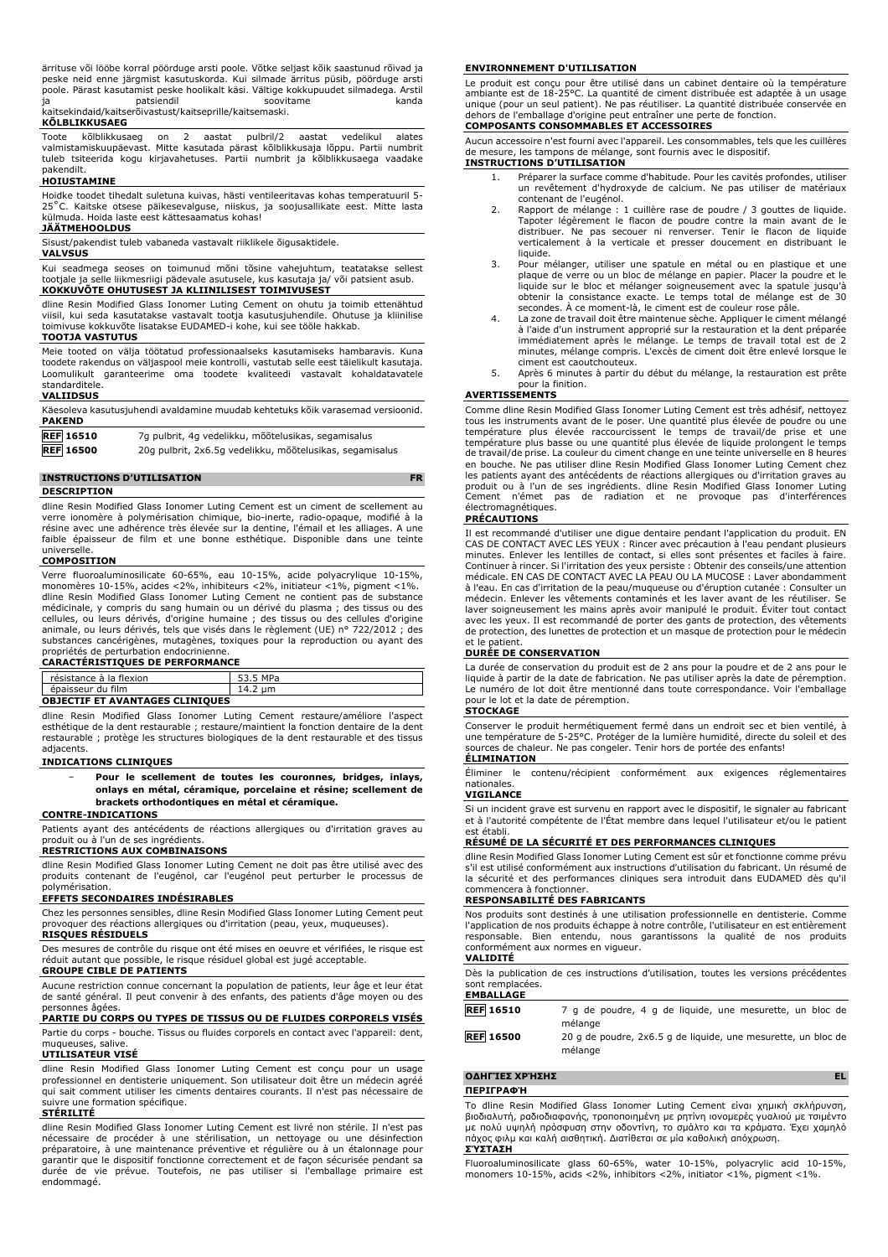ärrituse või lööbe korral pöörduge arsti poole. Võtke seljast kõik saastunud rõivad ja peske neid enne järgmist kasutuskorda. Kui silmade ärritus püsib, pöörduge arsti poole. Pärast kasutamist peske hoolikalt käsi. Vältige kokkupuudet silmadega. Arstil ja patsiendil soovitame kanda kaitsekindaid/kaitserõivastust/kaitseprille/kaitsemaski.

### **KÕLBLIKKUSAEG**

Toote kõlblikkusaeg on 2 aastat pulbril/2 aastat vedelikul alates valmistamiskuupäevast. Mitte kasutada pärast kõlblikkusaja lõppu. Partii numbrit tuleb tsiteerida kogu kirjavahetuses. Partii numbrit ja kõlblikkusaega vaadake pakendilt.

### **HOIUSTAMINE**

Hoidke toodet tihedalt suletuna kuivas, hästi ventileeritavas kohas temperatuuril 5- 25˚C. Kaitske otsese päikesevalguse, niiskus, ja soojusallikate eest. Mitte lasta külmuda. Hoida laste eest kättesaamatus kohas!

### **JÄÄTMEHOOLDUS**

Sisust/pakendist tuleb vabaneda vastavalt riiklikele õigusaktidele.

## **VALVSUS**

Kui seadmega seoses on toimunud mõni tõsine vahejuhtum, teatatakse sellest<br>tootjale ja selle liikmesriigi pädevale asutusele, kus kasutaja ja/ või patsient asub.<br><mark>KOKKUVÕTE OHUTUSEST JA KLIINILISEST TOIMIVUSEST</mark>

dline Resin Modified Glass Ionomer Luting Cement on ohutu ja toimib ettenähtud viisil, kui seda kasutatakse vastavalt tootja kasutusjuhendile. Ohutuse ja kliinilise kokkuvõte lisatakse EUDAMED-i kohe, kui see tööle hakkab. **TOOTJA VASTUTUS**

Meie tooted on välja töötatud professionaalseks kasutamiseks hambaravis. Kuna toodete rakendus on väljaspool meie kontrolli, vastutab selle eest täielikult kasutaja. Loomulikult garanteerime oma toodete kvaliteedi vastavalt kohaldatavatele standarditele.

### **VALIIDSUS**

Käesoleva kasutusjuhendi avaldamine muudab kehtetuks kõik varasemad versioonid. **PAKEND**

| <b>REF 16510</b> | 7g pulbrit, 4g vedelikku, mõõtelusikas, segamisalus      |
|------------------|----------------------------------------------------------|
| <b>REF 16500</b> | 20g pulbrit, 2x6.5g vedelikku, mõõtelusikas, segamisalus |

### **INSTRUCTIONS D'UTILISATION FR**

**DESCRIPTION**

dline Resin Modified Glass Ionomer Luting Cement est un ciment de scellement au verre ionomère à polymérisation chimique, bio-inerte, radio-opaque, modifié à la résine avec une adhérence très élevée sur la dentine, l'émail et les alliages. A une faible épaisseur de film et une bonne esthétique. Disponible dans une teinte universelle.

### **COMPOSITION**

Verre fluoroaluminosilicate 60-65%, eau 10-15%, acide polyacrylique 10-15%, monomères 10-15%, acides <2%, inhibiteurs <2%, initiateur <1%, pigment <1%. dline Resin Modified Glass Ionomer Luting Cement ne contient pas de substance médicinale, y compris du sang humain ou un dérivé du plasma ; des tissus ou des cellules, ou leurs dérivés, d'origine humaine ; des tissus ou des cellules d'origine<br>animale, ou leurs dérivés, tels que visés dans le règlement (UE) n° 722/2012 ; des<br>substances cancérigènes, mutagènes, toxiques pour la r propriétés de perturbation endocrinienne.

### **CARACTÉRISTIQUES DE PERFORMANCE**

| résistance à la flexion                | 53.5 MPa |  |  |  |  |
|----------------------------------------|----------|--|--|--|--|
| épaisseur du film                      | 14.2 um  |  |  |  |  |
| <b>OBJECTIF ET AVANTAGES CLINIQUES</b> |          |  |  |  |  |

dline Resin Modified Glass Ionomer Luting Cement restaure/améliore l'aspect esthétique de la dent restaurable ; restaure/maintient la fonction dentaire de la dent restaurable ; protège les structures biologiques de la dent restaurable et des tissus adjacents.

### **INDICATIONS CLINIQUES**

− **Pour le scellement de toutes les couronnes, bridges, inlays, onlays en métal, céramique, porcelaine et résine; scellement de brackets orthodontiques en métal et céramique.**

### **CONTRE-INDICATIONS**

Patients ayant des antécédents de réactions allergiques ou d'irritation graves au produit ou à l'un de ses ingrédients. **RESTRICTIONS AUX COMBINAISONS**

dline Resin Modified Glass Ionomer Luting Cement ne doit pas être utilisé avec des produits contenant de l'eugénol, car l'eugénol peut perturber le processus de polymérisation.

### **EFFETS SECONDAIRES INDÉSIRABLES**

Chez les personnes sensibles, dline Resin Modified Glass Ionomer Luting Cement peut provoquer des réactions allergiques ou d'irritation (peau, yeux, muqueuses). **RISQUES RÉSIDUELS**

Des mesures de contrôle du risque ont été mises en oeuvre et vérifiées, le risque est réduit autant que possible, le risque résiduel global est jugé acceptable.

# **GROUPE CIBLE DE PATIENTS**

Aucune restriction connue concernant la population de patients, leur âge et leur état de santé général. Il peut convenir à des enfants, des patients d'âge moyen ou des personnes âgées.

### **PARTIE DU CORPS OU TYPES DE TISSUS OU DE FLUIDES CORPORELS VISÉS** Partie du corps - bouche. Tissus ou fluides corporels en contact avec l'appareil: dent,

muqueuses, salive.

# **UTILISATEUR VISÉ**

dline Resin Modified Glass Ionomer Luting Cement est conçu pour un usage professionnel en dentisterie uniquement. Son utilisateur doit être un médecin agréé qui sait comment utiliser les ciments dentaires courants. Il n'est pas nécessaire de suivre une formation spécifique.

## **STÉRILITÉ**

dline Resin Modified Glass Ionomer Luting Cement est livré non stérile. Il n'est pas nécessaire de procéder à une stérilisation, un nettoyage ou une désinfection préparatoire, à une maintenance préventive et régulière ou à un étalonnage pour garantir que le dispositif fonctionne correctement et de façon sécurisée pendant sa durée de vie prévue. Toutefois, ne pas utiliser si l'emballage primaire est endommagé.

### **ENVIRONNEMENT D'UTILISATION**

Le produit est conçu pour être utilisé dans un cabinet dentaire où la température ambiante est de 18-25°C. La quantité de ciment distribuée est adaptée à un usage unique (pour un seul patient). Ne pas réutiliser. La quantité distribuée conservée en dehors de l'emballage d'origine peut entraîner une perte de fonction.

# **COMPOSANTS CONSOMMABLES ET ACCESSOIRES**

Aucun accessoire n'est fourni avec l'appareil. Les consommables, tels que les cuillères de mesure, les tampons de mélange, sont fournis avec le dispositif.

# **INSTRUCTIONS D'UTILISATION**

- 1. Préparer la surface comme d'habitude. Pour les cavités profondes, utiliser un revêtement d'hydroxyde de calcium. Ne pas utiliser de matériaux
- contenant de l'eugénol.<br>2. Rapport de mélange : 1 cuillère rase de poudre / 3 gouttes de liquide.<br>Tapoter légèrement le flacon de poudre contre la main avant de le<br>distribuer. Ne pas secouer ni renverser. Tenir le flacon d verticalement à la verticale et presser doucement en distribuant le liquide.
- 3. Pour mélanger, utiliser une spatule en métal ou en plastique et une plaque de verre ou un bloc de mélange en papier. Placer la poudre et le liquide sur le bloc et mélanger soigneusement avec la spatule jusqu'à obtenir la consistance exacte. Le temps total de mélange est de 30 secondes. À ce moment-là, le ciment est de couleur rose pâle.
- 4. La zone de travail doit être maintenue sèche. Appliquer le ciment mélangé à l'aide d'un instrument approprié sur la restauration et la dent préparée immédiatement après le mélange. Le temps de travail total est de 2 minutes, mélange compris. L'excès de ciment doit être enlevé lorsque le ciment est caoutchouteux.
- 5. Après 6 minutes à partir du début du mélange, la restauration est prête pour la finition.

### **AVERTISSEMENTS**

Comme dline Resin Modified Glass Ionomer Luting Cement est très adhésif, nettoyez tous les instruments avant de le poser. Une quantité plus élevée de poudre ou une<br>température plus élevée raccourcissent le temps de travail/de prise et une<br>température plus basse ou une quantité plus élevée de liquide pro en bouche. Ne pas utiliser dline Resin Modified Glass Ionomer Luting Cement chez les patients ayant des antécédents de réactions allergiques ou d'irritation graves au produit ou à l'un de ses ingrédients. dline Resin Modified Glass Ionomer Luting Cement n'émet pas de radiation et ne provoque pas d'interférences électromagnétiques.

### **PRÉCAUTIONS**

Il est recommandé d'utiliser une digue dentaire pendant l'application du produit. EN CAS DE CONTACT AVEC LES YEUX : Rincer avec précaution à l'eau pendant plusieurs minutes. Enlever les lentilles de contact, si elles sont présentes et faciles à faire.<br>Continuer à rincer. Si l'irritation des yeux persiste : Obtenir des conseils/une attention<br>médicale. EN CAS DE CONTACT AVEC LA PEAU OU médecin. Enlever les vêtements contaminés et les laver avant de les réutiliser. Se laver soigneusement les mains après avoir manipulé le produit. Éviter tout contact avec les yeux. Il est recommandé de porter des gants de protection, des vêtements de protection, des lunettes de protection et un masque de protection pour le médecin et le patient.

### **DURÉE DE CONSERVATION**

La durée de conservation du produit est de 2 ans pour la poudre et de 2 ans pour le liquide à partir de la date de fabrication. Ne pas utiliser après la date de péremption. Le numéro de lot doit être mentionné dans toute correspondance. Voir l'emballage pour le lot et la date de péremption. **STOCKAGE**

Conserver le produit hermétiquement fermé dans un endroit sec et bien ventilé, à une température de 5-25°C. Protéger de la lumière humidité, directe du soleil et des sources de chaleur. Ne pas congeler. Tenir hors de portée des enfants!

# **ÉLIMINATION**

Éliminer le contenu/récipient conformément aux exigences réglementaires nationales.

## **VIGILANCE**

Si un incident grave est survenu en rapport avec le dispositif, le signaler au fabricant et à l'autorité compétente de l'État membre dans lequel l'utilisateur et/ou le patient est établi.

# **RÉSUMÉ DE LA SÉCURITÉ ET DES PERFORMANCES CLINIQUES**

dline Resin Modified Glass Ionomer Luting Cement est sûr et fonctionne comme prévu s'il est utilisé conformément aux instructions d'utilisation du fabricant. Un résumé de la sécurité et des performances cliniques sera introduit dans EUDAMED dès qu'il commencera à fonctionner.

### **RESPONSABILITÉ DES FABRICANTS**

Nos produits sont destinés à une utilisation professionnelle en dentisterie. Comme l'application de nos produits échappe à notre contrôle, l'utilisateur en est entièrement responsable. Bien entendu, nous garantissons la qualité de nos produits conformément aux normes en vigueur.

## **VALIDITÉ**

Dès la publication de ces instructions d'utilisation, toutes les versions précédentes sont remplacées.

### **EMBALLAGE**

- **REF 16510** 7 g de poudre, 4 g de liquide, une mesurette, un bloc de mélange
- **REF 16500** 20 g de poudre, 2x6.5 g de liquide, une mesurette, un bloc de mélange

# **ΟΔΗΓΊΕΣ ΧΡΉΣΗΣ EL**

# **ΠΕΡΙΓΡΑΦΉ**

Το dline Resin Modified Glass Ionomer Luting Cement είναι χημική σκλήρυνση, βιοδιαλυτή, ραδιοδιαφανής, τροποποιημένη με ρητίνη ιονομερές γυαλιού με τσιμέντο με πολύ υψηλή πρόσφυση στην οδοντίνη, το σμάλτο και τα κράματα. Έχει χαμηλό πάχος φιλμ και καλή αισθητική. Διατίθεται σε μία καθολική απόχρωση. **ΣΎΣΤΑΣΗ**

Fluoroaluminosilicate glass 60-65%, water 10-15%, polyacrylic acid 10-15%, monomers 10-15%, acids <2%, inhibitors <2%, initiator <1%, pigment <1%.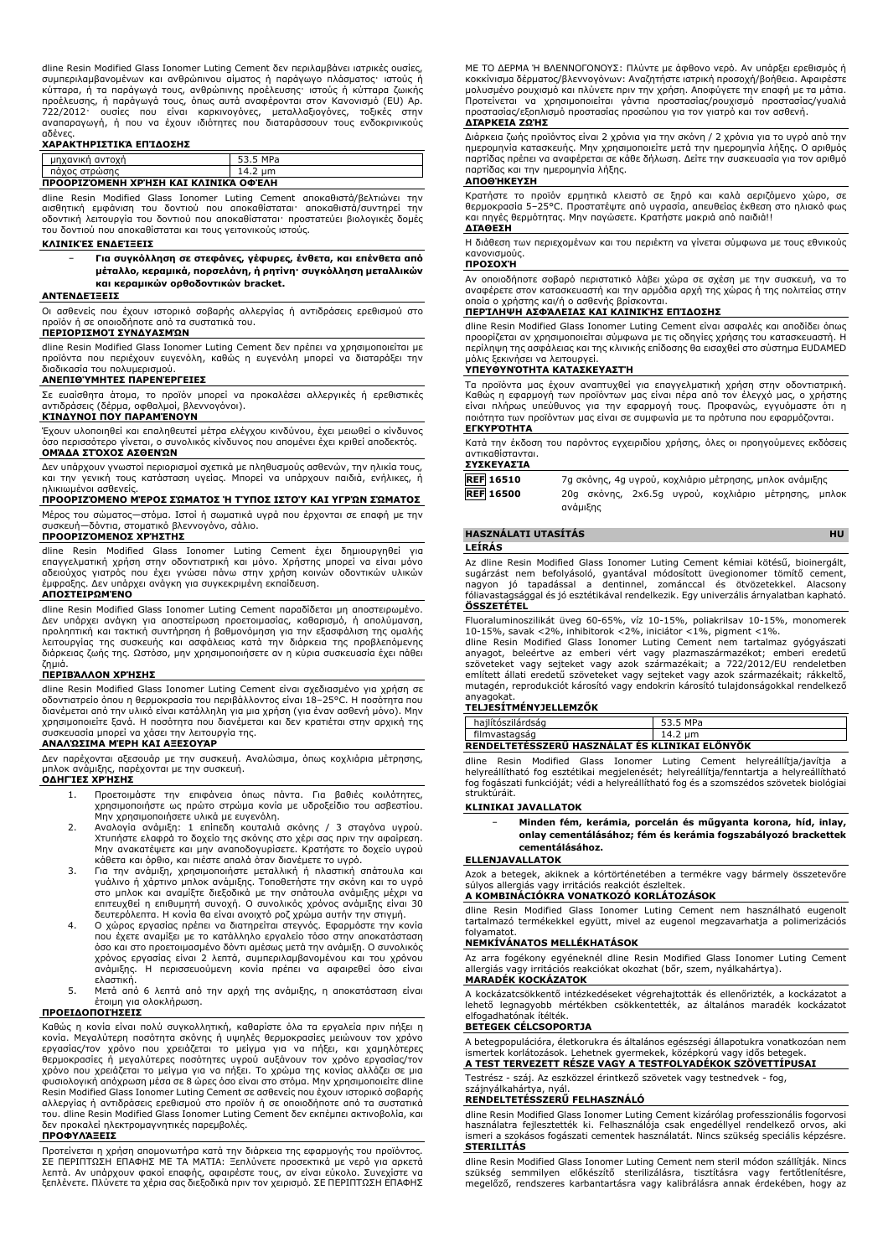dline Resin Modified Glass Ionomer Luting Cement δεν περιλαμβάνει ιατρικές ουσίες, συμπεριλαμβανομένων και ανθρώπινου αίματος ή παράγωγο πλάσματος· ιστούς ή κύτταρα, ή τα παράγωγά τους, ανθρώπινης προέλευσης· ιστούς ή κύτταρα ζωικής προέλευσης, ή παράγωγά τους, όπως αυτά αναφέρονται στον Κανονισμό (EU) Αρ. 722/2012· ουσίες που είναι καρκινογόνες, μεταλλαξιογόνες, τοξικές στην αναπαραγωγή, ή που να έχουν ιδιότητες που διαταράσσουν τους ενδοκρινικούς

# αδένες. **ΧΑΡΑΚΤΗΡΙΣΤΙΚΆ ΕΠΊΔΟΣΗΣ**

|  | avikn:<br>avroxn | MD <sub>2</sub> |  |  |
|--|------------------|-----------------|--|--|
|  | $\pi$            | ыш<br>17.L      |  |  |
|  |                  |                 |  |  |

**ΠΡΟΟΡΙΖΌΜΕΝΗ ΧΡΉΣΗ ΚΑΙ ΚΛΙΝΙΚΆ ΟΦΈΛΗ** dline Resin Modified Glass Ionomer Luting Cement αποκαθιστά/βελτιώνει την<br>αισθητική εμφάνιση του δοντιού που αποκαθίσταται<sup>,</sup> αποκαθιστά/συντηρεί την<br>οδοντική λειτουργία του δοντιού που αποκαθίσταται· προστατεύει βιολογικ του δοντιού που αποκαθίσταται και τους γειτονικούς ιστούς.

### **ΚΛΙΝΙΚΈΣ ΕΝΔΕΊΞΕΙΣ**

− **Για συγκόλληση σε στεφάνες, γέφυρες, ένθετα, και επένθετα από μέταλλο, κεραμικά, πορσελάνη, ή ρητίνη· συγκόλληση μεταλλικών και κεραμικών ορθοδοντικών bracket.**

### **ΑΝΤΕΝΔΕΊΞΕΙΣ**

Οι ασθενείς που έχουν ιστορικό σοβαρής αλλεργίας ή αντιδράσεις ερεθισμού στο προϊόν ή σε οποιοδήποτε από τα συστατικά του.

# **ΠΕΡΙΟΡΙΣΜΟΊ ΣΥΝΔΥΑΣΜΏΝ**

dline Resin Modified Glass Ionomer Luting Cement δεν πρέπει να χρησιμοποιείται με προϊόντα που περιέχουν ευγενόλη, καθώς η ευγενόλη μπορεί να διαταράξει την διαδικασία του πολυμερισμού.

### **ΑΝΕΠΙΘΎΜΗΤΕΣ ΠΑΡΕΝΈΡΓΕΙΕΣ**

Σε ευαίσθητα άτομα, το προϊόν μπορεί να προκαλέσει αλλεργικές ή ερεθιστικές αντιδράσεις (δέρμα, οφθαλμοί, βλεννογόνοι).

# **ΚΊΝΔΥΝΟΙ ΠΟΥ ΠΑΡΑΜΈΝΟΥΝ**

Έχουν υλοποιηθεί και επαληθευτεί μέτρα ελέγχου κινδύνου, έχει μειωθεί ο κίνδυνος όσο περισσότερο γίνεται, ο συνολικός κίνδυνος που απομένει έχει κριθεί αποδεκτός. **ΟΜΆΔΑ ΣΤΌΧΟΣ ΑΣΘΕΝΏΝ**

# Δεν υπάρχουν γνωστοί περιορισμοί σχετικά με πληθυσμούς ασθενών, την ηλικία τους, και την γενική τους κατάσταση υγείας. Μπορεί να υπάρχουν παιδιά, ενήλικες, ή ηλικιωμένοι ασθενείς.

### **ΠΡΟΟΡΙΖΌΜΕΝΟ ΜΈΡΟΣ ΣΏΜΑΤΟΣ Ή ΤΎΠΟΣ ΙΣΤΟΎ ΚΑΙ ΥΓΡΏΝ ΣΏΜΑΤΟΣ**

Μέρος του σώματος—στόμα. Ιστοί ή σωματικά υγρά που έρχονται σε επαφή με την

### συσκευή—δόντια, στοματικό βλεννογόνο, σάλιο. **ΠΡΟΟΡΙΖΌΜΕΝΟΣ ΧΡΉΣΤΗΣ**

dline Resin Modified Glass Ionomer Luting Cement έχει δημιουργηθεί για επαγγελματική χρήση στην οδοντιατρική και μόνο. Χρήστης μπορεί να είναι μόνο αδειούχος γιατρός που έχει γνώσει πάνω στην χρήση κοινών οδοντικών υλικών έμφραξης. Δεν υπάρχει ανάγκη για συγκεκριμένη εκπαίδευση.

### **ΑΠΟΣΤΕΙΡΩΜΈΝΟ**

dline Resin Modified Glass Ionomer Luting Cement παραδίδεται μη αποστειρωμένο. Δεν υπάρχει ανάγκη για αποστείρωση προετοιμασίας, καθαρισμό, ή απολύμανση, προληπτική και τακτική συντήρηση ή βαθμονόμηση για την εξασφάλιση της ομαλής λειτουργίας της συσκευής και ασφάλειας κατά την διάρκεια της προβλεπόμενης διάρκειας ζωής της. Ωστόσο, μην χρησιμοποιήσετε αν η κύρια συσκευασία έχει πάθει ζημιά.

### **ΠΕΡΙΒΆΛΛΟΝ ΧΡΉΣΗΣ**

dline Resin Modified Glass Ionomer Luting Cement είναι σχεδιασμένο για χρήση σε οδοντιατρείο όπου η θερμοκρασία του περιβάλλοντος είναι 18–25°C. Η ποσότητα που διανέμεται από την υλικό είναι κατάλληλη για μια χρήση (για έναν ασθενή μόνο). Μην χρησιμοποιείτε ξανά. Η ποσότητα που διανέμεται και δεν κρατιέται στην αρχική της συσκευασία μπορεί να χάσει την λειτουργία της. **ΑΝΑΛΏΣΙΜΑ ΜΈΡΗ ΚΑΙ ΑΞΕΣΟΥΆΡ**

Δεν παρέχονται αξεσουάρ με την συσκευή. Αναλώσιμα, όπως κοχλιάρια μέτρησης, μπλοκ ανάμιξης, παρέχονται με την συσκευή. **ΟΔΗΓΊΕΣ ΧΡΉΣΗΣ**

- 1. Προετοιμάστε την επιφάνεια όπως πάντα. Για βαθιές κοιλότητες,<br>χρησιμοποιήστε ως πρώτο στρώμα κονία με υδροξείδιο του ασβεστίου.<br>Μην χρησιμοποιήσετε υλικά με ευγενόλη.<br>2. Αναλογία ανάμιξη: 1 επίπεδη κουταλιά σκόνης / 3
- Μην ανακατέψετε και μην αναποδογυρίσετε. Κρατήστε το δοχείο υγρού κάθετα και όρθιο, και πιέστε απαλά όταν διανέμετε το υγρό.
- 3. Για την ανάμιξη, χρησιμοποιήστε μεταλλική ή πλαστική σπάτουλα και γυάλινο ή χάρτινο μπλοκ ανάμιξης. Τοποθετήστε την σκόνη και το υγρό στο μπλοκ και αναμίξτε διεξοδικά με την σπάτουλα ανάμιξης μέχρι να επιτευχθεί η επιθυμητή συνοχή. Ο συνολικός χρόνος ανάμιξης είναι 30 δευτερόλεπτα. Η κονία θα είναι ανοιχτό ροζ χρώμα αυτήν την στιγμή.
- 4. Ο χώρος εργασίας πρέπει να διατηρείται στεγνός. Εφαρμόστε την κονία που έχετε αναμίξει με το κατάλληλο εργαλείο τόσο στην αποκατάσταση όσο και στο προετοιμασμένο δόντι αμέσως μετά την ανάμιξη. Ο συνολικός χρόνος εργασίας είναι 2 λεπτά, συμπεριλαμβανομένου και του χρόνου ανάμιξης. Η περισσευούμενη κονία πρέπει να αφαιρεθεί όσο είναι ελαστική.
- 5. Μετά από 6 λεπτά από την αρχή της ανάμιξης, η αποκατάσταση είναι έτοιμη για ολοκλήρωση.

### **ΠΡΟΕΙΔΟΠΟΙΉΣΕΙΣ**

Καθώς η κονία είναι πολύ συγκολλητική, καθαρίστε όλα τα εργαλεία πριν πήξει η<br>κονία. Μεγαλύτερη ποσότητα σκόνης ή υψηλές θερμοκρασίες μειώνουν τον χρόνο<br>εργασίας/τον χρόνο που χρειάζεται το μείγμα για να πήξει, και χαμηλό χρόνο που χρειάζεται το μείγμα για να πήξει. Το χρώμα της κονίας αλλάζει σε μια φυσιολογική απόχρωση μέσα σε 8 ώρες όσο είναι στο στόμα. Μην χρησιμοποιείτε dline Resin Modified Glass Ionomer Luting Cement σε ασθενείς που έχουν ιστορικό σοβαρής αλλεργίας ή αντιδράσεις ερεθισμού στο προϊόν ή σε οποιοδήποτε από τα συστατικά του. dline Resin Modified Glass Ionomer Luting Cement δεν εκπέμπει ακτινοβολία, και δεν προκαλεί ηλεκτρομαγνητικές παρεμβολές.

### **ΠΡΟΦΥΛΆΞΕΙΣ**

Προτείνεται η χρήση απομονωτήρα κατά την διάρκεια της εφαρμογής του προϊόντος. ΣΕ ΠΕΡΙΠΤΩΣΗ ΕΠΑΦΗΣ ΜΕ ΤΑ ΜΑΤΙΑ: Ξεπλύνετε προσεκτικά με νερό για αρκετά λεπτά. Αν υπάρχουν φακοί επαφής, αφαιρέστε τους, αν είναι εύκολο. Συνεχίστε να ξεπλένετε. Πλύνετε τα χέρια σας διεξοδικά πριν τον χειρισμό. ΣΕ ΠΕΡΙΠΤΩΣΗ ΕΠΑΦΗΣ ΜΕ ΤΟ ΔΕΡΜΑ Ή ΒΛΕΝΝΟΓΟΝΟΥΣ: Πλύντε με άφθονο νερό. Αν υπάρξει ερεθισμός ή κοκκίνισμα δέρματος/βλεννογόνων: Αναζητήστε ιατρική προσοχή/βοήθεια. Αφαιρέστε μολυσμένο ρουχισμό και πλύνετε πριν την χρήση. Αποφύγετε την επαφή με τα μάτια.<br>Προτείνεται να χρησιμοποιείται γάντια προστασίας/ρουχισμό προστασίας/γυαλιά<br>προστασίας/εξοπλισμό προστασίας προσώπου για τον γιατρό κα

### **ΔΙΆΡΚΕΙΑ ΖΩΉΣ**

Διάρκεια ζωής προϊόντος είναι 2 χρόνια για την σκόνη / 2 χρόνια για το υγρό από την<br>ημερομηνία κατασκευής. Μην χρησιμοποιείτε μετά την ημερομηνία λήξης. Ο αριθμός<br>παρτίδας πρέπει να αναφέρεται σε κάθε δήλωση. Δείτε την συ παρτίδας και την ημερομηνία λήξης.

## **ΑΠΟΘΉΚΕΥΣΗ**

Κρατήστε το προϊόν ερμητικά κλειστό σε ξηρό και καλά αεριζόμενο χώρο, σε θερμοκρασία 5–25°C. Προστατέψτε από υγρασία, απευθείας έκθεση στο ηλιακό φως και πηγές θερμότητας. Μην παγώσετε. Κρατήστε μακριά από παιδιά!! **ΔΙΆΘΕΣΗ**

Η διάθεση των περιεχομένων και του περιέκτη να γίνεται σύμφωνα με τους εθνικούς κανονισμούς.

# **ΠΡΟΣΟΧΉ**

Αν οποιοδήποτε σοβαρό περιστατικό λάβει χώρα σε σχέση με την συσκευή, να το αναφέρετε στον κατασκευαστή και την αρμόδια αρχή της χώρας ή της πολιτείας στην οποία ο χρήστης και/ή ο ασθενής βρίσκονται.

### **ΠΕΡΊΛΗΨΗ ΑΣΦΆΛΕΙΑΣ ΚΑΙ ΚΛΙΝΙΚΉΣ ΕΠΊΔΟΣΗΣ**

dline Resin Modified Glass Ionomer Luting Cement είναι ασφαλές και αποδίδει όπως προορίζεται αν χρησιμοποιείται σύμφωνα με τις οδηγίες χρήσης του κατασκευαστή. Η περίληψη της ασφάλειας και της κλινικής επίδοσης θα εισαχθεί στο σύστημα EUDAMED μόλις ξεκινήσει να λειτουργεί.

### **ΥΠΕΥΘΥΝΌΤΗΤΑ ΚΑΤΑΣΚΕΥΑΣΤΉ**

Τα προϊόντα μας έχουν αναπτυχθεί για επαγγελματική χρήση στην οδοντιατρική. Καθώς η εφαρμογή των προϊόντων μας είναι πέρα από τον έλεγχό μας, ο χρήστης είναι πλήρως υπεύθυνος για την εφαρμογή τους. Προφανώς, εγγυόμαστε ότι η ποιότητα των προϊόντων μας είναι σε συμφωνία με τα πρότυπα που εφαρμόζονται. **ΕΓΚΥΡΌΤΗΤΑ**

Κατά την έκδοση του παρόντος εγχειριδίου χρήσης, όλες οι προηγούμενες εκδόσεις αντικαθίστανται. **ΣΥΣΚΕΥΑΣΊΑ**

|  | ανάμιξης |  | 7g σκόνης, 4g υγρού, κοχλιάριο μέτρησης, μπλοκ ανάμιξης<br>20g σκόνης, 2χ6.5g υγρού, κοχλιάριο μέτρησης, μπλοκ |
|--|----------|--|----------------------------------------------------------------------------------------------------------------|

# **HASZNÁLATI UTASÍTÁS HU**

### **LEÍRÁS**

Az dline Resin Modified Glass Ionomer Luting Cement kémiai kötésű, bioinergált, sugárzást nem befolyásoló, gyantával módosított üvegionomer tömítő cement, nagyon jó tapadással a dentinnel, zománccal és ötvözetekkel. Alacsony fóliavastagsággal és jó esztétikával rendelkezik. Egy univerzális árnyalatban kapható. **ÖSSZETÉTEL**

Fluoraluminoszilikát üveg 60-65%, víz 10-15%, poliakrilsav 10-15%, monomerek

10-15%, savak <2%, inhibitorok <2%, iniciátor <1%, pigment <1%. dline Resin Modified Glass Ionomer Luting Cement nem tartalmaz gyógyászati anyagot, beleértve az emberi vért vagy plazmaszármazékot; emberi eredetű<br>szöveteket vagy sejteket vagy azok származékait; a 722/2012/EU rendeletben<br>említett-állati-eredetű-szöveteket-vagy-sejteket-vagy-azok-származékait; r mutagén, reprodukciót károsító vagy endokrin károsító tulajdonságokkal rendelkező anyagokat.

### **TELJESÍTMÉNYJELLEMZŐK**

| hailítószilárdság                              | 53.5 MPa |  |  |  |  |
|------------------------------------------------|----------|--|--|--|--|
| filmvastagság                                  | 14.2 um  |  |  |  |  |
| RENDELTETESSZERU HASZNÁLAT ÉS KLINIKAI ELÖNYÖK |          |  |  |  |  |

dline Resin Modified Glass Ionomer Luting Cement helyreállítja/javítja a<br>helyreállítható fogesztétikai megjelenését; helyreállítja/fenntartja a helyreállítható<br>fogfogászati funkcióját; védi a helyreállítható fogés a szomsz struktúráit.

### **KLINIKAI JAVALLATOK**

− **Minden fém, kerámia, porcelán és műgyanta korona, híd, inlay, onlay cementálásához; fém és kerámia fogszabályozó brackettek cementálásához.**

### **ELLENJAVALLATOK**

Azok a betegek, akiknek a kórtörténetében a termékre vagy bármely összetevőre súlyos allergiás vagy irritációs reakciót észleltek.

### **A KOMBINÁCIÓKRA VONATKOZÓ KORLÁTOZÁSOK**

dline Resin Modified Glass Ionomer Luting Cement nem használható eugenolt tartalmazó termékekkel együtt, mivel az eugenol megzavarhatja a polimerizációs folyamatot.

### **NEMKÍVÁNATOS MELLÉKHATÁSOK**

Az arra fogékony egyéneknél dline Resin Modified Glass Ionomer Luting Cement allergiás vagy irritációs reakciókat okozhat (bőr, szem, nyálkahártya). **MARADÉK KOCKÁZATOK**

A kockázatcsökkentő intézkedéseket végrehajtották és ellenőrizték, a kockázatot a lehető legnagyobb mértékben csökkentették, az általános maradék kockázatot elfogadhatónak ítélték.

### **BETEGEK CÉLCSOPORTJA**

A betegpopulációra, életkorukra és általános egészségi állapotukra vonatkozóan nem ismertek korlátozások. Lehetnek gyermekek, középkorú vagy idős betegek. **A TEST TERVEZETT RÉSZE VAGY A TESTFOLYADÉKOK SZÖVETTÍPUSAI**

Testrész - száj. Az eszközzel érintkező szövetek vagy testnedvek - fog, szájnyálkahártya, nyál.

### **RENDELTETÉSSZERŰ FELHASZNÁLÓ**

dline Resin Modified Glass Ionomer Luting Cement kizárólag professzionális fogorvosi használatra fejlesztették ki. Felhasználója csak engedéllyel rendelkező orvos, aki ismeri a szokásos fogászati cementek használatát. Nincs szükség speciális képzésre. **STERILITÁS**

dline Resin Modified Glass Ionomer Luting Cement nem steril módon szállítják. Nincs szükség semmilyen előkészítő sterilizálásra, tisztításra vagy fertőtlenítésre, megelőző, rendszeres karbantartásra vagy kalibrálásra annak érdekében, hogy az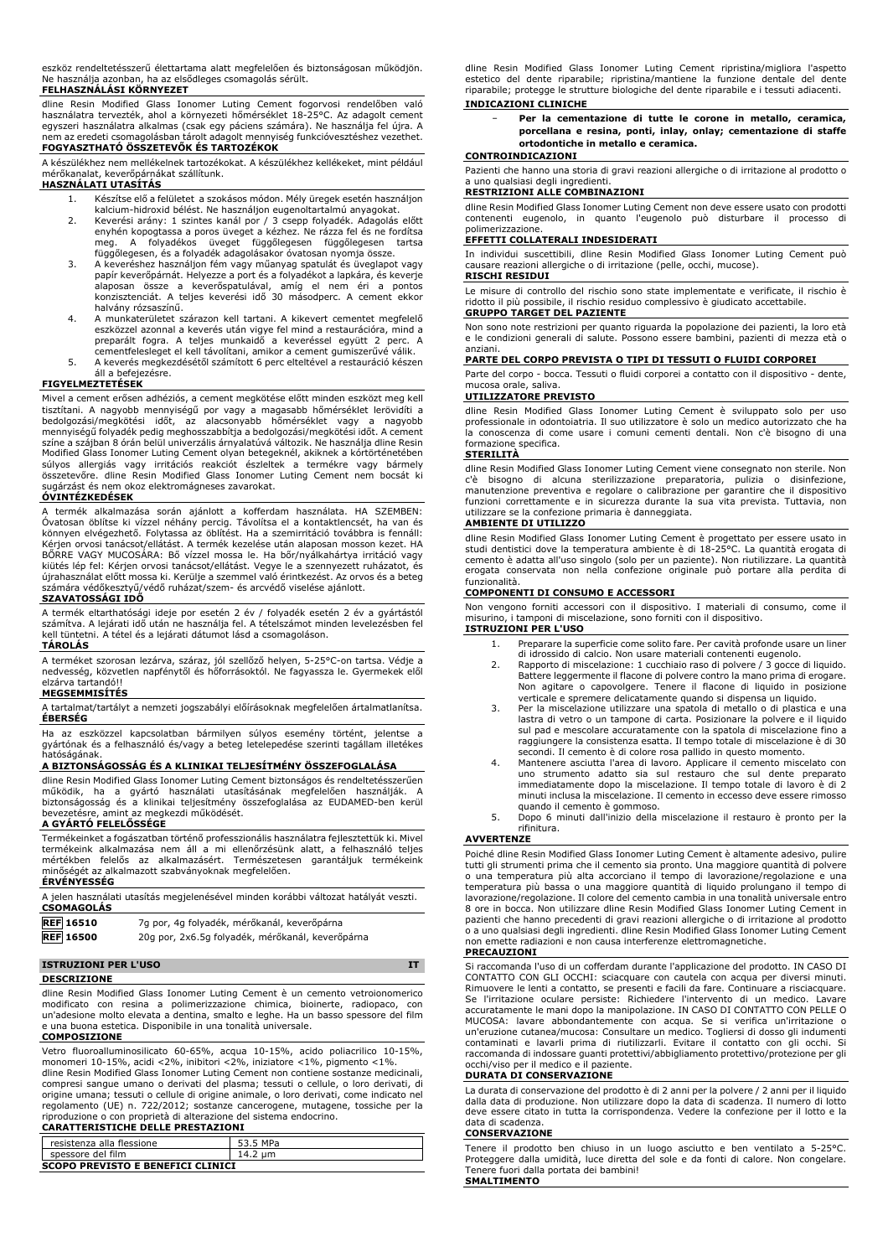eszköz rendeltetésszerű élettartama alatt megfelelően és biztonságosan működjön. Ne használja azonban, ha az elsődleges csomagolás sérült.

### **FELHASZNÁLÁSI KÖRNYEZET**

dline Resin Modified Glass Ionomer Luting Cement fogorvosi rendelöben valo<br>használatra tervezték, ahol a környezeti hőmérséklet 18-25°C. Az adagolt cement<br>egyszeri használatra alkalmas (csak-egy páciens-számára). Ne haszná nem az eredeti csomagolásban tárolt adagolt mennyiség funkcióvesztéshez vezethet. **FOGYASZTHATÓ ÖSSZETEVŐK ÉS TARTOZÉKOK**

A készülékhez nem mellékelnek tartozékokat. A készülékhez kellékeket, mint például mérőkanalat, keverőpárnákat szállítunk.

# **HASZNÁLATI UTASÍTÁS**

- 
- 1. Készítse elő a felületet a szokásos módon. Mély üregek esetén használjon<br>kalcium-hidroxid bélést. Ne használjon eugenoltartalmú anyagokat.<br>2. Keverési arány: 1 szintes kanál por / 3 csepp folyadék. Adagokás előtt<br>enyhén
- függőlegesen, és a folyadék adagolásakor óvatosan nyomja össze. 3. A keveréshez használjon fém vagy műanyag spatulát és üveglapot vagy papír keverőpárnát. Helyezze a port és a folyadékot a lapkára, és keverje<br>alaposan össze a keverőspatulával, amíg el nem éri a pontos<br>konzisztenciát. A teljes keverési idő 30 másodperc. A cemen halvány rózsaszínű.
- 4. A munkaterületet szárazon kell tartani. A kikevert cementet megfelelő eszközzel azonnal a keverés után vigye fel mind a restaurációra, mind a preparált fogra. A teljes munkaidő a keveréssel együtt 2 perc. A cementfelesleget el kell távolítani, amikor a cement gumiszerűvé válik.
- 5. A keverés megkezdésétől számított 6 perc elteltével a restauráció készen áll a befejezésre.

### **FIGYELMEZTETÉSEK**

Mivel a cement erősen adhéziós, a cement megkötése előtt minden eszközt meg kell tisztitani. A nagyobb mennyiségű por vagy a magasabb hőmérséklet lerövidíti a<br>bedolgozási/megkötési- időt, -az-alacsonyabb- hőmérséklet- vagy-a- nagyobb<br>mennyiségű-folyadék-pedig-meghosszabbítja-a-bedolgozási/megkötési-idő színe a szájban 8 órán belül univerzális árnyalatúvá változik. Ne használja dline Resin Modified Glass Ionomer Luting Cement olyan betegeknél, akiknek a kórtörténetében súlyos allergiás vagy irritációs reakciót észleltek a termékre vagy bármely összetevőre. dline Resin Modified Glass Ionomer Luting Cement nem bocsát ki sugárzást és nem okoz elektromágneses zavarokat.

## **ÓVINTÉZKEDÉSEK**

A termék alkalmazása során ajánlott a kofferdam használata. HA SZEMBEN: Ovatosan öblítse ki vízzel néhány percig. Távolítsa el a kontaktlencsét, ha van és<br>könnyen elvégezhető. Folytassa az öblítést. Ha a szemirritáció továbbra is fennáll:<br>Kérjen orvosi tanácsot/ellátást. A termék kezelése után kiütés lép fel: Kérjen orvosi tanácsot/ellátást. Vegye le a szennyezett ruházatot, és<br>újrahasználat előtt mossa ki. Kerülje a szemmel való érintkezést. Az orvos és a beteg<br>számára védőkesztyű/védő ruházat/szem- és arcvédő

# **SZAVATOSSÁGI IDŐ**

A termék eltarthatósági ideje por esetén 2 év / folyadék esetén 2 év a gyártástól számítva. A lejárati idő után ne használja fel. A tételszámot minden levelezésben fel kell tüntetni. A tétel és a lejárati dátumot lásd a csomagoláson. **TÁROLÁS**

# A terméket szorosan lezárva, száraz, jól szellőző helyen, 5-25°C-on tartsa. Védje a nedvesség, közvetlen napfénytől és hőforrásoktól. Ne fagyassza le. Gyermekek elől

# elzárva tartandó!! **MEGSEMMISÍTÉS**

A tartalmat/tartályt a nemzeti jogszabályi előírásoknak megfelelően ártalmatlanítsa. **ÉBERSÉG**

Ha az eszközzel kapcsolatban bármilyen súlyos esemény történt, jelentse a gyártónak és a felhasználó és/vagy a beteg letelepedése szerinti tagállam illetékes hatóságának.

### **A BIZTONSÁGOSSÁG ÉS A KLINIKAI TELJESÍTMÉNY ÖSSZEFOGLALÁSA**

dline Resin Modified Glass Ionomer Luting Cement biztonságos és rendeltetésszerűen működik, ha a gyártó használati utasításának megfelelően használják. A biztonságosság és a klinikai teljesítmény összefoglalása az EUDAMED-ben kerül bevezetésre, amint az megkezdi működését.

# **A GYÁRTÓ FELELŐSSÉGE**

Termékeinket a fogászatban történő professzionális használatra fejlesztettük ki. Mivel termékeink alkalmazása nem áll a mi ellenőrzésünk alatt, a felhasználó teljes mértékben felelős az alkalmazásért. Természetesen garantáljuk termékeink elelőségét a alkalmazott a az alkalmazott szabványoknak megfelelően. **ÉRVÉNYESSÉG**

A jelen használati utasítás megjelenésével minden korábbi változat hatályát veszti. **CSOMAGOLÁS**

| <b>REF</b> 16510 | 7g por, 4g folyadék, mérőkanál, keverőpárna      |
|------------------|--------------------------------------------------|
| <b>REF</b> 16500 | 20g por, 2x6.5g folyadék, mérőkanál, keverőpárna |

### **ISTRUZIONI PER L'USO IT**

**DESCRIZIONE**

dline Resin Modified Glass Ionomer Luting Cement è un cemento vetroionomerico modificato con resina a polimerizzazione chimica, bioinerte, radiopaco, con un'adesione molto elevata a dentina, smalto e leghe. Ha un basso spessore del film e una buona estetica. Disponibile in una tonalità universale. **COMPOSIZIONE**

Vetro fluoroalluminosilicato 60-65%, acqua 10-15%, acido poliacrilico 10-15%, monomeri 10-15%, acidi <2%, inibitori <2%, iniziatore <1%, pigmento <1%. dline Resin Modified Glass Ionomer Luting Cement non contiene sostanze medicinali,

compresi sangue umano o derivati del plasma; tessuti o cellule, o loro derivati, di<br>origine umana; tessuti o cellule di origine animale, o loro derivati, come indicato nel regolamento (UE) n. 722/2012; sostanze cancerogene, mutagene, tossiche per la riproduzione o con proprietà di alterazione del sistema endocrino. **CARATTERISTICHE DELLE PRESTAZIONI**

| resistenza alla flessione                | 53.5 MPa |  |  |  |
|------------------------------------------|----------|--|--|--|
| spessore del film                        | 14.2 um  |  |  |  |
| <b>SCOPO PREVISTO E BENEFICI CLINICI</b> |          |  |  |  |

dline Resin Modified Glass Ionomer Luting Cement ripristina/migliora l'aspetto estetico del dente riparabile; ripristina/mantiene la funzione dentale del dente riparabile; protegge le strutture biologiche del dente riparabile e i tessuti adiacenti. **INDICAZIONI CLINICHE**

### − **Per la cementazione di tutte le corone in metallo, ceramica, porcellana e resina, ponti, inlay, onlay; cementazione di staffe ortodontiche in metallo e ceramica.**

### **CONTROINDICAZIONI**

Pazienti che hanno una storia di gravi reazioni allergiche o di irritazione al prodotto o a uno qualsiasi degli ingredienti. **RESTRIZIONI ALLE COMBINAZIONI**

### dline Resin Modified Glass Ionomer Luting Cement non deve essere usato con prodotti contenenti eugenolo, in quanto l'eugenolo può disturbare il processo di polimerizzazione.

# **EFFETTI COLLATERALI INDESIDERATI**

In individui suscettibili, dline Resin Modified Glass Ionomer Luting Cement può causare reazioni allergiche o di irritazione (pelle, occhi, mucose). **RISCHI RESIDUI**

Le misure di controllo del rischio sono state implementate e verificate, il rischio è ridotto il più possibile, il rischio residuo complessivo è giudicato accettabile. **GRUPPO TARGET DEL PAZIENTE**

Non sono note restrizioni per quanto riguarda la popolazione dei pazienti, la loro età e le condizioni generali di salute. Possono essere bambini, pazienti di mezza età o anziani.

### **PARTE DEL CORPO PREVISTA O TIPI DI TESSUTI O FLUIDI CORPOREI**

Parte del corpo - bocca. Tessuti o fluidi corporei a contatto con il dispositivo - dente, mucosa orale, saliva.

### **UTILIZZATORE PREVISTO**

dline Resin Modified Glass Ionomer Luting Cement è sviluppato solo per uso professionale in odontoiatria. Il suo utilizzatore è solo un medico autorizzato che ha la conoscenza di come usare i comuni cementi dentali. Non c'è bisogno di una formazione specifica.

### **STERILITÀ**

dline Resin Modified Glass Ionomer Luting Cement viene consegnato non sterile. Non c'è bisogno di alcuna sterilizzazione preparatoria, pulizia o disinfezione, manutenzione preventiva e regolare o calibrazione per garantire che il dispositivo funzioni correttamente e in sicurezza durante la sua vita prevista. Tuttavia, non utilizzare se la confezione primaria è danneggiata.

### **AMBIENTE DI UTILIZZO**

dline Resin Modified Glass Ionomer Luting Cement è progettato per essere usato in studi dentistici dove la temperatura ambiente è di 18-25°C. La quantità erogata di cemento è adatta all'uso singolo (solo per un paziente). Non riutilizzare. La quantità erogata conservata non nella confezione originale può portare alla perdita di funzionalità.

### **COMPONENTI DI CONSUMO E ACCESSORI**

Non vengono forniti accessori con il dispositivo. I materiali di consumo, come il misurino, i tamponi di miscelazione, sono forniti con il dispositivo.

**ISTRUZIONI PER L'USO**

- 1. Preparare la superficie come solito fare. Per cavità profonde usare un liner
- di idrossido di calcio. Non usare materiali contenenti eugenolo.<br>2. Rapporto di miscelazione: 1 cucchiaio raso di polvere / 3 gocce di liquido.<br>Battere leggermente il flacone di polvere contro la mano prima di erogare
- verticale e spremere delicatamente quando si dispensa un liquido. 3. Per la miscelazione utilizzare una spatola di metallo o di plastica e una lastra di vetro o un tampone di carta. Posizionare la polvere e il liquido sul pad e mescolare accuratamente con la spatola di miscelazione fino a raggiungere la consistenza esatta. Il tempo totale di miscelazione è di 30
- secondi. Il cemento è di colore rosa pallido in questo momento. 4. Mantenere asciutta l'area di lavoro. Applicare il cemento miscelato con uno strumento adatto sia sul restauro che sul dente preparato immediatamente dopo la miscelazione. Il tempo totale di lavoro è di 2 minuti inclusa la miscelazione. Il cemento in eccesso deve essere rimosso quando il cemento è gommoso.
- 5. Dopo 6 minuti dall'inizio della miscelazione il restauro è pronto per la rifinitura.

### **AVVERTENZE**

Poiché dline Resin Modified Glass Ionomer Luting Cement è altamente adesivo, pulire tutti gli strumenti prima che il cemento sia pronto. Una maggiore quantità di polvere o una temperatura più alta accorciano il tempo di lavorazione/regolazione e una temperatura più bassa o una maggiore quantità di liquido prolungano il tempo di lavorazione/regolazione. Il colore del cemento cambia in una tonalità universale entro 8 ore in bocca. Non utilizzare dline Resin Modified Glass Ionomer Luting Cement in pazienti che hanno precedenti di gravi reazioni allergiche o di irritazione al prodotto o a uno qualsiasi degli ingredienti. dline Resin Modified Glass Ionomer Luting Cement non emette radiazioni e non causa interferenze elettromagnetiche.

### **PRECAUZIONI**

Si raccomanda l'uso di un cofferdam durante l'applicazione del prodotto. IN CASO DI CONTATTO CON GLI OCCHI: sciacquare con cautela con acqua per diversi minuti. Rimuovere le lenti a contatto, se presenti e facili da fare. Continuare a risciacquare. Se l'irritazione oculare persiste: Richiedere l'intervento di un medico. Lavare<br>accuratamente le mani dopo la manipolazione. INCASO DI CONTATTO CON PELLE O<br>MUCOSA: lavare abbondantemente con acqua. Se si verifica un'irrita contaminati e lavarli prima di riutilizzarli. Evitare il contatto con gli occhi. Si raccomanda di indossare guanti protettivi/abbigliamento protettivo/protezione per gli occhi/viso per il medico e il paziente.

### **DURATA DI CONSERVAZIONE**

La durata di conservazione del prodotto è di 2 anni per la polvere / 2 anni per il liquido dalla data di produzione. Non utilizzare dopo la data di scadenza. Il numero di lotto deve essere citato in tutta la corrispondenza. Vedere la confezione per il lotto e la data di scadenza.

### **CONSERVAZIONE**

Tenere il prodotto ben chiuso in un luogo asciutto e ben ventilato a 5-25°C. Proteggere dalla umidità, luce diretta del sole e da fonti di calore. Non congelare. Tenere fuori dalla portata dei bambini! **SMALTIMENTO**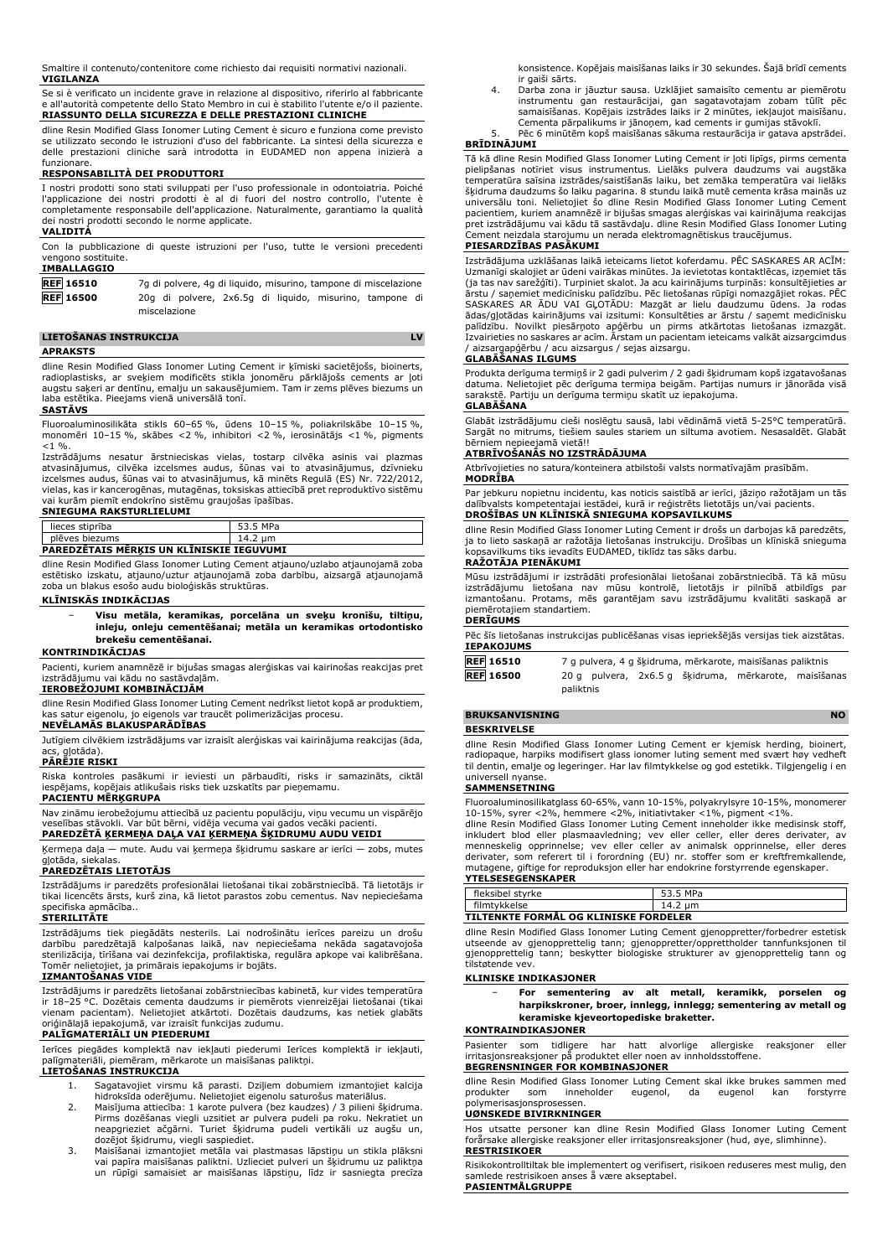Smaltire il contenuto/contenitore come richiesto dai requisiti normativi nazionali. **VIGILANZA**

Se si è verificato un incidente grave in relazione al dispositivo, riferirlo al fabbricante e all'autorità competente dello Stato Membro in cui è stabilito l'utente e/o il paziente. **RIASSUNTO DELLA SICUREZZA E DELLE PRESTAZIONI CLINICHE**

dline Resin Modified Glass Ionomer Luting Cement è sicuro e funziona come previsto se utilizzato secondo le istruzioni d'uso del fabbricante. La sintesi della sicurezza e delle prestazioni cliniche sarà introdotta in EUDAMED non appena inizierà a funzionare

### **RESPONSABILITÀ DEI PRODUTTORI**

I nostri prodotti sono stati sviluppati per l'uso professionale in odontoiatria. Poiché l'applicazione dei nostri prodotti è al di fuori del nostro controllo, l'utente è completamente responsabile dell'applicazione. Naturalmente, garantiamo la qualità dei nostri prodotti secondo le norme applicate. **VALIDITÀ**

Con la pubblicazione di queste istruzioni per l'uso, tutte le versioni precedenti vengono sostituite.

# **IMBALLAGGIO**

| <b>REF 16510</b> |  |              |  | 7q di polvere, 4q di liquido, misurino, tampone di miscelazione |  |
|------------------|--|--------------|--|-----------------------------------------------------------------|--|
| <b>REF</b> 16500 |  |              |  | 20g di polvere, 2x6.5g di liquido, misurino, tampone di         |  |
|                  |  | miscelazione |  |                                                                 |  |

### **LIETOŠANAS INSTRUKCIJA LV APRAKSTS**

dline Resin Modified Glass Ionomer Luting Cement ir ķīmiski sacietējošs, bioinerts, radioplastisks, ar sveķiem modificēts stikla jonomēru pārklājošs cements ar ļoti augstu saķeri ar dentīnu, emalju un sakausējumiem. Tam ir zems plēves biezums un laba estētika. Pieejams vienā universālā tonī.

### **SASTĀVS**

Fluoroaluminosilikāta stikls 60–65 %, ūdens 10–15 %, poliakrilskābe 10–15 %, monomēri 10–15 %, skābes <2 %, inhibitori <2 %, ierosinātājs <1 %, pigments  $< 1$  %.

Izstrādājums nesatur ārstnieciskas vielas, tostarp cilvēka asinis vai plazmas atvasinājumus, cilvēka izcelsmes audus, šūnas vai to atvasinājumus, dzīvnieku izcelsmes audus, šūnas vai to atvasinājumus, kā minēts Regulā (ES) Nr. 722/2012, vielas, kas ir kancerogēnas, mutagēnas, toksiskas attiecībā pret reproduktīvo sistēmu vai kurām piemīt endokrīno sistēmu graujošas īpašības.

## **SNIEGUMA RAKSTURLIELUMI**

| lieces stiprība                                 | 53.5 MPa |  |  |  |  |
|-------------------------------------------------|----------|--|--|--|--|
| plēves biezums                                  | 14.2 um  |  |  |  |  |
| <b>PAREDZETAIS MERKIS UN KLĪNISKIE IEGUVUMI</b> |          |  |  |  |  |

dline Resin Modified Glass Ionomer Luting Cement atjauno/uzlabo atjaunojamā zoba estētisko izskatu, atjauno/uztur atjaunojamā zoba darbību, aizsargā atjaunojamā zoba un blakus esošo audu bioloģiskās struktūras.

# **KLĪNISKĀS INDIKĀCIJAS**

− **Visu metāla, keramikas, porcelāna un sveķu kronīšu, tiltiņu, inleju, onleju cementēšanai; metāla un keramikas ortodontisko brekešu cementēšanai.**

### **KONTRINDIKĀCIJAS**

Pacienti, kuriem anamnēzē ir bijušas smagas alerģiskas vai kairinošas reakcijas pret izstrādājumu vai kādu no sastāvdaļām.

### **IEROBEŽOJUMI KOMBINĀCIJĀM**

dline Resin Modified Glass Ionomer Luting Cement nedrīkst lietot kopā ar produktiem, kas satur eigenolu, jo eigenols var traucēt polimerizācijas procesu.

**NEVĒLAMĀS BLAKUSPARĀDĪBAS**

Jutīgiem cilvēkiem izstrādājums var izraisīt alerģiskas vai kairinājuma reakcijas (āda, alotāda)

### **PĀRĒJIE RISKI**

Riska kontroles pasākumi ir ieviesti un pārbaudīti, risks ir samazināts, ciktāl iespējams, kopējais atlikušais risks tiek uzskatīts par pieņemamu.

## **PACIENTU MĒRĶGRUPA**

Nav zināmu ierobežojumu attiecībā uz pacientu populāciju, viņu vecumu un vispārējo veselības stāvokli. Var būt bērni, vidēja vecuma vai gados vecāki pacienti. **PAREDZĒTĀ ĶERMEŅA DAĻA VAI ĶERMEŅA ŠĶIDRUMU AUDU VEIDI**

Ķermeņa daļa — mute. Audu vai ķermeņa šķidrumu saskare ar ierīci — zobs, mutes gļotāda, siekalas.

### **PAREDZĒTAIS LIETOTĀJS**

Izstrādājums ir paredzēts profesionālai lietošanai tikai zobārstniecībā. Tā lietotājs ir tikai licencēts ārsts, kurš zina, kā lietot parastos zobu cementus. Nav nepieciešama specifiska apmācība..

# **STERILITĀTE**

Izstrādājums tiek piegādāts nesterils. Lai nodrošinātu ierīces pareizu un drošu darbību paredzētajā kalpošanas laikā, nav nepieciešama nekāda sagatavojoša sterilizācija, tīrīšana vai dezinfekcija, profilaktiska, regulāra apkope vai kalibrēšana. Tomēr nelietojiet, ja primārais iepakojums ir bojāts. **IZMANTOŠANAS VIDE**

Izstrādājums ir paredzēts lietošanai zobārstniecības kabinetā, kur vides temperatūra ir 18–25 °C. Dozētais cementa daudzums ir piemērots vienreizējai lietošanai (tikai vienam pacientam). Nelietojiet atkārtoti. Dozētais daudzums, kas netiek glabāts oriģinālajā iepakojumā, var izraisīt funkcijas zudumu. **PALĪGMATERIĀLI UN PIEDERUMI**

Ierīces piegādes komplektā nav iekļauti piederumi Ierīces komplektā ir iekļauti, palīgmateriāli, piemēram, mērkarote un maisīšanas paliktņi.

# **LIETOŠANAS INSTRUKCIJA**

- 1. Sagatavojiet virsmu kā parasti. Dziļiem dobumiem izmantojiet kalcija hidroksīda oderējumu. Nelietojiet eigenolu saturošus materiālus. 2. Maisījuma attiecība: 1 karote pulvera (bez kaudzes) / 3 pilieni šķidruma.
- Pirms dozēšanas viegli uzsitiet ar pulvera pudeli pa roku. Nekratiet un neapgrieziet ačgārni. Turiet šķidruma pudeli vertikāli uz augšu un, dozējot šķidrumu, viegli saspiediet.
- 3. Maisīšanai izmantojiet metāla vai plastmasas lāpstiņu un stikla plāksni vai papīra maisīšanas paliktni. Uzlieciet pulveri un šķidrumu uz paliktņa un rūpīgi samaisiet ar maisīšanas lāpstiņu, līdz ir sasniegta precīza

konsistence. Kopējais maisīšanas laiks ir 30 sekundes. Šajā brīdī cements ir gaiši sārts.

- 4. Darba zona ir jāuztur sausa. Uzklājiet samaisīto cementu ar piemērotu instrumentu gan restaurācijai, gan sagatavotajam zobam tūlīt pēc samaisīšanas. Kopējais izstrādes laiks ir 2 minūtes, iekļaujot maisīšanu. Cementa pārpalikums ir jānoņem, kad cements ir gumijas stāvoklī.
	- Pēc 6 minūtēm kopš maisīšanas sākuma restaurācija ir gatava apstrādei.

# **BRĪDINĀJUMI**

Tā kā dline Resin Modified Glass Ionomer Luting Cement ir ļoti lipīgs, pirms cementa pielipšanas notīriet visus instrumentus. Lielāks pulvera daudzums vai augstāka temperatūra saīsina izstrādes/saistīšanās laiku, bet zemāka temperatūra vai lielāks šķidruma daudzums šo laiku pagarina. 8 stundu laikā mutē cementa krāsa mainās uz universālu toni. Nelietojiet šo dline Resin Modified Glass Ionomer Luting Cement pacientiem, kuriem anamnēzē ir bijušas smagas alerģiskas vai kairinājuma reakcijas pret izstrādājumu vai kādu tā sastāvdaļu. dline Resin Modified Glass Ionomer Luting Cement neizdala starojumu un nerada elektromagnētiskus traucējumus.

### **PIESARDZĪBAS PASĀKUMI**

Izstrādājuma uzklāšanas laikā ieteicams lietot koferdamu. PĒC SASKARES AR ACĪM: Uzmanīgi skalojiet ar ūdeni vairākas minūtes. Ja ievietotas kontaktlēcas, izņemiet tās (ja tas nav sarežģīti). Turpiniet skalot. Ja acu kairinājums turpinās: konsultējieties ar ārstu / saņemiet medicīnisku palīdzību. Pēc lietošanas rūpīgi nomazgājiet rokas. PĒC SASKARES AR ADU VAI GĻOTADU: Mazgāt ar lielu daudzumu ūdens. Ja rodas<br>ādas/gļotādas kairinājums vai izsitumi: Konsultēties ar ārstu / saņemt medicīnisku<br>palīdzību. Novilkt piesārņoto apģērbu un pirms atkārtotas lietošanas / aizsargapģērbu / acu aizsargus / sejas aizsargu.

### **GLABĀŠANAS ILGUMS**

Produkta derīguma termiņš ir 2 gadi pulverim / 2 gadi šķidrumam kopš izgatavošanas datuma. Nelietojiet pēc derīguma termiņa beigām. Partijas numurs ir jānorāda visā sarakstē. Partiju un derīguma termiņu skatīt uz iepakojuma. **GLABĀŠANA**

Glabāt izstrādājumu cieši noslēgtu sausā, labi vēdināmā vietā 5-25°C temperatūrā. Sargāt no mitrums, tiešiem saules stariem un siltuma avotiem. Nesasaldēt. Glabāt bērniem nepieejamā vietā!!

### **ATBRĪVOŠANĀS NO IZSTRĀDĀJUMA**

Atbrīvojieties no satura/konteinera atbilstoši valsts normatīvajām prasībām.

**MODRĪBA** Par jebkuru nopietnu incidentu, kas noticis saistībā ar ierīci, jāziņo ražotājam un tās

dalībvalsts kompetentajai iestādei, kurā ir reģistrēts lietotājs un/vai pacients. **DROŠĪBAS UN KLĪNISKĀ SNIEGUMA KOPSAVILKUMS**

dline Resin Modified Glass Ionomer Luting Cement ir drošs un darbojas kā paredzēts, ja to lieto saskaņā ar ražotāja lietošanas instrukciju. Drošības un klīniskā snieguma kopsavilkums tiks ievadīts EUDAMED, tiklīdz tas sāks darbu. **RAŽOTĀJA PIENĀKUMI**

Mūsu izstrādājumi ir izstrādāti profesionālai lietošanai zobārstniecībā. Tā kā mūsu<br>izstrādājumu lietošana nav mūsu kontrolē, lietotājs ir pilnībā atbildīgs par<br>izmantošanu. Protams, mēs garantējam savu izstr piemērotajiem standartiem.

# **DERĪGUMS**

Pēc šīs lietošanas instrukcijas publicēšanas visas iepriekšējās versijas tiek aizstātas. **IEPAKOJUMS**

| <b>REF 16510</b> |           |  | 7 g pulvera, 4 g šķidruma, mērkarote, maisīšanas paliktnis |                                                       |
|------------------|-----------|--|------------------------------------------------------------|-------------------------------------------------------|
| <b>REF</b> 16500 |           |  |                                                            | 20 g pulvera, 2x6.5 g šķidruma, mērkarote, maisīšanas |
|                  | paliktnis |  |                                                            |                                                       |

### **BRUKSANVISNING** NO

### **BESKRIVELSE**

dline Resin Modified Glass Ionomer Luting Cement er kjemisk herding, bioinert, radiopaque, harpiks modifisert glass ionomer luting sement med svært høy vedheft til dentin, emalje og legeringer. Har lav filmtykkelse og god estetikk. Tilgjengelig i en universell nyanse.

### **SAMMENSETNING**

Fluoroaluminosilikatglass 60-65%, vann 10-15%, polyakrylsyre 10-15%, monomerer<br>10-15%, syrer <2%, hemmere <2%, initiativtaker <1%, pigment <1%.<br>diline Resin Modified Glass Ionomer Luting Cement inneholder ikke medisinsk st

| fleksibel styrke                             | 53.5 MPa |  |  |  |
|----------------------------------------------|----------|--|--|--|
| filmtykkelse                                 | 14.2 um  |  |  |  |
| <b>TILTENKTE FORMÅL OG KLINISKE FORDELER</b> |          |  |  |  |

dline Resin Modified Glass Ionomer Luting Cement gjenoppretter/forbedrer estetisk utseende av gjenopprettelig tann; gjenoppretter/opprettholder tannfunksjonen til gjenopprettelig tann; beskytter biologiske strukturer av gjenopprettelig tann og tilstøtende vev.

### **KLINISKE INDIKASJONER**

| $\overline{\phantom{0}}$ | For | sementering av alt metall, keramikk, porselen og                 |  |  |  |
|--------------------------|-----|------------------------------------------------------------------|--|--|--|
|                          |     | harpikskroner, broer, innlegg, innlegg; sementering av metall og |  |  |  |
|                          |     | keramiske kjeveortopediske braketter.                            |  |  |  |

### **KONTRAINDIKASJONER**

Pasienter som tidligere har hatt alvorlige allergiske reaksjoner eller irritasjonsreaksjoner på produktet eller irritasjonsreaksjoner på produktet eller noen av innholdsstoffene. **BEGRENSNINGER FOR KOMBINASJONER**

dline Resin Modified Glass Ionomer Luting Cement skal ikke brukes sammen med produkter som inneholder eugenol, da eugenol kan forstyrre produkter som inneholder eugenol, da eugenol kan forstyrre polymerisasjonsprosessen.

### **UØNSKEDE BIVIRKNINGER**

Hos utsatte personer kan dline Resin Modified Glass Ionomer Luting Cement forårsake allergiske reaksjoner eller irritasjonsreaksjoner (hud, øye, slimhinne). **RESTRISIKOER**

Risikokontrolltiltak ble implementert og verifisert, risikoen reduseres mest mulig, den samlede restrisikoen anses å være akseptabel. **PASIENTMÅLGRUPPE**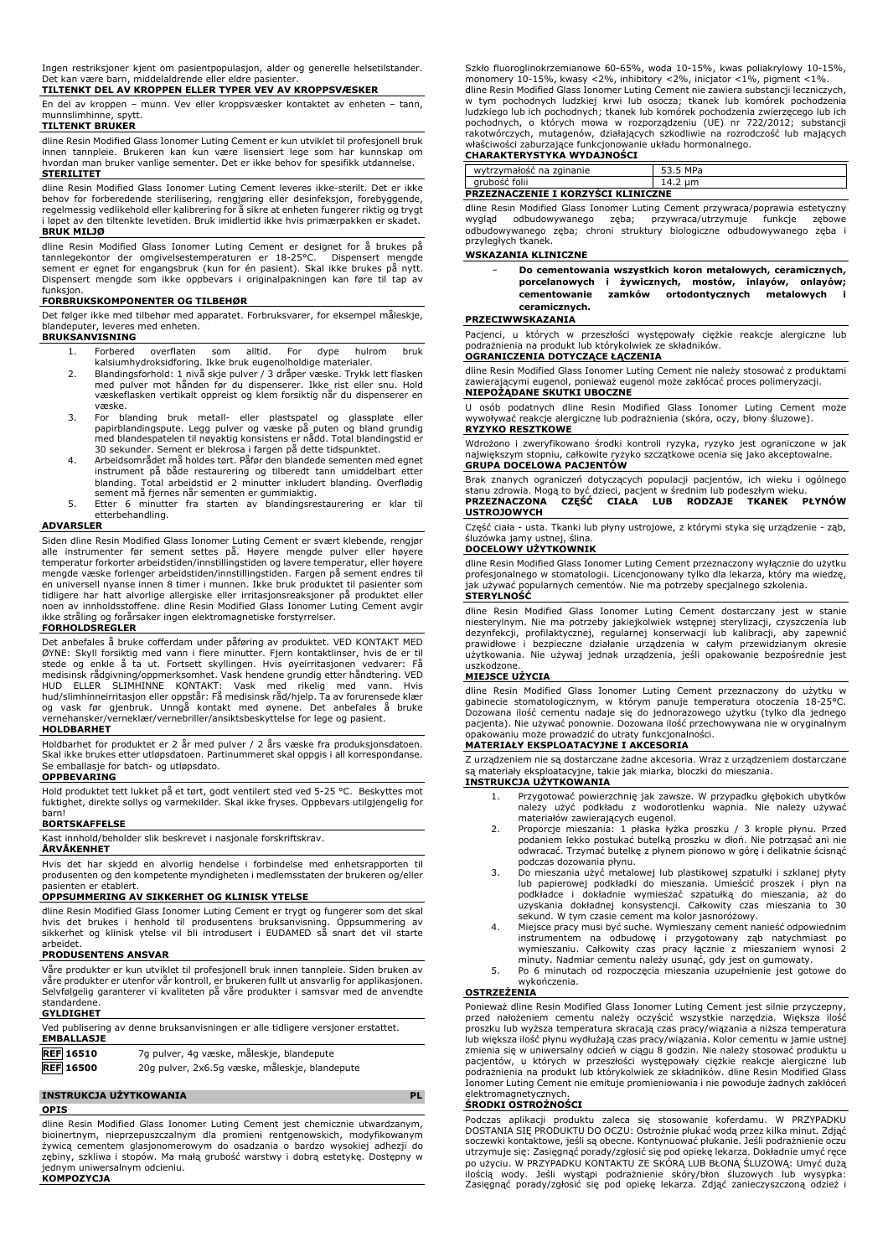Ingen restriksjoner kjent om pasientpopulasjon, alder og generelle helsetilstander. Det kan være barn, middelaldrende eller eldre pasienter.

**TILTENKT DEL AV KROPPEN ELLER TYPER VEV AV KROPPSVÆSKER**

En del av kroppen – munn. Vev eller kroppsvæsker kontaktet av enheten – tann, munnslimhinne, snytt.

# **TILTENKT BRUKER**

dline Resin Modified Glass Ionomer Luting Cement er kun utviklet til profesjonell bruk innen tannpleie. Brukeren kan kun være lisensiert lege som har kunnskap om hvordan man bruker vanlige sementer. Det er ikke behov for spesifikk utdannelse. **STERILITET**

dline Resin Modified Glass Ionomer Luting Cement leveres ikke-sterilt. Det er ikke behov for forberedende sterilisering, rengjøring eller desinfeksjon, forebyggende, regelmessig vedlikehold eller kalibrering for å sikre at enheten fungerer riktig og trygt i løpet av den tiltenkte levetiden. Bruk imidlertid ikke hvis primærpakken er skadet. **BRUK MILJØ**

dline Resin Modified Glass Ionomer Luting Cement er designet for å brukes på tannlegekontor der omgivelsestemperaturen er 18-25°C. Dispensert mengde sement er egnet for engangsbruk (kun for én pasient). Skal ikke brukes på nytt. Dispensert mengde som ikke oppbevars i originalpakningen kan føre til tap av funksjon.

# **FORBRUKSKOMPONENTER OG TILBEHØR**

Det følger ikke med tilbehør med apparatet. Forbruksvarer, for eksempel måleskje, blandeputer, leveres med enheten. **BRUKSANVISNING**

- 1. Forbered overflaten som alltid. For dype hulrom bruk kalsiumhydroksidforing. Ikke bruk eugenolholdige materialer. 2. Blandingsforhold: 1 nivå skje pulver / 3 dråper væske. Trykk lett flasken
- med pulver mot hånden før du dispenserer. Ikke rist eller snu. Hold væskeflasken vertikalt oppreist og klem forsiktig når du dispenserer en væske.
- 3. For blanding bruk metall- eller plastspatel og glassplate eller<br>papirblandingspute. Legg pulver og væske på puten og bland grundig<br>med blandespatelen til nøyaktig konsistens er nådd. Total blandingstid er<br>30 sekunder. S
- 4. Arbeidsområdet må holdes tørt. Påfør den blandede sementen med egnet instrument på både restaurering og tilberedt tann umiddelbart etter blanding. Total arbeidstid er 2 minutter inkludert blanding. Overflødig
- sement må fjernes når sementen er gummiaktig. 5. Etter 6 minutter fra starten av blandingsrestaurering er klar til etterbehandling.

### **ADVARSLER**

Siden dline Resin Modified Glass Ionomer Luting Cement er svært klebende, rengjør alle instrumenter før sement settes på. Høyere mengde pulver eller høyere<br>temperatur-forkorter-arbeidstiden/innstillingstiden-og-lavere-temperatur, eller-høyere<br>mengde-væske-forlenger-arbeidstiden/innstillingstiden. Fargen en universell nyanse innen 8 timer i munnen. Ikke bruk produktet til pasienter som tidligere har hatt alvorlige allergiske eller irritasjonsreaksjoner på produktet eller noen av innholdsstoffene. dline Resin Modified Glass Ionomer Luting Cement avgir ikke stråling og forårsaker ingen elektromagnetiske forstyrrelser.

# **FORHOLDSREGLER**

Det anbefales å bruke cofferdam under påføring av produktet. VED KONTAKT MED<br>ØYNE: Skyll forsiktig med vann i flere minutter. Fjern kontaktlinser, hvis de er til<br>stede og enkle å ta ut. Fortsett skyllingen. Hvis øyeirritas vernehansker/verneklær/vernebriller/ansiktsbeskyttelse for lege og pasient.

### **HOLDBARHET**

Holdbarhet for produktet er 2 år med pulver / 2 års væske fra produksjonsdatoen. Skal ikke brukes etter utløpsdatoen. Partinummeret skal oppgis i all korrespondanse. Se emballasje for batch- og utløpsdato.

### **OPPBEVARING**

Hold produktet tett lukket på et tørt, godt ventilert sted ved 5-25 °C. Beskyttes mot fuktighet, direkte sollys og varmekilder. Skal ikke fryses. Oppbevars utilgjengelig for

# barn! **BORTSKAFFELSE**

Kast innhold/beholder slik beskrevet i nasjonale forskriftskrav.

# **ÅRVÅKENHET**

Hvis det har skjedd en alvorlig hendelse i forbindelse med enhetsrapporten til produsenten og den kompetente myndigheten i medlemsstaten der brukeren og/eller pasienten er etablert.

# **OPPSUMMERING AV SIKKERHET OG KLINISK YTELSE**

dline Resin Modified Glass Ionomer Luting Cement er trygt og fungerer som det skal hvis det brukes i henhold til produsentens bruksanvisning. Oppsummering av sikkerhet og klinisk ytelse vil bli introdusert i EUDAMED så snart det vil starte arbeidet.

## **PRODUSENTENS ANSVAR**

Våre produkter er kun utviklet til profesjonell bruk innen tannpleie. Siden bruken av våre produkter er utenfor vår kontroll, er brukeren fullt ut ansvarlig for applikasjonen. Selvfølgelig garanterer vi kvaliteten på våre produkter i samsvar med de anvendte standardene.

## **GYLDIGHET**

| <b>EMBALLASJE</b> | Ved publisering av denne bruksanvisningen er alle tidligere versjoner erstattet. |
|-------------------|----------------------------------------------------------------------------------|
| <b>REF</b> 16510  | 7q pulver, 4q væske, måleskje, blandepute                                        |
| <b>REF</b> 16500  | 20g pulver, 2x6.5g væske, måleskje, blandepute                                   |

### **INSTRUKCJA UŻYTKOWANIA PL**

**OPIS**

dline Resin Modified Glass Ionomer Luting Cement jest chemicznie utwardzanym, bioinertnym, nieprzepuszczalnym dla promieni rentgenowskich, modyfikowanym żywicą cementem glasjonomerowym do osadzania o bardzo wysokiej adhezji do zębiny, szkliwa i stopów. Ma małą grubość warstwy i dobrą estetykę. Dostępny w jednym uniwersalnym odcieniu. **KOMPOZYCJA**

Szkło fluoroglinokrzemianowe 60-65%, woda 10-15%, kwas poliakrylowy 10-15%, monomery 10-15%, kwasy <2%, inhibitory <2%, inicjator <1%, pigment <1%. dline Resin Modified Glass Ionomer Luting Cement nie zawiera substancji leczniczych, w tym pochodnych ludzkiej krwi lub osocza; tkanek lub komórek pochodzenia ludzkiego lub ich pochodnych; tkanek lub komórek pochodzenia zwierzęcego lub ich<br>pochodnych, o których mowa w rozporządzeniu (UE) nr 722/2012; substancji<br>rakotwórczych, mutagenów, działających szkodliwie na rozrodczoś

# **CHARAKTERYSTYKA WYDAJNOŚCI**

| wytrzymałośc na zginanie                  | 53.5 MPa |  |  |  |  |
|-------------------------------------------|----------|--|--|--|--|
| arubość folii                             | ے.4"     |  |  |  |  |
| <b>PRZEZNACZENIE I KORZYSCI KLINICZNE</b> |          |  |  |  |  |

dline Resin Modified Glass Ionomer Luting Cement przywraca/poprawia estetyczny wygląd odbudowywanego zęba; przywraca/utrzymuje funkcje zębowe odbudowywanego zęba; chroni struktury biologiczne odbudowywanego zęba i przyległych tkanek.

### **WSKAZANIA KLINICZNE**

− **Do cementowania wszystkich koron metalowych, ceramicznych, porcelanowych i żywicznych, mostów, inlayów, onlayów; cementowanie zamków ortodontycznych metalowych i ceramicznych.**

### **PRZECIWWSKAZANIA**

Pacjenci, u których w przeszłości występowały ciężkie reakcje alergiczne lub podrażnienia na produkt lub którykolwiek ze składników. **OGRANICZENIA DOTYCZĄCE ŁĄCZENIA**

dline Resin Modified Glass Ionomer Luting Cement nie należy stosować z produktami zawierającymi eugenol, ponieważ eugenol może zakłócać proces polimeryzacji. **NIEPOŻĄDANE SKUTKI UBOCZNE**

### U osób podatnych dline Resin Modified Glass Ionomer Luting Cement może wywoływać reakcje alergiczne lub podrażnienia (skóra, oczy, błony śluzowe). **RYZYKO RESZTKOWE**

Wdrożono i zweryfikowano środki kontroli ryzyka, ryzyko jest ograniczone w jak największym stopniu, całkowite ryzyko szczątkowe ocenia się jako akceptowalne. **GRUPA DOCELOWA PACJENTÓW**

Brak znanych ograniczeń dotyczących populacji pacjentów, ich wieku i ogólnego stanu zdrowia. Mogą to być dzieci, pacjent w średnim lub podeszłym wieku. **PRZEZNACZONA CZĘŚĆ CIAŁA LUB RODZAJE TKANEK PŁYNÓW USTROJOWYCH**

Część ciała - usta. Tkanki lub płyny ustrojowe, z którymi styka się urządzenie - ząb, śluzówka jamy ustnej, ślina.

### **DOCELOWY UŻYTKOWNIK**

dline Resin Modified Glass Ionomer Luting Cement przeznaczony wyłącznie do użytku profesjonalnego w stomatologii. Licencjonowany tylko dla lekarza, który ma wiedzę, jak używać popularnych cementów. Nie ma potrzeby specjalnego szkolenia.

# **STERYLNOŚĆ**

dline Resin Modified Glass Ionomer Luting Cement dostarczany jest w stanie niesterylnym. Nie ma potrzeby jakiejkolwiek wstępnej sterylizacji, czyszczenia lub<br>dezynfekcji, profilaktycznej, regularnej konserwacji lub kalibracji, aby zapewnić<br>prawidłowe i bezpieczne działanie urządzenia w całym prze

# uszkodzone. **MIEJSCE UŻYCIA**

dline Resin Modified Glass Ionomer Luting Cement przeznaczony do użytku w gabinecie stomatologicznym, w którym panuje temperatura otoczenia 18-25°C. Dozowana ilość cementu nadaje się do jednorazowego użytku (tylko dla jednego pacjenta). Nie używać ponownie. Dozowana ilość przechowywana nie w oryginalnym opakowaniu może prowadzić do utraty funkcjonalności.

# **MATERIAŁY EKSPLOATACYJNE I AKCESORIA**

Z urządzeniem nie są dostarczane żadne akcesoria. Wraz z urządzeniem dostarczane są materiały eksploatacyjne, takie jak miarka, bloczki do mieszania.

### **INSTRUKCJA UŻYTKOWANIA**

- 1. Przygotować powierzchnię jak zawsze. W przypadku głębokich ubytków<br>należy użyć podkładu z wodorotlenku wapnia. Nie należy używać<br>materiałów zawierających eugenol.
- 2. Proporcje mieszania: 1 płaska łyżka proszku / 3 krople płynu. Przed podaniem lekko postukać butelką proszku w dłoń. Nie potrząsać ani nie odwracać. Trzymać butelkę z płynem pionowo w górę i delikatnie ścisnąć podczas dozowania płynu.
- 3. Do mieszania użyć metalowej lub plastikowej szpatułki i szklanej płyty lub papierowej podkładki do mieszania. Umieścić proszek i płyn na podkładce i dokładnie wymieszać szpatułką do mieszania, aż do uzyskania dokładnej konsystencji. Całkowity czas mieszania to 30 sekund. W tym czasie cement ma kolor jasnoróżowy. 4. Miejsce pracy musi być suche. Wymieszany cement nanieść odpowiednim
- instrumentem na odbudowę i przygotowany ząb natychmiast po<br>wymieszaniu. Całkowity czas pracy łącznie z mieszaniem wynosi 2<br>minuty. Nadmiar cementu należy usunąć, gdy jest on gumowaty.
- 5. Po 6 minutach od rozpoczęcia mieszania uzupełnienie jest gotowe do wykończenia.

# **OSTRZEŻENIA**

Ponieważ dline Resin Modified Glass Ionomer Luting Cement jest silnie przyczepny, przed nałożeniem cementu należy oczyścić wszystkie narzędzia. Większa ilość proszku lub wyższa temperatura skracają czas pracy/wiązania a niższa temperatura lub większa ilość płynu wydłużają czas pracy/wiązania. Kolor cementu w jamie ustnej<br>zmienia się w uniwersalny odcień w ciągu 8 godzin. Nie należy stosować produktu u<br>pacjentów, u których w przeszłości występowały cię Ionomer Luting Cement nie emituje promieniowania i nie powoduje żadnych zakłóceń

# elektromagnetycznych. **ŚRODKI OSTROŻNOŚCI**

Podczas aplikacji produktu zaleca się stosowanie koferdamu. W PRZYPADKU DOSTANIA SIĘ PRODUKTU DO OCZU: Ostrożnie płukać wodą przez kilka minut. Zdjąć soczewki kontaktowe, jeśli są obecne. Kontynuować płukanie. Jeśli podrażnienie oczu utrzymuje się: Zasięgnąć porady/zgłosić się pod opiekę lekarza. Dokładnie umyć ręce po użyciu. W PRZYPADKU KONTAKTU ZE SKORĄ LUB BŁONĄ SLUZOWĄ: Umyć dużą<br>ilością wody. Jeśli wystąpi podrażnienie skóry/błon śluzowych lub wysypka:<br>Zasięgnąć porady/zgłosić się pod opiekę lekarza. Zdjąć zanieczyszczoną odzież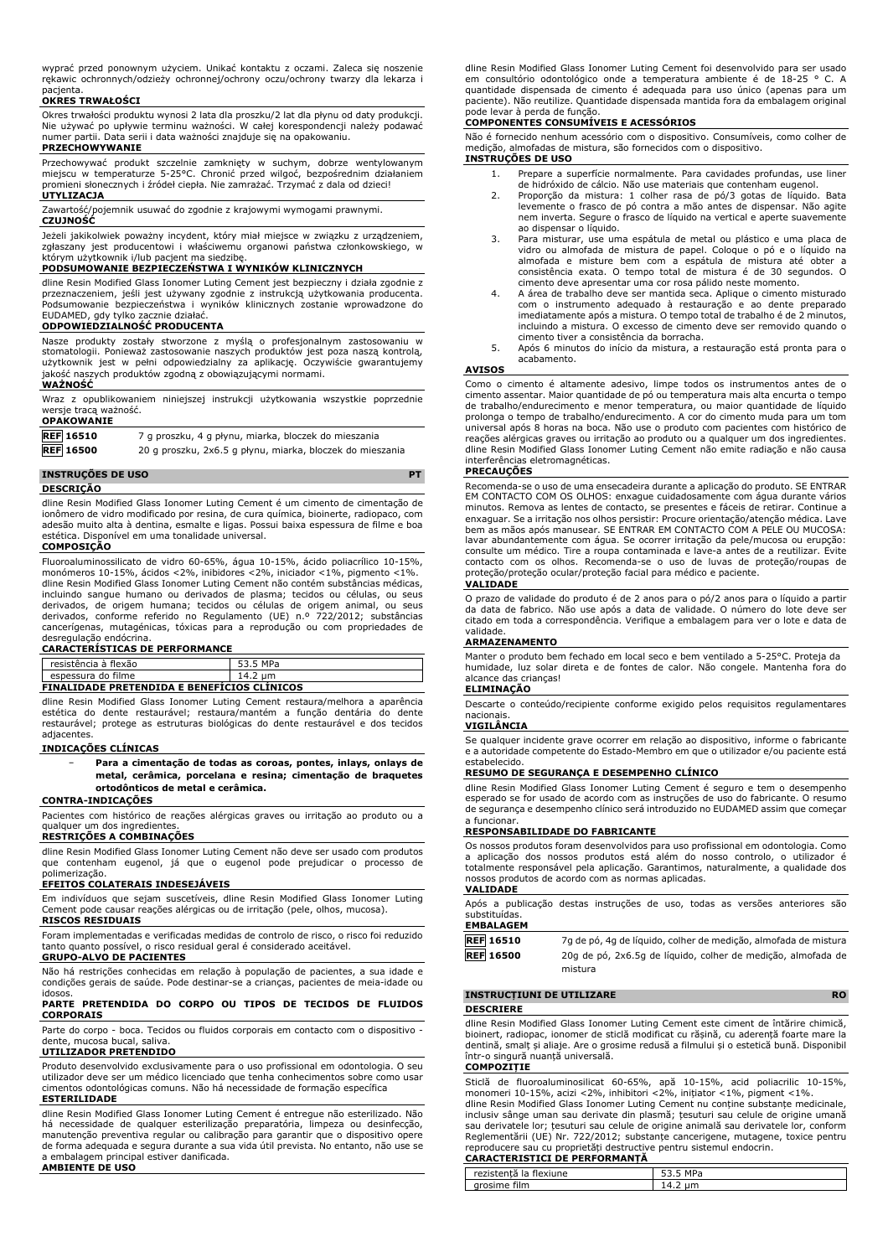wyprać przed ponownym użyciem. Unikać kontaktu z oczami. Zaleca się noszenie rękawic ochronnych/odzieży ochronnej/ochrony oczu/ochrony twarzy dla lekarza i pacjenta.

### **OKRES TRWAŁOŚCI**

Okres trwałości produktu wynosi 2 lata dla proszku/2 lat dla płynu od daty produkcji. Nie używać po upływie terminu ważności. W całej korespondencji należy podawać numer partii. Data serii i data ważności znajduje się na opakowaniu.

## **PRZECHOWYWANIE**

Przechowywać produkt szczelnie zamknięty w suchym, dobrze wentylowanym miejscu w temperaturze 5-25°C. Chronić przed wilgoć, bezpośrednim działaniem promieni słonecznych i źródeł ciepła. Nie zamrażać. Trzymać z dala od dzieci! **UTYLIZACJA**

Zawartość/pojemnik usuwać do zgodnie z krajowymi wymogami prawnymi.

### **CZUJNOŚĆ**

Jeżeli jakikolwiek poważny incydent, który miał miejsce w związku z urządzeniem, zgłaszany jest producentowi i właściwemu organowi państwa członkowskiego, w którym użytkownik i/lub pacjent ma siedzibę.

### **PODSUMOWANIE BEZPIECZEŃSTWA I WYNIKÓW KLINICZNYCH**

dline Resin Modified Glass Ionomer Luting Cement jest bezpieczny i działa zgodnie z<br>przeznaczeniem, jeśli jest używany zgodnie z instrukcją użytkowania producenta.<br>Podsumowanie bezpieczeństwa i wyników klinicznych zos EUDAMED, gdy tylko zacznie działać.

### **ODPOWIEDZIALNOŚĆ PRODUCENTA**

Nasze produkty zostały stworzone z myślą o profesjonalnym zastosowaniu w<br>stomatologii. Ponieważ zastosowanie naszych produktów jest poza naszą kontrolą,<br>użytkownik jest w pełni odpowiedzialny za aplikację. Oczywiście gwara jakość naszych produktów zgodną z obowiązującymi normami.

### **WAŻNOŚĆ**

Wraz z opublikowaniem niniejszej instrukcji użytkowania wszystkie poprzednie wersje tracą ważność. **OPAKOWANIE**

**REF 16510** 7 g proszku, 4 g płynu, miarka, bloczek do mieszania **REF 16500** 20 g proszku, 2x6.5 g płynu, miarka, bloczek do mieszania

### **INSTRUÇÕES DE USO PT**

**DESCRIÇÃO**

dline Resin Modified Glass Ionomer Luting Cement é um cimento de cimentação de ionômero de vidro modificado por resina, de cura química, bioinerte, radiopaco, com adesão muito alta à dentina, esmalte e ligas. Possui baixa espessura de filme e boa estética. Disponível em uma tonalidade universal.

# **COMPOSIÇÃO**

Fluoroaluminossilicato de vidro 60-65%, água 10-15%, ácido poliacrílico 10-15%, monómeros 10-15%, ácidos <2%, inibidores <2%, iniciador <1%, pigmento <1%. dline Resin Modified Glass Ionomer Luting Cement não contém substâncias médicas, incluindo sangue humano ou derivados de plasma; tecidos ou células, ou seus derivados, de origem humana; tecidos ou células de origem animal, ou seus derivados, conforme referido no Regulamento (UE) n.º 722/2012; substâncias cancerígenas, mutagénicas, tóxicas para a reprodução ou com propriedades de desregulação endócrina.

### **CARACTERÍSTICAS DE PERFORMANCE**

| resistência à flexão | MPa<br>JJ.J |
|----------------------|-------------|
| espessura do filme   | um<br>7.Z   |
|                      |             |

### **FINALIDADE PRETENDIDA E BENEFÍCIOS CLÍNICOS**

dline Resin Modified Glass Ionomer Luting Cement restaura/melhora a aparência estética do dente restaurável; restaura/mantém a função dentária do dente restaurável; protege as estruturas biológicas do dente restaurável e dos tecidos adjacentes.

### **INDICAÇÕES CLÍNICAS**

− **Para a cimentação de todas as coroas, pontes, inlays, onlays de metal, cerâmica, porcelana e resina; cimentação de braquetes ortodônticos de metal e cerâmica.**

### **CONTRA-INDICAÇÕES**

Pacientes com histórico de reações alérgicas graves ou irritação ao produto ou a qualquer um dos ingredientes.

### **RESTRIÇÕES A COMBINAÇÕES**

dline Resin Modified Glass Ionomer Luting Cement não deve ser usado com produtos que contenham eugenol, já que o eugenol pode prejudicar o processo de

# polimerização. **EFEITOS COLATERAIS INDESEJÁVEIS**

Em indivíduos que sejam suscetíveis, dline Resin Modified Glass Ionomer Luting Cement pode causar reações alérgicas ou de irritação (pele, olhos, mucosa).

# **RISCOS RESIDUAIS**

Foram implementadas e verificadas medidas de controlo de risco, o risco foi reduzido quanto possível, o risco residual geral é considerado aceitável. **GRUPO-ALVO DE PACIENTES**

Não há restrições conhecidas em relação à população de pacientes, a sua idade e condições gerais de saúde. Pode destinar-se a crianças, pacientes de meia-idade ou idosos.

### **PARTE PRETENDIDA DO CORPO OU TIPOS DE TECIDOS DE FLUIDOS CORPORAIS**

Parte do corpo - boca. Tecidos ou fluidos corporais em contacto com o dispositivo - dente, mucosa bucal, saliva.

### **UTILIZADOR PRETENDIDO**

Produto desenvolvido exclusivamente para o uso profissional em odontologia. O seu utilizador deve ser um médico licenciado que tenha conhecimentos sobre como usar cimentos odontológicas comuns. Não há necessidade de formação específica **ESTERILIDADE**

dline Resin Modified Glass Ionomer Luting Cement é entregue não esterilizado. Não há necessidade de qualquer esterilização preparatória, limpeza ou desinfecção, manutenção preventiva regular ou calibração para garantir que o dispositivo opere de forma adequada e segura durante a sua vida útil prevista. No entanto, não use se a embalagem principal estiver danificada.

# **AMBIENTE DE USO**

dline Resin Modified Glass Ionomer Luting Cement foi desenvolvido para ser usado em consultório odontológico onde a temperatura ambiente é de 18-25 ° C. A quantidade dispensada de cimento é adequada para uso único (apenas para um paciente). Não reutilize. Quantidade dispensada mantida fora da embalagem original pode levar à perda de função.

# **COMPONENTES CONSUMÍVEIS E ACESSÓRIOS**

Não é fornecido nenhum acessório com o dispositivo. Consumíveis, como colher de medição, almofadas de mistura, são fornecidos com o dispositivo. **INSTRUÇÕES DE USO**

- 1. Prepare a superfície normalmente. Para cavidades profundas, use liner de hidróxido de cálcio. Não use materiais que contenham eugenol.
- 2. Proporção da mistura: 1 colher rasa de pó/3 gotas de líquido. Bata levemente o frasco de pó contra a mão antes de dispensar. Não agite nem inverta. Segure o frasco de líquido na vertical e aperte suavemente ao dispensar o líquido.
- 3. Para misturar, use uma espátula de metal ou plástico e uma placa de vidro ou almofada de mistura de papel. Coloque o pó e o líquido na<br>almofada e misture bem com a espátula de mistura até obter a<br>consistência exata. O tempo total de mistura é de 30 segundos. O<br>cimento deve apresentar uma c
- 4. A área de trabalho deve ser mantida seca. Aplique o cimento misturado com o instrumento adequado à restauração e ao dente preparado imediatamente após a mistura. O tempo total de trabalho é de 2 minutos, incluindo a mistura. O excesso de cimento deve ser removido quando o cimento tiver a consistência da borracha.
- 5. Após 6 minutos do início da mistura, a restauração está pronta para o acabamento.

# **AVISOS**

Como o cimento é altamente adesivo, limpe todos os instrumentos antes de o cimento assentar. Maior quantidade de pó ou temperatura mais alta encurta o tempo de trabalho/endurecimento e menor temperatura, ou maior quantidade de líquido prolonga o tempo de trabalho/endurecimento. A cor do cimento muda para um tom universal após 8 horas na boca. Não use o produto com pacientes com histórico de reações alérgicas graves ou irritação ao produto ou a qualquer um dos ingredientes. dline Resin Modified Glass Ionomer Luting Cement não emite radiação e não causa interferências eletromagnéticas.

## **PRECAUÇÕES**

Recomenda-se o uso de uma ensecadeira durante a aplicação do produto. SE ENTRAR EM CONTACTO COM OS OLHOS: enxague cuidadosamente com água durante vários<br>minutos. Remova as lentes de contacto, se presentes e fáceis de retirar. Continue a<br>enxaguar. Se a irritação nos olhos persistir: Procure orientação/ lavar abundantemente com água. Se ocorrer irritação da pele/mucosa ou erupção: consulte um médico. Tire a roupa contaminada e lave-a antes de a reutilizar. Evite contacto com os olhos. Recomenda-se o uso de luvas de proteção/roupas de proteção/proteção ocular/proteção facial para médico e paciente. **VALIDADE**

O prazo de validade do produto é de 2 anos para o pó/2 anos para o líquido a partir da data de fabrico. Não use após a data de validade. O número do lote deve ser citado em toda a correspondência. Verifique a embalagem para ver o lote e data de validade.

# **ARMAZENAMENTO**

Manter o produto bem fechado em local seco e bem ventilado a 5-25°C. Proteja da humidade, luz solar direta e de fontes de calor. Não congele. Mantenha fora do alcance das crianças!

# **ELIMINAÇÃO**

Descarte o conteúdo/recipiente conforme exigido pelos requisitos regulamentares nacionais.

# **VIGILÂNCIA**

Se qualquer incidente grave ocorrer em relação ao dispositivo, informe o fabricante e a autoridade competente do Estado-Membro em que o utilizador e/ou paciente está estabelecido.

### **RESUMO DE SEGURANÇA E DESEMPENHO CLÍNICO**

dline Resin Modified Glass Ionomer Luting Cement é seguro e tem o desempenho esperado se for usado de acordo com as instruções de uso do fabricante. O resumo de segurança e desempenho clínico será introduzido no EUDAMED assim que começar a funcionar.

# **RESPONSABILIDADE DO FABRICANTE**

Os nossos produtos foram desenvolvidos para uso profissional em odontologia. Como a aplicação dos nossos produtos está além do nosso controlo, o utilizador é totalmente responsável pela aplicação. Garantimos, naturalmente, a qualidade dos nossos produtos de acordo com as normas aplicadas. **VALIDADE**

### Após a publicação destas instruções de uso, todas as versões anteriores são substituídas.

# **EMBALAGEM**

**REF 16510** 7g de pó, 4g de líquido, colher de medição, almofada de mistura **REF 16500** 20g de pó, 2x6.5g de líquido, colher de medição, almofada de mistura

### **INSTRUCȚIUNI DE UTILIZARE RO DESCRIERE**

dline Resin Modified Glass Ionomer Luting Cement este ciment de întărire chimică, bioinert, radiopac, ionomer de sticlă modificat cu rășină, cu aderență foarte mare la dentină, smalț și aliaje. Are o grosime redusă a filmului și o estetică bună. Disponibil într-o singură nuanță universală.

### **COMPOZIȚIE**

Sticlă de fluoroaluminosilicat 60-65%, apă 10-15%, acid poliacrilic 10-15%, monomeri 10-15%, acizi <2%, inhibitori <2%, inițiator <1%, pigment <1%. dline Resin Modified Glass Ionomer Luting Cement nu conține substanțe medicinale, inclusiv sânge uman sau derivate din plasmă; țesuturi sau celule de origine umană sau derivatele lor; țesuturi sau celule de origine animală sau derivatele lor, conform Reglementării (UE) Nr. 722/2012; substanțe cancerigene, mutagene, toxice pentru reproducere sau cu proprietăți destructive pentru sistemul endocrin.

### **CARACTERISTICI DE PERFORMANȚĂ**

| rezistentă<br>$-$<br>flexiune<br>на | M<br>IΡa<br>. |
|-------------------------------------|---------------|
| ʻilm                                | .             |
| ΩĽ                                  | <b>T.L.</b>   |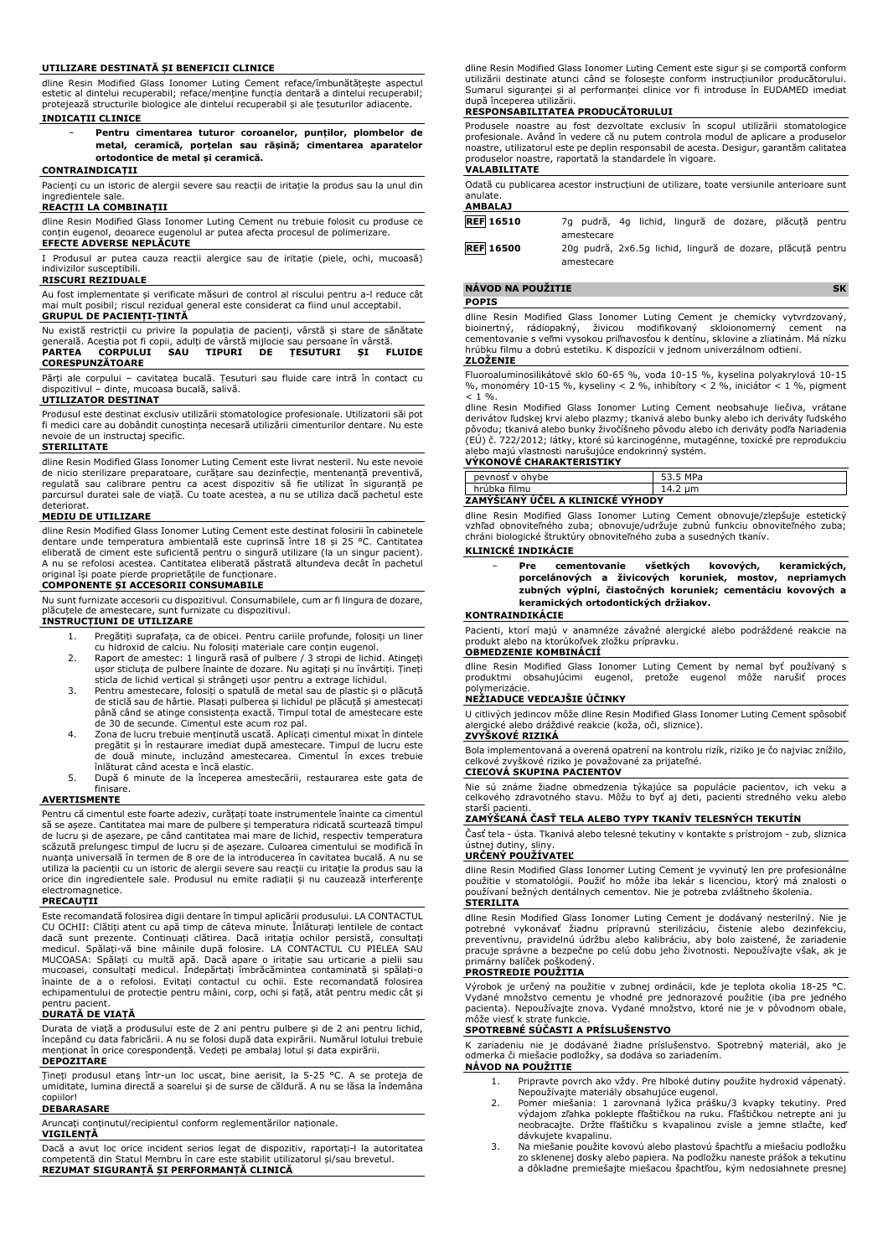### **UTILIZARE DESTINATĂ ȘI BENEFICII CLINICE**

dline Resin Modified Glass Ionomer Luting Cement reface/îmbunătățește aspectul estetic al dintelui recuperabil; reface/menține funcția dentară a dintelui recuperabil; protejează structurile biologice ale dintelui recuperabil și ale țesuturilor adiacente.

# **INDICAȚII CLINICE**

− **Pentru cimentarea tuturor coroanelor, punților, plombelor de metal, ceramică, porțelan sau rășină; cimentarea aparatelor ortodontice de metal și ceramică.**

### **CONTRAINDICAȚII**

Pacienți cu un istoric de alergii severe sau reacții de iritație la produs sau la unul din ingredientele sale.

### **REACȚII LA COMBINAȚII**

dline Resin Modified Glass Ionomer Luting Cement nu trebuie folosit cu produse ce conțin eugenol, deoarece eugenolul ar putea afecta procesul de polimerizare. **EFECTE ADVERSE NEPLĂCUTE**

I Produsul ar putea cauza reacții alergice sau de iritație (piele, ochi, mucoasă) indivizilor susceptibili.

### **RISCURI REZIDUALE**

Au fost implementate și verificate măsuri de control al riscului pentru a-l reduce cât mai mult posibil; riscul rezidual general este considerat ca fiind unul acceptabil. **GRUPUL DE PACIENȚI-ȚINTĂ**

Nu există restricții cu privire la populația de pacienți, vârstă și stare de sănătate generală. Aceștia pot fi copii, adulți de vârstă mijlocie sau persoane în vârstă. **PARTEA CORPULUI SAU TIPURI DE ȚESUTURI ȘI FLUIDE CORESPUNZĂTOARE**

Părți ale corpului – cavitatea bucală. Țesuturi sau fluide care intră în contact cu dispozitivul – dinte, mucoasa bucală, salivă. dinte, mucoasa bucală, salivă.

## **UTILIZATOR DESTINAT**

Produsul este destinat exclusiv utilizării stomatologice profesionale. Utilizatorii săi pot fi medici care au dobândit cunoștința necesară utilizării cimenturilor dentare. Nu este nevoie de un instructaj specific.

### **STERILITATE**

dline Resin Modified Glass Ionomer Luting Cement este livrat nesteril. Nu este nevoie de nicio sterilizare preparatoare, curățare sau dezinfecție, mentenanță preventivă, regulată sau calibrare pentru ca acest dispozitiv să fie utilizat în siguranță pe parcursul duratei sale de viață. Cu toate acestea, a nu se utiliza dacă pachetul este

# deteriorat. **MEDIU DE UTILIZARE**

dline Resin Modified Glass Ionomer Luting Cement este destinat folosirii în cabinetele dentare unde temperatura ambientală este cuprinsă între 18 și 25 °C. Cantitatea eliberată de ciment este suficientă pentru o singură utilizare (la un singur pacient). A nu se refolosi acestea. Cantitatea eliberată păstrată altundeva decât în pachetul original își poate pierde proprietățile de funcționare.

## **COMPONENTE ȘI ACCESORII CONSUMABILE**

Nu sunt furnizate accesorii cu dispozitivul. Consumabilele, cum ar fi lingura de dozare, plăcuțele de amestecare, sunt furnizate cu dispozitivul. **INSTRUCȚIUNI DE UTILIZARE**

- 1. Pregătiți suprafața, ca de obicei. Pentru cariile profunde, folosiți un liner cu hidroxid de calciu. Nu folositi materiale care conțin eugenol.
- 2. Raport de amestec: 1 lingură rasă of pulbere / 3 stropi de lichid. Atingeți ușor sticluța de pulbere înainte de dozare. Nu agitați și nu învârtiți. Țineți sticla de lichid vertical și strângeți ușor pentru a extrage lichidul.
- 3. Pentru amestecare, folosiți o spatulă de metal sau de plastic și o plăcuță de sticlă sau de hârtie. Plasați pulberea și lichidul pe plăcuță și amestecați până când se atinge consistența exactă. Timpul total de amestecare este
- de 30 de secunde. Cimentul este acum roz pal. 4. Zona de lucru trebuie menținută uscată. Aplicați cimentul mixat în dintele pregătit și în restaurare imediat după amestecare. Timpul de lucru este de două minute, incluzând amestecarea. Cimentul în exces trebuie înlăturat când acesta e încă elastic.
- 5. După 6 minute de la începerea amestecării, restaurarea este gata de finisare.

### **AVERTISMENTE**

Pentru că cimentul este foarte adeziv, curățați toate instrumentele înainte ca cimentul să se așeze. Cantitatea mai mare de pulbere și temperatura ridicată scurtează timpul de lucru și de așezare, pe când cantitatea mai mare de lichid, respectiv temperatura scăzută prelungesc timpul de lucru și de așezare. Culoarea cimentului se modifică în nuanța universală în termen de 8 ore de la introducerea în cavitatea bucală. A nu se utiliza la pacienții cu un istoric de alergii severe sau reacții cu iritație la produs sau la orice din ingredientele sale. Produsul nu emite radiații și nu cauzează interferențe electromagnetice.

# **PRECAUȚII**

Este recomandată folosirea digii dentare în timpul aplicării produsului. LA CONTACTUL CU OCHII: Clătiți atent cu apă timp de câteva minute. Înlăturați lentilele de contact dacă sunt prezente. Continuați clătirea. Dacă iritația ochilor persistă, consultați medicul. Spălați-vă bine mâinile după folosire. LA CONTACTUL CU PIELEA SAU<br>MUCOASA: Spălați cu multă apă. Dacă apare o iritație sau urticarie a pielii sau<br>mucoasei, consultați medicul. Îndepărtați îmbrăcămintea contaminată înainte de a o refolosi. Evitați contactul cu ochii. Este recomandată folosirea echipamentului de protecție pentru mâini, corp, ochi și față, atât pentru medic cât și pentru pacient.

### **DURATĂ DE VIAȚĂ**

Durata de viață a produsului este de 2 ani pentru pulbere și de 2 ani pentru lichid, începând cu data fabricării. A nu se folosi după data expirării. Numărul lotului trebuie menționat în orice corespondență. Vedeți pe ambalaj lotul și data expirării. **DEPOZITARE**

Țineți produsul etanș într-un loc uscat, bine aerisit, la 5-25 °C. A se proteja de umiditate, lumina directă a soarelui și de surse de căldură. A nu se lăsa la îndemâna

# copiilor! **DEBARASARE VIGILENȚĂ**

Aruncați conținutul/recipientul conform reglementărilor naționale.

Dacă a avut loc orice incident serios legat de dispozitiv, raportați-l la autoritatea competentă din Statul Membru în care este stabilit utilizatorul și/sau brevetul. **REZUMAT SIGURANȚĂ ȘI PERFORMANȚĂ CLINICĂ**

dline Resin Modified Glass Ionomer Luting Cement este sigur și se comportă conform utilizării destinate atunci când se folosește conform instrucțiunilor producătorului. Sumarul siguranței și al performanței clinice vor fi introduse în EUDAMED imediat după începerea utilizării.

### **RESPONSABILITATEA PRODUCĂTORULUI**

Produsele noastre au fost dezvoltate exclusiv în scopul utilizării stomatologice profesionale. Având în vedere că nu putem controla modul de aplicare a produselor noastre, utilizatorul este pe deplin responsabil de acesta. Desigur, garantăm calitatea produselor noastre, raportată la standardele în vigoare.

# **VALABILITATE**

Odată cu publicarea acestor instrucțiuni de utilizare, toate versiunile anterioare sunt anulate. **AMBALAJ**

| <b>REF 16510</b> |            |  |  | 7g pudră, 4g lichid, lingură de dozare, plăcută pentru      |  |
|------------------|------------|--|--|-------------------------------------------------------------|--|
| <b>REF 16500</b> | amestecare |  |  | 20g pudră, 2x6.5g lichid, lingură de dozare, plăcută pentru |  |
|                  | amestecare |  |  |                                                             |  |

# **NÁVOD NA POUŽITIE SK POPIS**

dline Resin Modified Glass Ionomer Luting Cement je chemicky vytvrdzovaný, bioinertný, rádiopakný, živicou modifikovaný skloionomerný cement na cementovanie s veľmi vysokou priľnavosťou k dentínu, sklovine a zliatinám. Má nízku hrúbku filmu a dobrú estetiku. K dispozícii v jednom univerzálnom odtieni.

### **ZLOŽENIE**

Fluoroaluminosilikátové sklo 60-65 %, voda 10-15 %, kyselina polyakrylová 10-15 %, monoméry 10-15 %, kyseliny < 2 %, inhibítory < 2 %, iniciátor < 1 %, pigment  $< 1$  %

dline Resin Modified Glass Ionomer Luting Cement neobsahuje liečiva, vrátane derivátov ľudskej krvi alebo plazmy; tkanivá alebo bunky alebo ich deriváty ľudského pôvodu; tkanivá alebo bunky živočíšneho pôvodu alebo ich deriváty podľa Nariadenia (EÚ) č. 722/2012; látky, ktoré sú karcinogénne, mutagénne, toxické pre reprodukciu alebo majú vlastnosti narušujúce endokrinný systém.

# **VÝKONOVÉ CHARAKTERISTIKY**

| peynost y ohybe                  | 53.5 MPa |  |  |  |
|----------------------------------|----------|--|--|--|
| hrúbka filmu                     | 14.2 um  |  |  |  |
| ZAMÝŠĽANÝ ÚČEL A KLINICKÉ VÝHODY |          |  |  |  |

dline Resin Modified Glass Ionomer Luting Cement obnovuje/zlepšuje estetický vzhľad obnoviteľného zuba; obnovuje/udržuje zubnú funkciu obnoviteľného zuba; chráni biologické štruktúry obnoviteľného zuba a susedných tkanív.

### **KLINICKÉ INDIKÁCIE**

| Pre | cementovanie všetkých                                       |  | kovových, keramických, |
|-----|-------------------------------------------------------------|--|------------------------|
|     | porcelánových a živicových koruniek, mostov, nepriamych     |  |                        |
|     | zubných výplní, čiastočných koruniek; cementáciu kovových a |  |                        |
|     | keramických ortodontických držiakov.                        |  |                        |

### **KONTRAINDIKÁCIE**

Pacienti, ktorí majú v anamnéze závažné alergické alebo podráždené reakcie na produkt alebo na ktorúkoľvek zložku prípravku.

### **OBMEDZENIE KOMBINÁCIÍ**

dline Resin Modified Glass Ionomer Luting Cement by nemal byť používaný s produktmi obsahujúcimi eugenol, pretože eugenol môže narušiť proces polymerizácie.

### **NEŽIADUCE VEDĽAJŠIE ÚČINKY**

U citlivých jedincov môže dline Resin Modified Glass Ionomer Luting Cement spôsobiť alergické alebo dráždivé reakcie (koža, oči, sliznice).

# **ZVYŠKOVÉ RIZIKÁ**

Bola implementovaná a overená opatrení na kontrolu rizík, riziko je čo najviac znížilo, celkové zvyškové riziko je považované za prijateľné. **CIEĽOVÁ SKUPINA PACIENTOV**

Nie sú známe žiadne obmedzenia týkajúce sa populácie pacientov, ich veku a celkového zdravotného stavu. Môžu to byť aj deti, pacienti stredného veku alebo starší pacienti.

## **ZAMÝŠĽANÁ ČASŤ TELA ALEBO TYPY TKANÍV TELESNÝCH TEKUTÍN**

Časť tela - ústa. Tkanivá alebo telesné tekutiny v kontakte s prístrojom - zub, sliznica ústnej dutiny, sliny.

# **URČENÝ POUŽÍVATEĽ**

dline Resin Modified Glass Ionomer Luting Cement je vyvinutý len pre profesionálne použitie v stomatológii. Použiť ho môže iba lekár s licenciou, ktorý má znalosti o používaní bežných dentálnych cementov. Nie je potreba zvláštneho školenia. **STERILITA**

dline Resin Modified Glass Ionomer Luting Cement je dodávaný nesterilný. Nie je potrebné vykonávať žiadnu prípravnú sterilizáciu, čistenie alebo dezinfekciu, preventívnu, pravidelnú údržbu alebo kalibráciu, aby bolo zaistené, že zariadenie pracuje správne a bezpečne po celú dobu jeho životnosti. Nepoužívajte však, ak je primárny balíček poškodený.

# **PROSTREDIE POUŽITIA**

Výrobok je určený na použitie v zubnej ordinácii, kde je teplota okolia 18-25 °C. Vydané množstvo cementu je vhodné pre jednorazové použitie (iba pre jedného pacienta). Nepoužívajte znova. Vydané množstvo, ktoré nie je v pôvodnom obale, môže viesť k strate funkcie.

### **SPOTREBNÉ SÚČASTI A PRÍSLUŠENSTVO**

K zariadeniu nie je dodávané žiadne príslušenstvo. Spotrebný materiál, ako je odmerka či miešacie podložky, sa dodáva so zariadením. **NÁVOD NA POUŽITIE**

- 1. Pripravte povrch ako vždy. Pre hlboké dutiny použite hydroxid vápenatý. Nepoužívajte materiály obsahujúce eugenol.
- 2. Pomer miešania: 1 zarovnaná lyžica prášku/3 kvapky tekutiny. Pred výdajom zľahka poklepte fľaštičkou na ruku. Fľaštičkou netrepte ani ju neobracajte. Držte fľaštičku s kvapalinou zvisle a jemne stlačte, keď dávkujete kvapalinu.
- 3. Na miešanie použite kovovú alebo plastovú špachtľu a miešaciu podložku zo sklenenej dosky alebo papiera. Na podložku naneste prášok a tekutinu a dôkladne premiešajte miešacou špachtľou, kým nedosiahnete presnej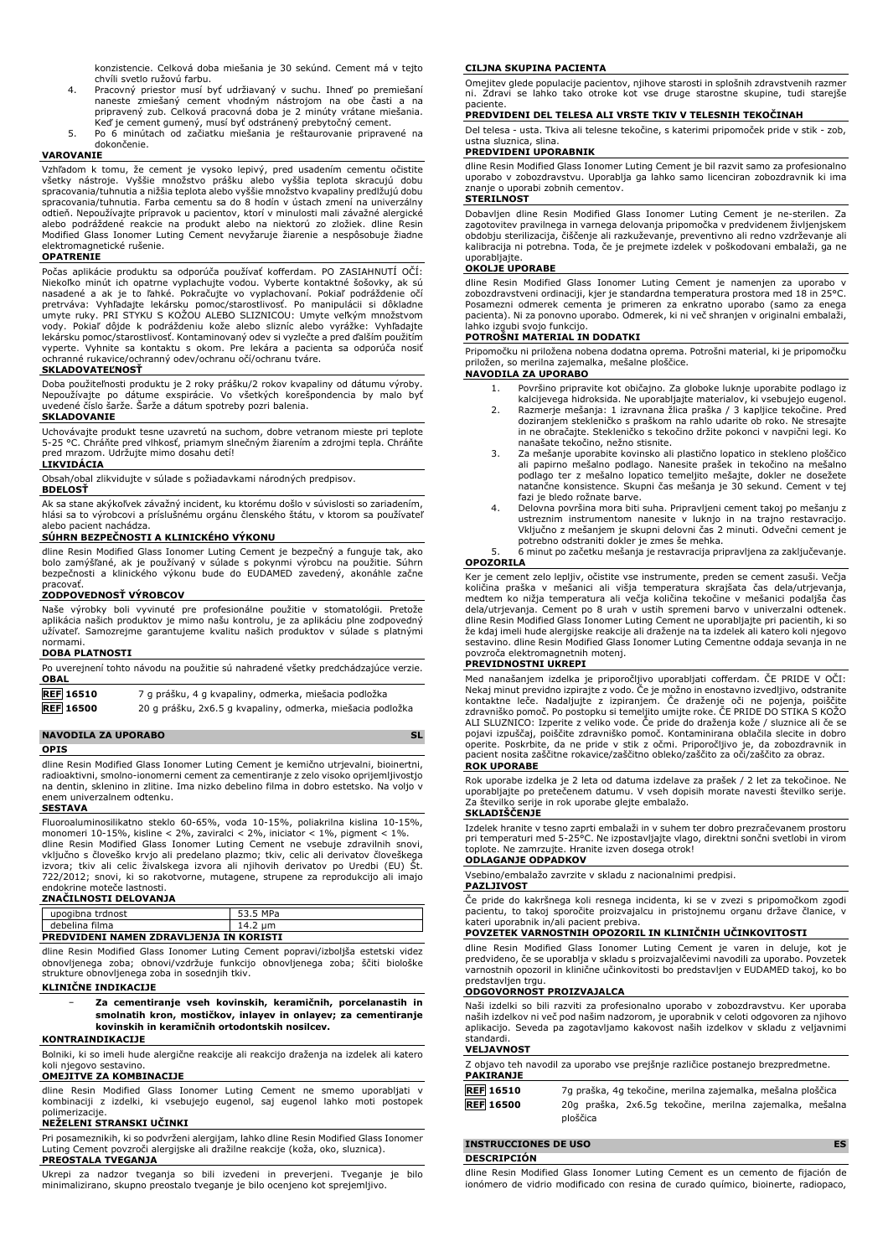konzistencie. Celková doba miešania je 30 sekúnd. Cement má v tejto chvíli svetlo ružovú farbu.

- 4. Pracovný priestor musí byť udržiavaný v suchu. Ihneď po premiešaní naneste zmiešaný cement vhodným nástrojom na obe časti a na pripravený zub. Celková pracovná doba je 2 minúty vrátane miešania.<br>Keď je cement gumený, musí byť odstránený prebytočný cement.<br>5. Po 6 minútach od začiatku miešania je reštaurovanie pripravené na
- dokončenie.

### **VAROVANIE**

Vzhľadom k tomu, že cement je vysoko lepivý, pred usadením cementu očistite všetky nástroje. Vyššie množstvo prášku alebo vyššia teplota skracujú dobu spracovania/tuhnutia a nižšia teplota alebo vyššie množstvo kvapaliny predlžujú dobu spracovania/tuhnutia. Farba cementu sa do 8 hodín v ústach zmení na univerzálny odtieň. Nepoužívajte prípravok u pacientov, ktorí v minulosti mali závažné alergické alebo podráždené reakcie na produkt alebo na niektorú zo zložiek. dline Resin Modified Glass Ionomer Luting Cement nevyžaruje žiarenie a nespôsobuje žiadne elektromagnetické rušenie.

### **OPATRENIE**

Počas aplikácie produktu sa odporúča používať kofferdam. PO ZASIAHNUTÍ OČÍ: Niekoľko minút ich opatrne vyplachujte vodou. Vyberte kontaktné šošovky, ak sú nasadené a ak je to ľahké. Pokračujte vo vyplachovaní. Pokiaľ podráždenie očí pretrváva: Vyhľadajte lekársku pomoc/starostlivosť. Po manipulácii si dôkladne<br>umyte ruky. PRI STYKU S KOŽOU ALEBO SLIZNICOU: Umyte veľkým množstvom<br>vody. Pokiaľ dôjde k podráždeniu kože alebo slizníc alebo vyrážke: Vyhľad ochranné rukavice/ochranný odev/ochranu očí/ochranu tváre. **SKLADOVATEĽNOSŤ**

Doba použiteľnosti produktu je 2 roky prášku/2 rokov kvapaliny od dátumu výroby. Nepoužívajte po dátume exspirácie. Vo všetkých korešpondencia by malo byť uvedené číslo šarže. Šarže a dátum spotreby pozri balenia.

## **SKLADOVANIE**

Uchovávajte produkt tesne uzavretú na suchom, dobre vetranom mieste pri teplote 5-25 °C. Chráňte pred vlhkosť, priamym slnečným žiarením a zdrojmi tepla. Chráňte pred mrazom. Udržujte mimo dosahu detí!

## **LIKVIDÁCIA**

Obsah/obal zlikvidujte v súlade s požiadavkami národných predpisov.

### **BDELOSŤ**

Ak sa stane akýkoľvek závažný incident, ku ktorému došlo v súvislosti so zariadením, hlási sa to výrobcovi a príslušnému orgánu členského štátu, v ktorom sa používateľ alebo pacient nachádza.

### **SÚHRN BEZPEČNOSTI A KLINICKÉHO VÝKONU**

dline Resin Modified Glass Ionomer Luting Cement je bezpečný a funguje tak, ako bolo zamýšľané, ak je používaný v súlade s pokynmi výrobcu na použitie. Súhrn bezpečnosti a klinického výkonu bude do EUDAMED zavedený, akonáhle začne pracovať.

### **ZODPOVEDNOSŤ VÝROBCOV**

Naše výrobky boli vyvinuté pre profesionálne použitie v stomatológii. Pretože aplikácia našich produktov je mimo našu kontrolu, je za aplikáciu plne zodpovedný užívateľ. Samozrejme garantujeme kvalitu našich produktov v súlade s platnými normami.

### **DOBA PLATNOSTI**

| <b>OBAL</b>      | Po uverejnení tohto návodu na použitie sú nahradené všetky predchádzajúce verzie. |
|------------------|-----------------------------------------------------------------------------------|
| <b>REF</b> 16510 | 7 g prášku, 4 g kvapaliny, odmerka, miešacia podložka                             |
| <b>REF</b> 16500 | 20 g prášku, 2x6.5 g kvapaliny, odmerka, miešacia podložka                        |

## **NAVODILA ZA UPORABO** SL

## **OPIS**

dline Resin Modified Glass Ionomer Luting Cement je kemično utrjevalni, bioinertni, radioaktivni, smolno-ionomerni cement za cementiranje z zelo visoko oprijemljivostjo na dentin, sklenino in zlitine. Ima nizko debelino filma in dobro estetsko. Na voljo v enem univerzalnem odtenku.

### **SESTAVA**

Fluoroaluminosilikatno steklo 60-65%, voda 10-15%, poliakrilna kislina 10-15%, monomeri 10-15%, kisline < 2%, zaviralci < 2%, iniciator < 1%, pigment < 1%. dline Resin Modified Glass Ionomer Luting Cement ne vsebuje zdravilnih snovi, vključno s človeško krvjo ali predelano plazmo; tkiv, celic ali derivatov človeškega izvora; tkiv ali celic živalskega izvora ali njihovih derivatov po Uredbi (EU) Št. 722/2012; snovi, ki so rakotvorne, mutagene, strupene za reprodukcijo ali imajo endokrine moteče lastnosti.

### **ZNAČILNOSTI DELOVANJA**

| upogibna trdnost                        | 53.5 MPa |  |  |  |  |
|-----------------------------------------|----------|--|--|--|--|
| debelina filma                          | 14.2 um  |  |  |  |  |
| PREDVIDENI NAMEN ZDRAVLJENJA IN KORISTI |          |  |  |  |  |

dline Resin Modified Glass Ionomer Luting Cement popravi/izboljša estetski videz obnovljenega zoba; obnovi/vzdržuje funkcijo obnovljenega zoba; ščiti biološke strukture obnovljenega zoba in sosednjih tkiv.

### **KLINIČNE INDIKACIJE**

− **Za cementiranje vseh kovinskih, keramičnih, porcelanastih in smolnatih kron, mostičkov, inlayev in onlayev; za cementiranje kovinskih in keramičnih ortodontskih nosilcev.**

### **KONTRAINDIKACIJE**

Bolniki, ki so imeli hude alergične reakcije ali reakcijo draženja na izdelek ali katero koli njegovo sestavino.

# **OMEJITVE ZA KOMBINACIJE**

dline Resin Modified Glass Ionomer Luting Cement ne smemo uporabljati v kombinaciji z izdelki, ki vsebujejo eugenol, saj eugenol lahko moti postopek polimerizacije.

### **NEŽELENI STRANSKI UČINKI**

Pri posameznikih, ki so podvrženi alergijam, lahko dline Resin Modified Glass Ionomer Luting Cement povzroči alergijske ali dražilne reakcije (koža, oko, sluznica). **PREOSTALA TVEGANJA**

Ukrepi za nadzor tveganja so bili izvedeni in preverjeni. Tveganje je bilo minimalizirano, skupno preostalo tveganje je bilo ocenjeno kot sprejemljivo.

### **CILJNA SKUPINA PACIENTA**

Omejitev glede populacije pacientov, njihove starosti in splošnih zdravstvenih razmer ni. Zdravi se lahko tako otroke kot vse druge starostne skupine, tudi starejše paciente

### **PREDVIDENI DEL TELESA ALI VRSTE TKIV V TELESNIH TEKOČINAH**

Del telesa - usta. Tkiva ali telesne tekočine, s katerimi pripomoček pride v stik - zob, ustna sluznica, slina.

## **PREDVIDENI UPORABNIK**

dline Resin Modified Glass Ionomer Luting Cement je bil razvit samo za profesionalno uporabo v zobozdravstvu. Uporablja ga lahko samo licenciran zobozdravnik ki ima znanje o uporabi zobnih cementov. **STERILNOST**

Dobavljen dline Resin Modified Glass Ionomer Luting Cement je ne-sterilen. Za zagotovitev pravilnega in varnega delovanja pripomočka v predvidenem življenjskem obdobju sterilizacija, čiščenje ali razkuževanje, preventivno ali redno vzdrževanje ali kalibracija ni potrebna. Toda, če je prejmete izdelek v poškodovani embalaži, ga ne uporabljajte.

### **OKOLJE UPORABE**

dline Resin Modified Glass Ionomer Luting Cement je namenjen za uporabo v zobozdravstveni ordinaciji, kjer je standardna temperatura prostora med 18 in 25°C. Posamezni odmerek cementa je primeren za enkratno uporabo (samo za enega pacienta). Ni za ponovno uporabo. Odmerek, ki ni več shranjen v originalni embalaži,

# lahko izgubi svojo funkcijo. **POTROŠNI MATERIAL IN DODATKI**

Pripomočku ni priložena nobena dodatna oprema. Potrošni material, ki je pripomočku priložen, so merilna zajemalka, mešalne ploščice.

### **NAVODILA ZA UPORABO**

- 1. Površino pripravite kot običajno. Za globoke luknje uporabite podlago iz kalcijevega hidroksida. Ne uporabljajte materialov, ki vsebujejo eugenol.
- 2. Razmerje mešanja: 1 izravnana žlica praška / 3 kapljice tekočine. Pred doziranjem stekleničko s praškom na rahlo udarite ob roko. Ne stresajte in ne obračajte. Stekleničko s tekočino držite pokonci v navpični legi. Ko
- nanašate tekočino, nežno stisnite. 3. Za mešanje uporabite kovinsko ali plastično lopatico in stekleno ploščico ali papirno mešalno podlago. Nanesite prašek in tekočino na mešalno podlago ter z mešalno lopatico temeljito mešajte, dokler ne dosežete natančne konsistence. Skupni čas mešanja je 30 sekund. Cement v tej fazi je bledo rožnate barve.
- 4. Delovna površina mora biti suha. Pripravljeni cement takoj po mešanju z ustreznim instrumentom nanesite v luknjo in na trajno restavracijo. Vključno z mešanjem je skupni delovni čas 2 minuti. Odvečni cement je potrebno odstraniti dokler je zmes še mehka.

### 5. 6 minut po začetku mešanja je restavracija pripravljena za zaključevanje. **OPOZORILA**

Ker je cement zelo lepljiv, očistite vse instrumente, preden se cement zasuši. Večja količina praška v mešanici ali višja temperatura skrajšata čas dela/utrjevanja, medtem ko nižja temperatura ali večja količina tekočine v mešanici podaljša čas dela/utrjevanja. Cement po 8 urah v ustih spremeni barvo v univerzalni odtenek. dline Resin Modified Glass Ionomer Luting Cement ne uporabljajte pri pacientih, ki so že kdaj imeli hude alergijske reakcije ali draženje na ta izdelek ali katero koli njegovo sestavino. dline Resin Modified Glass Ionomer Luting Cementne oddaja sevanja in ne povzroča elektromagnetnih motenj.

### **PREVIDNOSTNI UKREPI**

Med nanašanjem izdelka je priporočljivo uporabljati cofferdam. CE PRIDE V OCI:<br>Nekaj minut previdno izpirajte z vodo. Če je možno in enostavno izvedljivo, odstranite<br>kontaktne leče. Nadaljujte z izpiranjem. Če draženje oči zdravniško pomoč. Po postopku si temeljito umijte roke. CE PRIDE DO STIKA S KOZO<br>ALI SLUZNICO: Izperite z veliko vode. Če pride do draženja kože / sluznice ali če se<br>pojavi izpuščaj, poiščite zdravniško pomoč. Kontaminiran operite. Poskrbite, da ne pride v stik z očmi. Priporočljivo je, da zobozdravnik in pacient nosita zaščitne rokavice/zaščitno obleko/zaščito za oči/zaščito za obraz.

# **ROK UPORABE**

Rok uporabe izdelka je 2 leta od datuma izdelave za prašek / 2 let za tekočinoe. Ne uporabljajte po pretečenem datumu. V vseh dopisih morate navesti številko serije. Za številko serije in rok uporabe glejte embalažo.

# **SKLADIŠČENJE**

Izdelek hranite v tesno zaprti embalaži in v suhem ter dobro prezračevanem prostoru pri temperaturi med 5-25°C. Ne izpostavljajte vlago, direktni sončni svetlobi in virom toplote. Ne zamrzujte. Hranite izven dosega otrok!

### **ODLAGANJE ODPADKOV**

Vsebino/embalažo zavrzite v skladu z nacionalnimi predpisi.

## **PAZLJIVOST**

Če pride do kakršnega koli resnega incidenta, ki se v zvezi s pripomočkom zgodi pacientu, to takoj sporočite proizvajalcu in pristojnemu organu države članice, v kateri uporabnik in/ali pacient prebiva.

### **POVZETEK VARNOSTNIH OPOZORIL IN KLINIČNIH UČINKOVITOSTI**

dline Resin Modified Glass Ionomer Luting Cement je varen in deluje, kot je predvideno, če se uporablja v skladu s proizvajalčevimi navodili za uporabo. Povzetek varnostnih opozoril in klinične učinkovitosti bo predstavljen v EUDAMED takoj, ko bo predstavljen trgu.

### **ODGOVORNOST PROIZVAJALCA**

Naši izdelki so bili razviti za profesionalno uporabo v zobozdravstvu. Ker uporaba naših izdelkov ni več pod našim nadzorom, je uporabnik v celoti odgovoren za njihovo aplikacijo. Seveda pa zagotavljamo kakovost naših izdelkov v skladu z veljavnimi standardi.

### **VELJAVNOST**

| <b>PAKIRANJE</b> | Z objavo teh navodil za uporabo vse prejšnje različice postanejo brezpredmetne. |  |
|------------------|---------------------------------------------------------------------------------|--|
| <b>REF</b> 16510 | 7g praška, 4g tekočine, merilna zajemalka, mešalna ploščica                     |  |
| <b>REF</b> 16500 | 20g praška, 2x6.5g tekočine, merilna zajemalka, mešalna<br>ploščica             |  |

| <b>INSTRUCCIONES DE USO</b>                                                   |  |  |  |
|-------------------------------------------------------------------------------|--|--|--|
| DESCRIPCIÓN                                                                   |  |  |  |
| dline Resin Modified Glass Ionomer Luting Cement es un cemento de fijación de |  |  |  |

dline Resin Modified Glass Ionomer Luting Cement es un cemento de fijación de ionómero de vidrio modificado con resina de curado químico, bioinerte, radiopaco,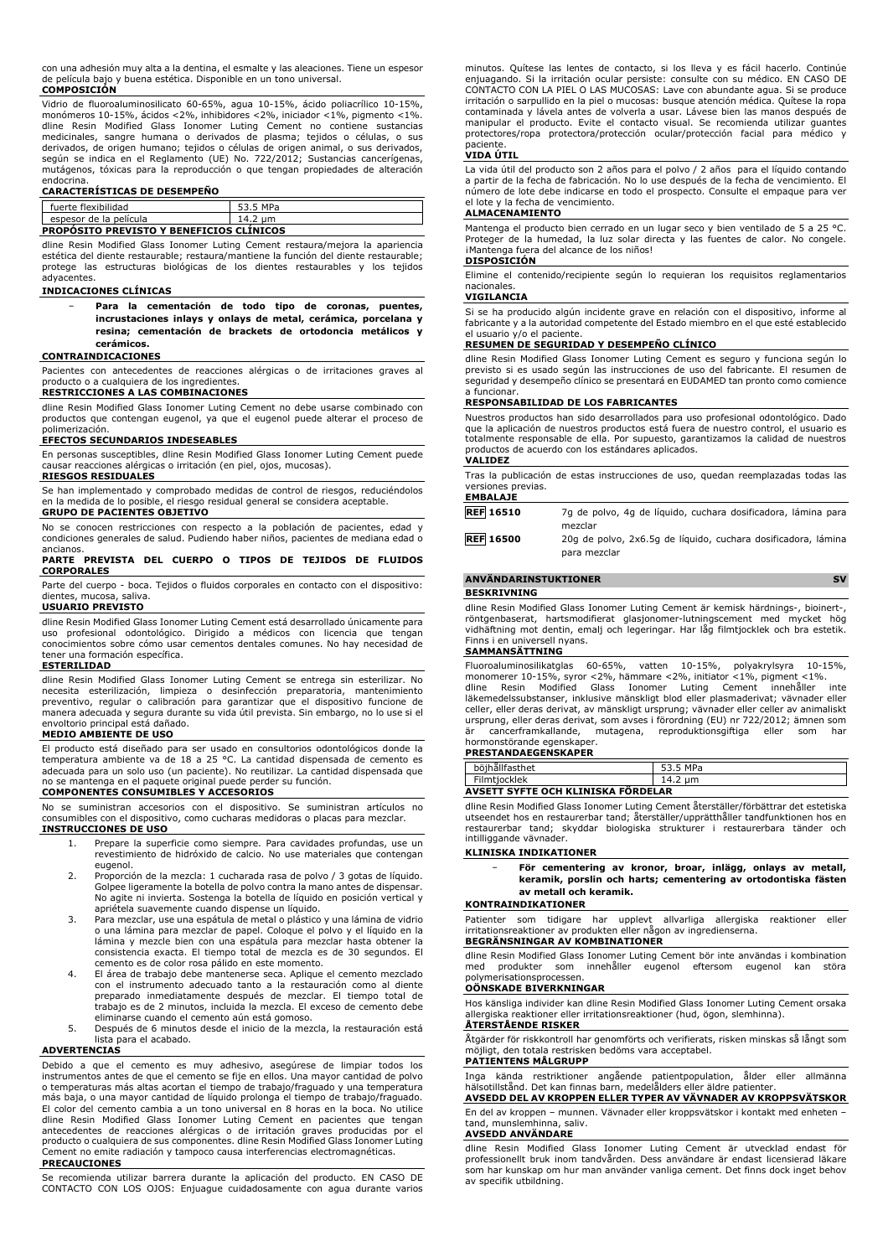con una adhesión muy alta a la dentina, el esmalte y las aleaciones. Tiene un espesor de película bajo y buena estética. Disponible en un tono universal. **COMPOSICIÓN**

Vidrio de fluoroaluminosilicato 60-65%, agua 10-15%, ácido poliacrílico 10-15%, monómeros 10-15%, ácidos <2%, inhibidores <2%, iniciador <1%, pigmento <1%. dline Resin Modified Glass Ionomer Luting Cement no contiene sustancias medicinales, sangre humana o derivados de plasma; tejidos o células, o sus derivados, de origen humano; tejidos o células de origen animal, o sus derivados, según se indica en el Reglamento (UE) No. 722/2012; Sustancias cancerígenas, mutágenos, tóxicas para la reproducción o que tengan propiedades de alteración

# endocrina. **CARACTERÍSTICAS DE DESEMPEÑO**

| fuerte flexibilidad                             | 53.5 MPa |  |  |  |
|-------------------------------------------------|----------|--|--|--|
| espesor de la película                          | 14.2 um  |  |  |  |
| <b>PROPOSITO PREVISTO Y BENEFICIOS CLINICOS</b> |          |  |  |  |

dline Resin Modified Glass Ionomer Luting Cement restaura/mejora la apariencia estética del diente restaurable; restaura/mantiene la función del diente restaurable; protege las estructuras biológicas de los dientes restaurables y los tejidos adyacentes.

### **INDICACIONES CLÍNICAS**

− **Para la cementación de todo tipo de coronas, puentes, incrustaciones inlays y onlays de metal, cerámica, porcelana y resina; cementación de brackets de ortodoncia metálicos y cerámicos.**

### **CONTRAINDICACIONES**

Pacientes con antecedentes de reacciones alérgicas o de irritaciones graves al producto o a cualquiera de los ingredientes.

### **RESTRICCIONES A LAS COMBINACIONES**

dline Resin Modified Glass Ionomer Luting Cement no debe usarse combinado con productos que contengan eugenol, ya que el eugenol puede alterar el proceso de

# polimerización. **EFECTOS SECUNDARIOS INDESEABLES**

En personas susceptibles, dline Resin Modified Glass Ionomer Luting Cement puede causar reacciones alérgicas o irritación (en piel, ojos, mucosas).

### **RIESGOS RESIDUALES**

Se han implementado y comprobado medidas de control de riesgos, reduciéndolos en la medida de lo posible, el riesgo residual general se considera aceptable. **GRUPO DE PACIENTES OBJETIVO**

No se conocen restricciones con respecto a la población de pacientes, edad y condiciones generales de salud. Pudiendo haber niños, pacientes de mediana edad o ancianos.

### **PARTE PREVISTA DEL CUERPO O TIPOS DE TEJIDOS DE FLUIDOS CORPORALES**

Parte del cuerpo - boca. Tejidos o fluidos corporales en contacto con el dispositivo: dientes, mucosa, saliva.

# **USUARIO PREVISTO**

dline Resin Modified Glass Ionomer Luting Cement está desarrollado únicamente para uso profesional odontológico. Dirigido a médicos con licencia que tengan conocimientos sobre cómo usar cementos dentales comunes. No hay necesidad de tener una formación específica.

### **ESTERILIDAD**

dline Resin Modified Glass Ionomer Luting Cement se entrega sin esterilizar. No necesita esterilización, limpieza o desinfección preparatoria, mantenimiento preventivo, regular o calibración para garantizar que el dispositivo funcione de manera adecuada y segura durante su vida útil prevista. Sin embargo, no lo use si el envoltorio principal está dañado. **MEDIO AMBIENTE DE USO**

El producto está diseñado para ser usado en consultorios odontológicos donde la temperatura ambiente va de 18 a 25 °C. La cantidad dispensada de cemento es adecuada para un solo uso (un paciente). No reutilizar. La cantidad dispensada que no se mantenga en el paquete original puede perder su función.

# **COMPONENTES CONSUMIBLES Y ACCESORIOS**

No se suministran accesorios con el dispositivo. Se suministran artículos no consumibles con el dispositivo, como cucharas medidoras o placas para mezclar. **INSTRUCCIONES DE USO**

- 1. Prepare la superficie como siempre. Para cavidades profundas, use un revestimiento de hidróxido de calcio. No use materiales que contengan eugenol.
- 2. Proporción de la mezcla: 1 cucharada rasa de polvo / 3 gotas de líquido. Golpee ligeramente la botella de polvo contra la mano antes de dispensar. No agite ni invierta. Sostenga la botella de líquido en posición vertical y apriétela suavemente cuando dispense un líquido.
- 3. Para mezclar, use una espátula de metal o plástico y una lámina de vidrio o una lámina para mezclar de papel. Coloque el polvo y el líquido en la lámina y mezcle bien con una espátula para mezclar hasta obtener la consistencia exacta. El tiempo total de mezcla es de 30 segundos. El
- cemento es de color rosa pálido en este momento. 4. El área de trabajo debe mantenerse seca. Aplique el cemento mezclado con el instrumento adecuado tanto a la restauración como al diente preparado inmediatamente después de mezclar. El tiempo total de trabajo es de 2 minutos, incluida la mezcla. El exceso de cemento debe eliminarse cuando el cemento aún está gomoso.
- 5. Después de 6 minutos desde el inicio de la mezcla, la restauración está lista para el acabado.

### **ADVERTENCIAS**

Debido a que el cemento es muy adhesivo, asegúrese de limpiar todos los instrumentos antes de que el cemento se fije en ellos. Una mayor cantidad de polvo o temperaturas más altas acortan el tiempo de trabajo/fraguado y una temperatura más baja, o una mayor cantidad de líquido prolonga el tiempo de trabajo/fraguado.<br>El color del cemento cambia a un tono universal en 8 horas en la boca. No utilice<br>dline Resin Modified Glass Ionomer Luting Cement en pacien antecedentes de reacciones alérgicas o de irritación graves producidas por el producto o cualquiera de sus componentes. dline Resin Modified Glass Ionomer Luting Cement no emite radiación y tampoco causa interferencias electromagnéticas. **PRECAUCIONES**

Se recomienda utilizar barrera durante la aplicación del producto. EN CASO DE CONTACTO CON LOS OJOS: Enjuague cuidadosamente con agua durante varios minutos. Quítese las lentes de contacto, si los lleva y es fácil hacerlo. Continúe enjuagando. Si la irritación ocular persiste: consulte con su médico. EN CASO DE CONTACTO CON LA PIEL O LAS MUCOSAS: Lave con abundante agua. Si se produce irritación o sarpullido en la piel o mucosas: busque atención médica. Quítese la ropa contaminada y lávela antes de volverla a usar. Lávese bien las manos después de manipular el producto. Evite el contacto visual. Se recomienda utilizar guantes protectores/ropa protectora/protección ocular/protección facial para médico y paciente.

### **VIDA ÚTIL**

La vida útil del producto son 2 años para el polvo / 2 años para el líquido contando a partir de la fecha de fabricación. No lo use después de la fecha de vencimiento. El número de lote debe indicarse en todo el prospecto. Consulte el empaque para ver el lote y la fecha de vencimiento.

## **ALMACENAMIENTO**

Mantenga el producto bien cerrado en un lugar seco y bien ventilado de 5 a 25 °C. Proteger de la humedad, la luz solar directa y las fuentes de calor. No congele. iMantenga fuera del alcance de los niños! **DISPOSICIÓN**

Elimine el contenido/recipiente según lo requieran los requisitos reglamentarios nacionales.

# **VIGILANCIA**

Si se ha producido algún incidente grave en relación con el dispositivo, informe al fabricante y a la autoridad competente del Estado miembro en el que esté establecido el usuario v/o el paciente.

### **RESUMEN DE SEGURIDAD Y DESEMPEÑO CLÍNICO**

dline Resin Modified Glass Ionomer Luting Cement es seguro y funciona según lo previsto si es usado según las instrucciones de uso del fabricante. El resumen de seguridad y desempeño clínico se presentará en EUDAMED tan pronto como comience a funcionar.

### **RESPONSABILIDAD DE LOS FABRICANTES**

Nuestros productos han sido desarrollados para uso profesional odontológico. Dado que la aplicación de nuestros productos está fuera de nuestro control, el usuario es totalmente responsable de ella. Por supuesto, garantizamos la calidad de nuestros productos de acuerdo con los estándares aplicados.

### **VALIDEZ**

Tras la publicación de estas instrucciones de uso, quedan reemplazadas todas las versiones previas. **EMBALAJE**

**REF 16510** 7g de polvo, 4g de líquido, cuchara dosificadora, lámina para mezclar

**REF 16500** 20g de polvo, 2x6.5g de líquido, cuchara dosificadora, lámina para mezclar

# **ANVÄNDARINSTUKTIONER** SV

# **BESKRIVNING**

dline Resin Modified Glass Ionomer Luting Cement är kemisk härdnings-, bioinert-, röntgenbaserat, hartsmodifierat glasjonomer-lutningscement med mycket hög vidhäftning mot dentin, emalj och legeringar. Har låg filmtjocklek och bra estetik. Finns i en universell nyans.

### **SAMMANSÄTTNING**

Fluoroaluminosilikatglas 60-65%, vatten 10-15%, polyakrylsyra 10-15%, monomerer 10-15%, syror <2%, hämmare <2%, initiator <1%, pigment <1%.<br>dline Resin Modified Glass Ionomer Luting Cement innehåller inte<br>läkemedelssubstanser, inklusive mänskligt blod eller plasmaderivat; vä celler, eller deras derivat, av mänskligt ursprung; vävnader eller celler av animaliskt ursprung, eller deras derivat, som avses i förordning (EU) nr 722/2012; ämnen som är cancerframkallande, mutagena, reproduktionsgiftiga eller som har hormonstörande egenskaper.

# **PRESTANDAEGENSKAPER**

|                                                                | MPa          |  |
|----------------------------------------------------------------|--------------|--|
| -ilmtiocklek                                                   | um<br>ᅩᅮ - ∠ |  |
| $\overline{\phantom{a}}$<br>AVSETT SVETE OCH KLINISKA FÖDDELAD |              |  |

### **AVSETT SYFTE OCH KLINISKA FÖRDELAR**

dline Resin Modified Glass Ionomer Luting Cement återställer/förbättrar det estetiska utseendet hos en restaurerbar tand; återställer/upprätthåller tandfunktionen hos en restaurerbar tand; skyddar biologiska strukturer i restaurerbara tänder och intilliggande vävnader.

### **KLINISKA INDIKATIONER**

− **För cementering av kronor, broar, inlägg, onlays av metall, keramik, porslin och harts; cementering av ortodontiska fästen av metall och keramik.**

### **KONTRAINDIKATIONER**

Patienter som tidigare har upplevt allvarliga allergiska reaktioner eller irritationsreaktioner av produkten eller någon av ingredienserna.

# **BEGRÄNSNINGAR AV KOMBINATIONER**

dline Resin Modified Glass Ionomer Luting Cement bör inte användas i kombination med produkter som innehåller eugenol eftersom eugenol kan störa polymerisationsprocessen.

# **OÖNSKADE BIVERKNINGAR**

Hos känsliga individer kan dline Resin Modified Glass Ionomer Luting Cement orsaka allergiska reaktioner eller irritationsreaktioner (hud, ögon, slemhinna).

## **ÅTERSTÅENDE RISKER**

Åtgärder för riskkontroll har genomförts och verifierats, risken minskas så långt som möjligt, den totala restrisken bedöms vara acceptabel. **PATIENTENS MÅLGRUPP**

# Inga kända restriktioner angående patientpopulation, ålder eller allmänna hälsotillstånd. Det kan finnas barn, medelålders eller äldre patienter.

**AVSEDD DEL AV KROPPEN ELLER TYPER AV VÄVNADER AV KROPPSVÄTSKOR** En del av kroppen – munnen. Vävnader eller kroppsvätskor i kontakt med enheten – tand, munslemhinna, saliv.

### **AVSEDD ANVÄNDARE**

dline Resin Modified Glass Ionomer Luting Cement är utvecklad endast för professionellt bruk inom tandvården. Dess användare är endast licensierad läkare som har kunskap om hur man använder vanliga cement. Det finns dock inget behov av specifik utbildning.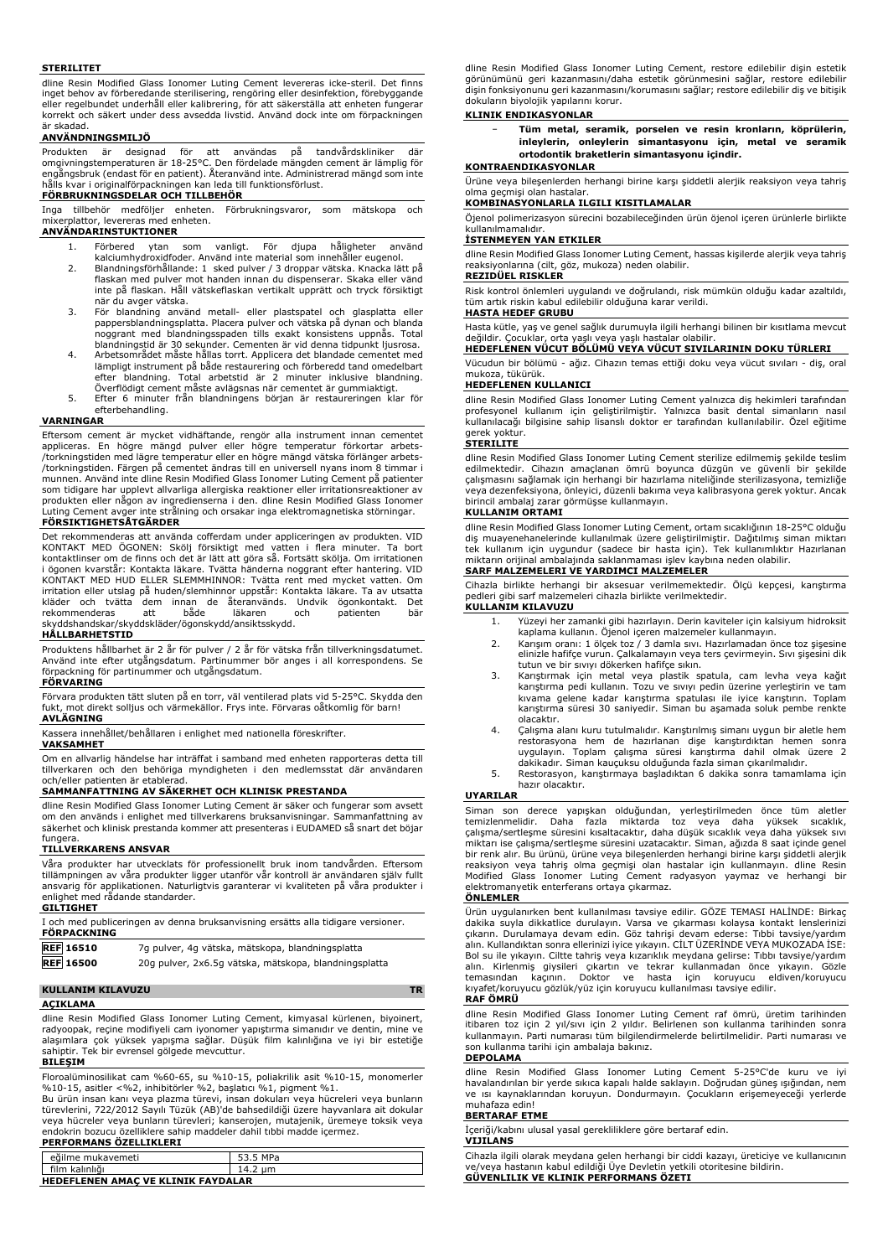### **STERILITET**

dline Resin Modified Glass Ionomer Luting Cement levereras icke-steril. Det finns inget behov av förberedande sterilisering, rengöring eller desinfektion, förebyggande eller regelbundet underhåll eller kalibrering, för att säkerställa att enheten fungerar korrekt och säkert under dess avsedda livstid. Använd dock inte om förpackningen är skadad.

# **ANVÄNDNINGSMILJÖ**

Produkten är designad för att användas på tandvårdskliniker där omgivningstemperaturen är 18-25°C. Den fördelade mängden cement är lämplig för engångsbruk (endast för en patient). Återanvänd inte. Administrerad mängd som inte hålls kvar i originalförpackningen kan leda till funktionsförlust.

### **FÖRBRUKNINGSDELAR OCH TILLBEHÖR**

Inga tillbehör medföljer enheten. Förbrukningsvaror, som mätskopa och mixerplattor, levereras med enheten.

## **ANVÄNDARINSTUKTIONER**

- 1. Förbered ytan som vanligt. För djupa håligheter använd kalciumhydroxidfoder. Använd inte material som innehåller eugenol.
- 2. Blandningsförhållande: 1 sked pulver / 3 droppar vätska. Knacka lätt på flaskan med pulver mot handen innan du dispenserar. Skaka eller vänd inte på flaskan. Håll vätskeflaskan vertikalt upprätt och tryck försiktigt när du avger vätska.
- 3. För blandning använd metall- eller plastspatel och glasplatta eller pappersblandningsplatta. Placera pulver och vätska på dynan och blanda
- noggrant med blandningsspaden tills exakt konsistens uppnås. Total<br>blandningstid är 30 sekunder. Cementen är vid denna tidpunkt ljusrosa.<br>A. Arbetsområdet måste hållas torrt. Applicera det blandade cementet med<br>lämpligt in
- Överflödigt cement måste avlägsnas när cementet är gummiaktigt. 5. Efter 6 minuter från blandningens början är restaureringen klar för efterbehandling.

### **VARNINGAR**

Eftersom cement är mycket vidhäftande, rengör alla instrument innan cementet appliceras. En högre mängd pulver eller högre temperatur förkortar arbets- /torkningstiden med lägre temperatur eller en högre mängd vätska förlänger arbets- /torkningstiden. Färgen på cementet ändras till en universell nyans inom 8 timmar i munnen. Använd inte dline Resin Modified Glass Ionomer Luting Cement på patienter som tidigare har upplevt allvarliga allergiska reaktioner eller irritationsreaktioner av produkten eller någon av ingredienserna i den. dline Resin Modified Glass Ionomer Luting Cement avger inte strålning och orsakar inga elektromagnetiska störningar. **FÖRSIKTIGHETSÅTGÄRDER**

Det rekommenderas att använda cofferdam under appliceringen av produkten. VID KONTAKT MED ÖGONEN: Skölj försiktigt med vatten i flera minuter. Ta bort kontaktlinser om de finns och det är lätt att göra så. Fortsätt skölja. Om irritationen i ögonen kvarstår: Kontakta läkare. Tvätta händerna noggrant efter hantering. VID KONTAKT MED HUD ELLER SLEMMHINNOR: Tvätta rent med mycket vatten. Om irritation eller utslag på huden/slemhinnor uppstår: Kontakta läkare. Ta av utsatta kläder och tvätta dem innan de återanvänds. Undvik ögonkontakt. Det<br>rekommenderas att både läkaren och patienten bär rekommenderas att både läkaren och patienten bär skyddshandskar/skyddskläder/ögonskydd/ansiktsskydd.

### **HÅLLBARHETSTID**

Produktens hållbarhet är 2 år för pulver / 2 år för vätska från tillverkningsdatumet. Använd inte efter utgångsdatum. Partinummer bör anges i all korrespondens. Se förpackning för partinummer och utgångsdatum.

# **FÖRVARING**

Förvara produkten tätt sluten på en torr, väl ventilerad plats vid 5-25°C. Skydda den fukt, mot direkt solljus och värmekällor. Frys inte. Förvaras oåtkomlig för barn! **AVLÄGNING**

Kassera innehållet/behållaren i enlighet med nationella föreskrifter.

### **VAKSAMHET**

Om en allvarlig händelse har inträffat i samband med enheten rapporteras detta till tillverkaren och den behöriga myndigheten i den medlemsstat där användaren och/eller patienten är etablerad.

# **SAMMANFATTNING AV SÄKERHET OCH KLINISK PRESTANDA**

dline Resin Modified Glass Ionomer Luting Cement är säker och fungerar som avsett om den används i enlighet med tillverkarens bruksanvisningar. Sammanfattning av säkerhet och klinisk prestanda kommer att presenteras i EUDAMED så snart det böjar fungera.

### **TILLVERKARENS ANSVAR**

Våra produkter har utvecklats för professionellt bruk inom tandvården. Eftersom tillämpningen av våra produkter ligger utanför vår kontroll är användaren själv fullt ansvarig för applikationen. Naturligtvis garanterar vi kvaliteten på våra produkter i enlighet med rådande standarder.

### **GILTIGHET**

| I och med publiceringen av denna bruksanvisning ersätts alla tidigare versioner.<br><b>FÖRPACKNING</b> |                                                       |  |
|--------------------------------------------------------------------------------------------------------|-------------------------------------------------------|--|
| <b>REF</b> 16510                                                                                       | 7g pulver, 4g vätska, mätskopa, blandningsplatta      |  |
| <b>REF</b> 16500                                                                                       | 20g pulver, 2x6.5g vätska, mätskopa, blandningsplatta |  |
|                                                                                                        |                                                       |  |

### **KULLANIM KILAVUZU**

### **AÇIKLAMA**

dline Resin Modified Glass Ionomer Luting Cement, kimyasal kürlenen, biyoinert, radyoopak, reçine modifiyeli cam iyonomer yapıştırma simanıdır ve dentin, mine ve alaşımlara çok yüksek yapışma sağlar. Düşük film kalınlığına ve iyi bir estetiğe sahiptir. Tek bir evrensel gölgede mevcuttur.

# **BILEŞIM**

Floroalüminosilikat cam %60-65, su %10-15, poliakrilik asit %10-15, monomerler %10-15, asitler <%2, inhibitörler %2, başlatıcı %1, pigment %1.

Bu ürün insan kanı veya plazma türevi, insan dokuları veya hücreleri veya bunların türevlerini, 722/2012 Sayılı Tüzük (AB)'de bahsedildiği üzere hayvanlara ait dokular veya hücreler veya bunların türevleri; kanserojen, mutajenik, üremeye toksik veya endokrin bozucu özelliklere sahip maddeler dahil tıbbi madde içermez.

## **PERFORMANS ÖZELLIKLERI**

| eğilme mukavemeti                  | 53.5 MPa |  |
|------------------------------------|----------|--|
| film kalınlığı                     | 14.2 um  |  |
| HEDEFLENEN AMAC VE KLINIK FAYDALAR |          |  |

dline Resin Modified Glass Ionomer Luting Cement, restore edilebilir dişin estetik görünümünü geri kazanmasını/daha estetik görünmesini sağlar, restore edilebilir dişin fonksiyonunu geri kazanmasını/korumasını sağlar; restore edilebilir diş ve bitişik dokuların biyolojik yapılarını korur.

### **KLINIK ENDIKASYONLAR**

| - |                   | Tüm metal, seramik, porselen ve resin kronların, köprülerin, |  |  |  |
|---|-------------------|--------------------------------------------------------------|--|--|--|
|   |                   | inleylerin, onleylerin simantasyonu için, metal ve seramik   |  |  |  |
|   |                   | ortodontik braketlerin simantasvonu icindir.                 |  |  |  |
|   | DAENDTILACYONI AD |                                                              |  |  |  |

# **KONTRAENDIKASYONLAR**

Ürüne veya bileşenlerden herhangi birine karşı şiddetli alerjik reaksiyon veya tahriş olma geçmişi olan hastalar.

**KOMBINASYONLARLA ILGILI KISITLAMALAR** Öjenol polimerizasyon sürecini bozabileceğinden ürün öjenol içeren ürünlerle birlikte kullanılmamalıdır.

### **İSTENMEYEN YAN ETKILER**

dline Resin Modified Glass Ionomer Luting Cement, hassas kişilerde alerjik veya tahriş reaksiyonlarına (cilt, göz, mukoza) neden olabilir.

# **REZIDÜEL RISKLER**

Risk kontrol önlemleri uygulandı ve doğrulandı, risk mümkün olduğu kadar azaltıldı, tüm artık riskin kabul edilebilir olduğuna karar verildi.

### **HASTA HEDEF GRUBU**

Hasta kütle, yaş ve genel sağlık durumuyla ilgili herhangi bilinen bir kısıtlama mevcut değildir. Çocuklar, orta yaşlı veya yaşlı hastalar olabilir. **HEDEFLENEN VÜCUT BÖLÜMÜ VEYA VÜCUT SIVILARININ DOKU TÜRLERI**

Vücudun bir bölümü - ağız. Cihazın temas ettiği doku veya vücut sıvıları - diş, oral mukoza, tükürük.

# **HEDEFLENEN KULLANICI**

dline Resin Modified Glass Ionomer Luting Cement yalnızca diş hekimleri tarafından profesyonel kullanım için geliştirilmiştir. Yalnızca basit dental simanların nasıl kullanılacağı bilgisine sahip lisanslı doktor er tarafından kullanılabilir. Özel eğitime

# gerek yoktur. **STERILITE**

dline Resin Modified Glass Ionomer Luting Cement sterilize edilmemiş şekilde teslim edilmektedir. Cihazın amaçlanan ömrü boyunca düzgün ve güvenli bir şekilde çalışmasını sağlamak için herhangi bir hazırlama niteliğinde sterilizasyona, temizliğe veya dezenfeksiyona, önleyici, düzenli bakıma veya kalibrasyona gerek yoktur. Ancak birincil ambalaj zarar görmüşse kullanmayın.

### **KULLANIM ORTAMI**

dline Resin Modified Glass Ionomer Luting Cement, ortam sıcaklığının 18-25°C olduğu diş muayenehanelerinde kullanılmak üzere geliştirilmiştir. Dağıtılmış siman miktarı tek kullanım için uygundur (sadece bir hasta için). Tek kullanımlıktır Hazırlanan miktarın orijinal ambalajında saklanmaması işlev kaybına neden olabilir.

# **SARF MALZEMELERI VE YARDIMCI MALZEMELER**

Cihazla birlikte herhangi bir aksesuar verilmemektedir. Ölçü kepçesi, karıştırma pedleri gibi sarf malzemeleri cihazla birlikte verilmektedir. **KULLANIM KILAVUZU**

- 1. Yüzeyi her zamanki gibi hazırlayın. Derin kaviteler için kalsiyum hidroksit kaplama kullanın. Öjenol içeren malzemeler kullanmayın.
- 2. Karışım oranı: 1 ölçek toz / 3 damla sıvı. Hazırlamadan önce toz şişesine elinizle hafifçe vurun. Çalkalamayın veya ters çevirmeyin. Sıvı şişesini dik tutun ve bir sıvıyı dökerken hafifçe sıkın.
- 3. Karıştırmak için metal veya plastik spatula, cam levha veya kağıt karıştırma pedi kullanın. Tozu ve sıvıyı pedin üzerine yerleştirin ve tam kıvama gelene kadar karıştırma spatulası ile iyice karıştırın. Toplam karıştırma süresi 30 saniyedir. Siman bu aşamada soluk pembe renkte olacaktır.
- 4. Çalışma alanı kuru tutulmalıdır. Karıştırılmış simanı uygun bir aletle hem restorasyona hem de hazırlanan dişe karıştırdıktan hemen sonra uygulayın. Toplam çalışma süresi karıştırma dahil olmak üzere 2 dakikadır. Siman kauçuksu olduğunda fazla siman çıkarılmalıdır.
- 5. Restorasyon, karıştırmaya başladıktan 6 dakika sonra tamamlama için hazır olacaktır.

### **UYARILAR**

Siman son derece yapışkan olduğundan, yerleştirilmeden önce tüm aletler<br>temizlenmelidir. Daha fazla miktarda toz veya daha yüksek sıcaklık,<br>çalışma/sertleşme-süresini-kısaltacaktır, daha-düşük-sıcaklık-veya-daha-yüksek-sıv bir renk alır. Bu ürünü, ürüne veya bileşenlerden herhangi birine karşı şiddetli alerjik reaksiyon veya tahriş olma geçmişi olan hastalar için kullanmayın. dline Resin Modified Glass Ionomer Luting Cement radyasyon yaymaz ve herhangi bir elektromanyetik enterferans ortaya çıkarmaz.

### **ÖNLEMLER**

Ürün uygulanırken bent kullanılması tavsiye edilir. GÖZE TEMASI HALİNDE: Birkaç dakika suyla dikkatlice durulayın. Varsa ve çıkarması kolaysa kontakt lenslerinizi<br>çıkarın. Durulamaya devam edin. Göz tahrişi devam ederse: Tıbbi tavsiye/yardım<br>alın.Kullandıktan.sonra.ellerinizi.iyice.yıkayın.CİLTÜZERİND Bol su ile yıkayın. Ciltte tahriş veya kızarıklık meydana gelirse: Tıbbı tavsiye/yardım alın. Kirlenmiş giysileri çıkartın ve tekrar kullanmadan önce yıkayın. Gözle temasından kaçının. Doktor ve hasta için koruyucu eldiven/koruyucu kıyafet/koruyucu gözlük/yüz için koruyucu kullanılması tavsiye edilir. **RAF ÖMRÜ**

dline Resin Modified Glass Ionomer Luting Cement raf ömrü, üretim tarihinden itibaren toz için 2 yıl/sıvı için 2 yıldır. Belirlenen son kullanma tarihinden sonra kullanmayın. Parti numarası tüm bilgilendirmelerde belirtilmelidir. Parti numarası ve son kullanma tarihi için ambalaja bakınız.

### **DEPOLAMA**

**VIJILANS**

dline Resin Modified Glass Ionomer Luting Cement 5-25°C'de kuru ve iyi havalandırılan bir yerde sıkıca kapalı halde saklayın. Doğrudan güneş ışığından, nem ve ısı kaynaklarından koruyun. Dondurmayın. Çocukların erişemeyeceği yerlerde muhafaza edin!

### **BERTARAF ETME**

İçeriği/kabını ulusal yasal gerekliliklere göre bertaraf edin.

Cihazla ilgili olarak meydana gelen herhangi bir ciddi kazayı, üreticiye ve kullanıcının ve/veya hastanın kabul edildiği Üye Devletin yetkili otoritesine bildirin. **GÜVENLILIK VE KLINIK PERFORMANS ÖZETI**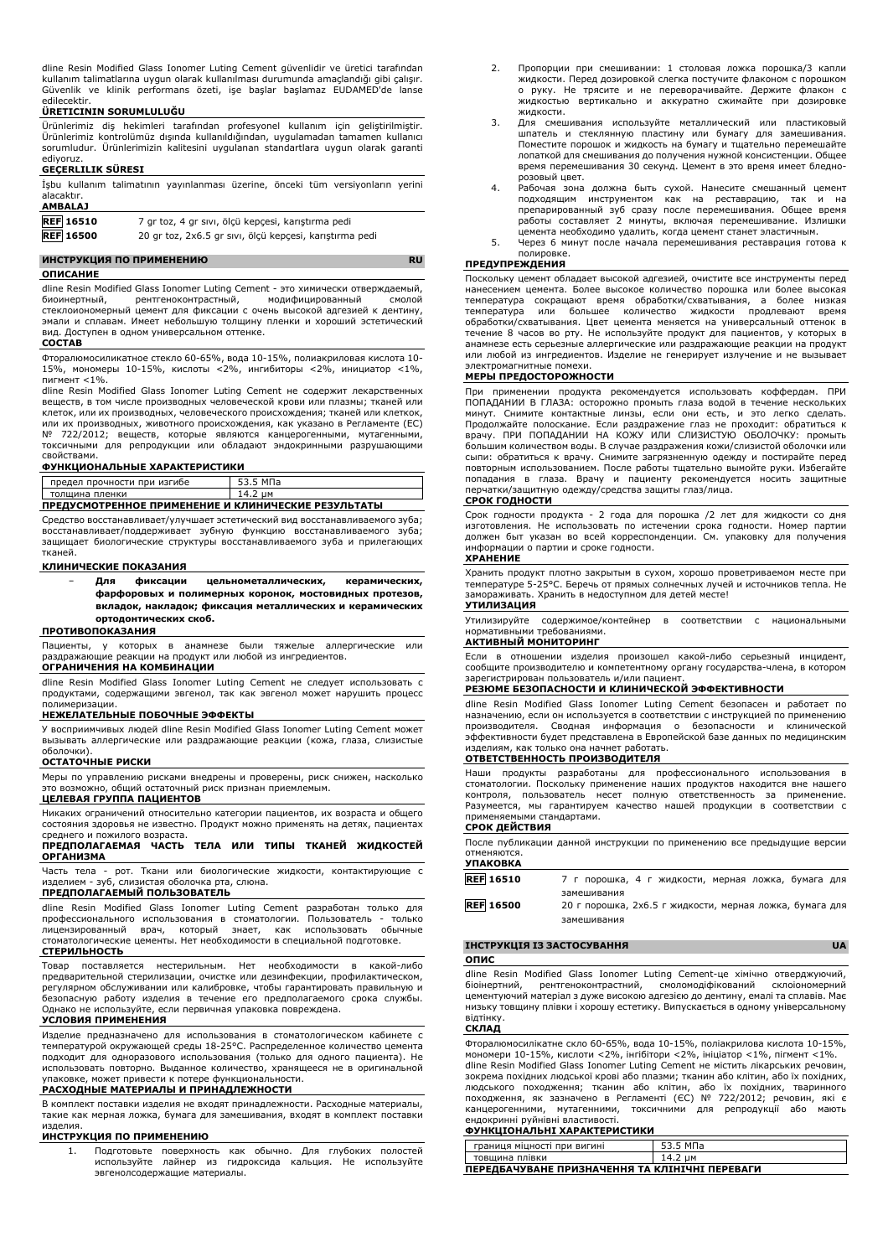dline Resin Modified Glass Ionomer Luting Cement güvenlidir ve üretici tarafından<br>kullanım talimatlarına uygun olarak kullanılması durumunda amaçlandığı gibi çalışır.<br>Güvenlik ve klinik performans özeti, işe başlar edilecektir.

### **ÜRETICININ SORUMLULUĞU**

Ürünlerimiz diş hekimleri tarafından profesyonel kullanım için geliştirilmiştir. Ürünlerimiz kontrolümüz dışında kullanıldığından, uygulamadan tamamen kullanıcı sorumludur. Ürünlerimizin kalitesini uygulanan standartlara uygun olarak garanti

# ediyoruz. **GEÇERLILIK SÜRESI**

|            |  | İşbu kullanım talimatının yayınlanması üzerine, önceki tüm versiyonların yerini |  |  |  |
|------------|--|---------------------------------------------------------------------------------|--|--|--|
| alacaktır. |  |                                                                                 |  |  |  |

| <b>AMBALAJ</b>   |                                                         |
|------------------|---------------------------------------------------------|
| <b>REF 16510</b> | 7 gr toz, 4 gr sıvı, ölçü kepçesi, karıştırma pedi      |
| <b>REF 16500</b> | 20 gr toz, 2x6.5 gr sıvı, ölçü kepçesi, karıştırma pedi |

### **ИНСТРУКЦИЯ ПО ПРИМЕНЕНИЮ RU ОПИСАНИЕ**

dline Resin Modified Glass Ionomer Luting Cement - это химически отверждаемый, биоинертный, рентгеноконтрастный, модифицированный смолой стеклоиономерный цемент для фиксации с очень высокой адгезией к дентину, эмали и сплавам. Имеет небольшую толщину пленки и хороший эстетический вид. Доступен в одном универсальном оттенке.

# **СОСТАВ**

Фторалюмосиликатное стекло 60-65%, вода 10-15%, полиакриловая кислота 10- 15%, мономеры 10-15%, кислоты <2%, ингибиторы <2%, инициатор <1%, пигмент <1%.

dline Resin Modified Glass Ionomer Luting Cement не содержит лекарственных веществ, в том числе производных человеческой крови или плазмы; тканей или клеток, или их производных, человеческого происхождения; тканей или клеткок, или их производных, животного происхождения, как указано в Регламенте (ЕС) № 722/2012; веществ, которые являются канцерогенными, мутагенными, токсичными для репродукции или обладают эндокринными разрушающими свойствами.

### **ФУНКЦИОНАЛЬНЫЕ ХАРАКТЕРИСТИКИ**

| предел прочности при изгибе                         | 53.5 M <sub>D</sub> a |
|-----------------------------------------------------|-----------------------|
| толшина пленки                                      | 14.2 um               |
| ПРЕДУСМОТРЕННОЕ ПРИМЕНЕНИЕ И КЛИНИЧЕСКИЕ РЕЗУЛЬТАТЫ |                       |

Средство восстанавливает/улучшает эстетический вид восстанавливаемого зуба; восстанавливает/поддерживает зубную функцию восстанавливаемого зуба; защищает биологические структуры восстанавливаемого зуба и прилегающих тканей.

### **КЛИНИЧЕСКИЕ ПОКАЗАНИЯ**

− **Для фиксации цельнометаллических, керамических, фарфоровых и полимерных коронок, мостовидных протезов, вкладок, накладок; фиксация металлических и керамических ортодонтических скоб.**

### **ПРОТИВОПОКАЗАНИЯ**

Пациенты, у которых в анамнезе были тяжелые аллергические или раздражающие реакции на продукт или любой из ингредиентов. **ОГРАНИЧЕНИЯ НА КОМБИНАЦИИ**

dline Resin Modified Glass Ionomer Luting Cement не следует использовать с продуктами, содержащими эвгенол, так как эвгенол может нарушить процесс полимеризации.

### **НЕЖЕЛАТЕЛЬНЫЕ ПОБОЧНЫЕ ЭФФЕКТЫ**

У восприимчивых людей dline Resin Modified Glass Ionomer Luting Cement может вызывать аллергические или раздражающие реакции (кожа, глаза, слизистые оболочки).

# **ОСТАТОЧНЫЕ РИСКИ**

Меры по управлению рисками внедрены и проверены, риск снижен, насколько это возможно, общий остаточный риск признан приемлемым.

### **ЦЕЛЕВАЯ ГРУППА ПАЦИЕНТОВ**

Никаких ограничений относительно категории пациентов, их возраста и общего состояния здоровья не известно. Продукт можно применять на детях, пациентах среднего и пожилого возраста.

### **ПРЕДПОЛАГАЕМАЯ ЧАСТЬ ТЕЛА ИЛИ ТИПЫ ТКАНЕЙ ЖИДКОСТЕЙ ОРГАНИЗМА**

Часть тела - рот. Ткани или биологические жидкости, контактирующие с изделием - зуб, слизистая оболочка рта, слюна.

# **ПРЕДПОЛАГАЕМЫЙ ПОЛЬЗОВАТЕЛЬ**

dline Resin Modified Glass Ionomer Luting Cement разработан только для профессионального использования в стоматологии. Пользователь - только лицензированный врач, который знает, как использовать обычные стоматологические цементы. Нет необходимости в специальной подготовке.

## **СТЕРИЛЬНОСТЬ**

Товар поставляется нестерильным. Нет необходимости в какой-либо предварительной стерилизации, очистке или дезинфекции, профилактическом, регулярном обслуживании или калибровке, чтобы гарантировать правильную и безопасную работу изделия в течение его предполагаемого срока службы. Однако не используйте, если первичная упаковка повреждена.

# **УСЛОВИЯ ПРИМЕНЕНИЯ**

Изделие предназначено для использования в стоматологическом кабинете с температурой окружающей среды 18-25°C. Распределенное количество цемента подходит для одноразового использования (только для одного пациента). Не использовать повторно. Выданное количество, хранящееся не в оригинальной упаковке, может привести к потере функциональности.

# **РАСХОДНЫЕ МАТЕРИАЛЫ И ПРИНАДЛЕЖНОСТИ**

В комплект поставки изделия не входят принадлежности. Расходные материалы, такие как мерная ложка, бумага для замешивания, входят в комплект поставки изделия.

### **ИНСТРУКЦИЯ ПО ПРИМЕНЕНИЮ**

1. Подготовьте поверхность как обычно. Для глубоких полостей используйте лайнер из гидроксида кальция. Не используйте эвгенолсодержащие материалы.

- 2. Пропорции при смешивании: 1 столовая ложка порошка/3 капли жидкости. Перед дозировкой слегка постучите флаконом с порошком о руку. Не трясите и не переворачивайте. Держите флакон с жидкостью вертикально и аккуратно сжимайте при дозировке жидкости.
- 3. Для смешивания используйте металлический или пластиковый<br>шпатель и стеклянную пластину или бумагу для замешивания.<br>Поместите порошок и жидкость на бумагу и тщательно перемешайте<br>лопаткойдлясмешиваниядо получения нужной время перемешивания 30 секунд. Цемент в это время имеет бледнорозовый цвет.
- 4. Рабочая зона должна быть сухой. Нанесите смешанный цемент подходящим инструментом как на реставрацию, так и на препарированный зуб сразу после перемешивания. Общее время работы составляет 2 минуты, включая перемешивание. Излишки цемента необходимо удалить, когда цемент станет эластичным.
- 5. Через 6 минут после начала перемешивания реставрация готова к полировке.

## **ПРЕДУПРЕЖДЕНИЯ**

Поскольку цемент обладает высокой адгезией, очистите все инструменты перед нанесением цемента. Более высокое количество порошка или более высокая температура сокращают время обработки/схватывания, а более низкая<br>температура или большее количество жидкости продлевают<br>обработки/схватывания. Цвет цемента меняется на универсальный оттенок в течение 8 часов во рту. Не используйте продукт для пациентов, у которых в анамнезе есть серьезные аллергические или раздражающие реакции на продукт или любой из ингредиентов. Изделие не генерирует излучение и не вызывает электромагнитные помехи.

### **МЕРЫ ПРЕДОСТОРОЖНОСТИ**

При применении продукта рекомендуется использовать коффердам. ПРИ ПОПАДАНИИ В ГЛАЗА: осторожно промыть глаза водой в течение нескольких минут. Снимите контактные линзы, если они есть, и это легко сделать. Продолжайте полоскание. Если раздражение глаз не проходит: обратиться к врачу. ПРИ ПОПАДАНИИ НА КОЖУ ИЛИ СЛИЗИСТУЮ ОБОЛОЧКУ: промыть большим количеством воды. В случае раздражения кожи/слизистой оболочки или сыпи: обратиться к врачу. Снимите загрязненную одежду и постирайте перед повторным использованием. После работы тщательно вымойте руки. Избегайте попадания в глаза. Врачу и пациенту рекомендуется носить защитные перчатки/защитную одежду/средства защиты глаз/лица.

# **СРОК ГОДНОСТИ**

Срок годности продукта - 2 года для порошка /2 лет для жидкости со дня изготовления. Не использовать по истечении срока годности. Номер партии должен быт указан во всей корреспонденции. См. упаковку для получения информации о партии и сроке годности.

## **ХРАНЕНИЕ**

Хранить продукт плотно закрытым в сухом, хорошо проветриваемом месте при температуре 5-25°C. Беречь от прямых солнечных лучей и источников тепла. Не замораживать. Хранить в недоступном для детей месте!

## **УТИЛИЗАЦИЯ**

Утилизируйте содержимое/контейнер в соответствии с национальными нормативными требованиями. **АКТИВНЫЙ МОНИТОРИНГ**

### Если в отношении изделия произошел какой-либо серьезный инцидент, сообщите производителю и компетентному органу государства-члена, в котором зарегистрирован пользователь и/или пациент.

## **РЕЗЮМЕ БЕЗОПАСНОСТИ И КЛИНИЧЕСКОЙ ЭФФЕКТИВНОСТИ**

dline Resin Modified Glass Ionomer Luting Cement безопасен и работает по назначению, если он используется в соответствии с инструкцией по применению производителя. Сводная информация о безопасности и клинической эффективности будет представлена в Европейской базе данных по медицинским изделиям, как только она начнет работать.

# **ОТВЕТСТВЕННОСТЬ ПРОИЗВОДИТЕЛЯ**

Наши продукты разработаны для профессионального использования в<br>стоматологии. Поскольку применение наших продуктов находится вне нашего<br>контроля, пользователь несет полную ответственность за применение. Разумеется, мы гарантируем качество нашей продукции в соответствии с применяемыми стандартами.

# **СРОК ДЕЙСТВИЯ**

После публикации данной инструкции по применению все предыдущие версии отменяются.

# **УПАКОВКА REF 16510** 7 г порошка, 4 г жидкости, мерная ложка, бумага для замешивания **REF 16500** 20 г порошка, 2x6.5 г жидкости, мерная ложка, бумага для

замешивания

# **ІНСТРУКЦІЯ ІЗ ЗАСТОСУВАННЯ UA**

# **ОПИС**

dline Resin Modified Glass Ionomer Luting Cement-це хімічно отверджуючий, біоінертний, рентгеноконтрастний, смоломодіфікований склоіономерний цементуючий матеріал з дуже високою адгезією до дентину, емалі та сплавів. Має низьку товщину плівки і хорошу естетику. Випускається в одному універсальному відтінку.

### **СКЛАД**

Фторалюмосилікатне скло 60-65%, вода 10-15%, поліакрилова кислота 10-15%, мономери 10-15%, кислоти <2%, інгібітори <2%, ініціатор <1%, пігмент <1%. dline Resin Modified Glass Ionomer Luting Cement не містить лікарських речовин, зокрема похідних людської крові або плазми; тканин або клітин, або їх похідних, людського походження; тканин або клітин, або їх похідних, тваринного походження, як зазначено в Регламенті (ЄС) № 722/2012; речовин, які є канцерогенними, мутагенними, токсичними для репродукції або мають ендокринні руйнівні властивості.

# **ФУНКЦІОНАЛЬНІ ХАРАКТЕРИСТИКИ**

| границя міцності при вигині                    | 53.5 M <sub>D</sub> a |  |
|------------------------------------------------|-----------------------|--|
| товшина плівки                                 | 14.2 um               |  |
| ПЕРЕДБАЧУВАНЕ ПРИЗНАЧЕННЯ ТА КЛІНІЧНІ ПЕРЕВАГИ |                       |  |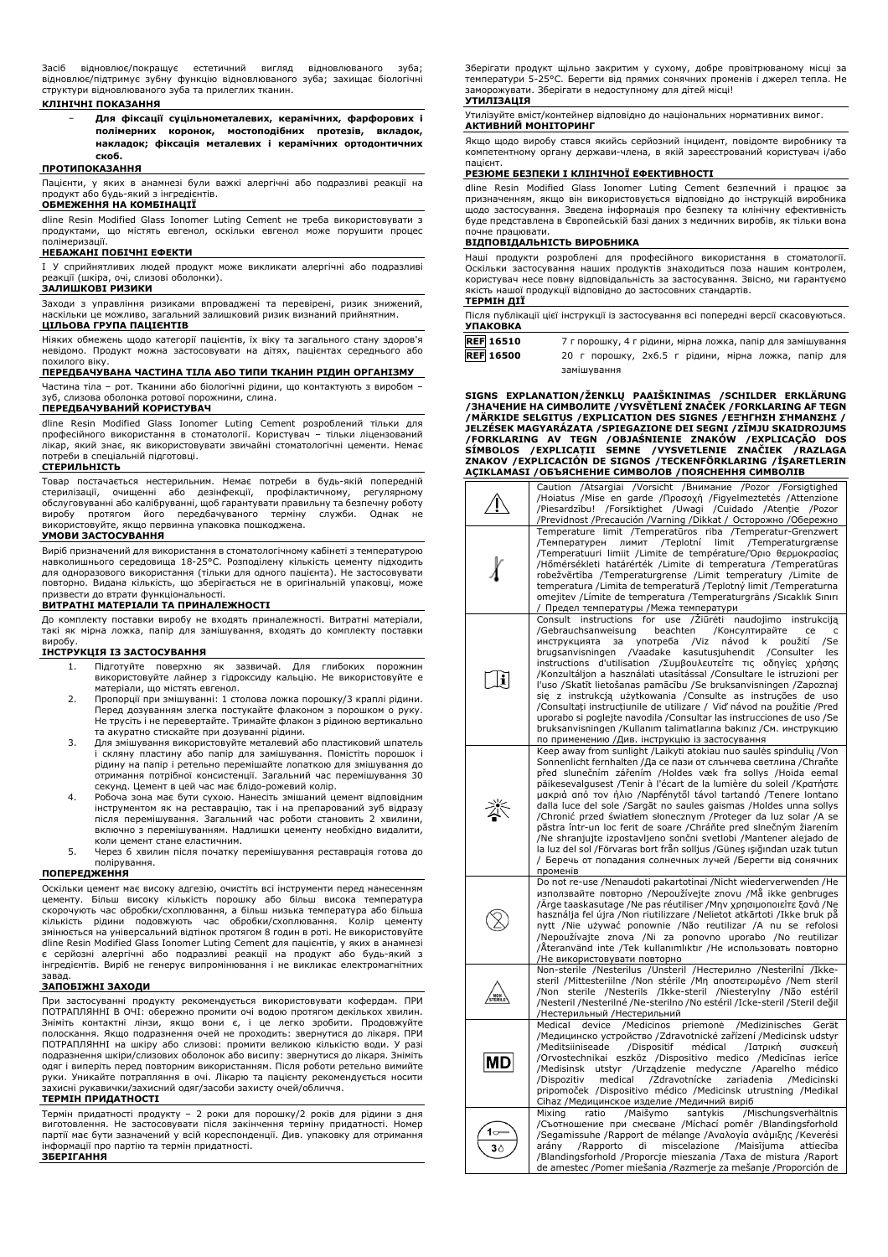Засіб відновлює/покращує естетичний вигляд відновлюваного зуба; відновлює/підтримує зубну функцію відновлюваного зуба; захищає біологічні структури відновлюваного зуба та прилеглих тканин.

### **КЛІНІЧНІ ПОКАЗАННЯ**

− **Для фіксації суцільнометалевих, керамічних, фарфорових і полімерних коронок, мостоподібних протезів, вкладок, накладок; фіксація металевих і керамічних ортодонтичних скоб.**

# **ПРОТИПОКАЗАННЯ**

Пацієнти, у яких в анамнезі були важкі алергічні або подразливі реакції на продукт або будь-який з інгредієнтів.

## **ОБМЕЖЕННЯ НА КОМБІНАЦІЇ**

dline Resin Modified Glass Ionomer Luting Cement не треба використовувати з продуктами, що містять евгенол, оскільки евгенол може порушити процес полімеризації.

## **НЕБАЖАНІ ПОБІЧНІ ЕФЕКТИ**

I У сприйнятливих людей продукт може викликати алергічні або подразливі реакції (шкіра, очі, слизові оболонки).

# **ЗАЛИШКОВІ РИЗИКИ**

Заходи з управління ризиками впроваджені та перевірені, ризик знижений, наскільки це можливо, загальний залишковий ризик визнаний прийнятним. **ЦІЛЬОВА ГРУПА ПАЦІЄНТІВ**

Ніяких обмежень щодо категорії пацієнтів, їх віку та загального стану здоров'я невідомо. Продукт можна застосовувати на дітях, пацієнтах середнього або похилого віку.

## **ПЕРЕДБАЧУВАНА ЧАСТИНА ТІЛА АБО ТИПИ ТКАНИН РІДИН ОРГАНІЗМУ**

Частина тіла – рот. Тканини або біологічні рідини, що контактують з виробом – зуб, слизова оболонка ротової порожнини, слина.

# **ПЕРЕДБАЧУВАНИЙ КОРИСТУВАЧ**

dline Resin Modified Glass Ionomer Luting Cement розроблений тільки для професійного використання в стоматології. Користувач – тільки ліцензований лікар, який знає, як використовувати звичайні стоматологічні цементи. Немає потреби в спеціальній підготовці.

### **СТЕРИЛЬНІСТЬ**

Товар постачається нестерильним. Немає потреби в будь-якій попередній стерилізації, очищенні або дезінфекції, профілактичному, регулярному обслуговуванні або калібруванні, щоб гарантувати правильну та безпечну роботу виробу протягом його передбачуваного терміну служби. Однак не використовуйте, якщо первинна упаковка пошкоджена.

### **УМОВИ ЗАСТОСУВАННЯ**

Виріб призначений для використання в стоматологічному кабінеті з температурою навколишнього середовища 18-25°C. Розподілену кількість цементу підходить для одноразового використання (тільки для одного пацієнта). Не застосовувати повторно. Видана кількість, що зберігається не в оригінальній упаковці, може призвести до втрати функціональності.

### **ВИТРАТНІ МАТЕРІАЛИ ТА ПРИНАЛЕЖНОСТІ**

До комплекту поставки виробу не входять приналежності. Витратні матеріали, такі як мірна ложка, папір для замішування, входять до комплекту поставки виробу.

### **ІНСТРУКЦІЯ ІЗ ЗАСТОСУВАННЯ**

- 1. Підготуйте поверхню як зазвичай. Для глибоких порожнин використовуйте лайнер з гідроксиду кальцію. Не використовуйте е матеріали, що містять евгенол.
- 2. Пропорції при змішуванні: 1 столова ложка порошку/3 краплі рідини. Перед дозуванням злегка постукайте флаконом з порошком о руку. Не трусіть і не перевертайте. Тримайте флакон з рідиною вертикально та акуратно стискайте при дозуванні рідини.
- 3. Для змішування використовуйте металевий або пластиковий шпатель і скляну пластину або папір для замішування. Помістіть порошок і рідину на папір і ретельно перемішайте лопаткою для змішування до отримання потрібної консистенції. Загальний час перемішування 30 секунд. Цемент в цей час має блідо-рожевий колір.
- 4. Робоча зона має бути сухою. Нанесіть змішаний цемент відповідним<br>1976 інструментом як на реставрацію, так і на препарований зуб відразу<br>1976 після перемішування. Загальний час роботи становить 2 хвилини,<br>1987 включно з
- коли цемент стане еластичним. 5. Через 6 хвилин після початку перемішування реставрація готова до полірування.

### **ПОПЕРЕДЖЕННЯ**

Оскільки цемент має високу адгезію, очистіть всі інструменти перед нанесенням цементу. Більш високу кількість порошку або більш висока температура<br>скорочують час обробки/схоплювання, а більш низька температура або більша<br>кількість рідини подовжують час обробки/схоплювання. Колір цементу змінюється на універсальний відтінок протягом 8 годин в роті. Не використовуйте dline Resin Modified Glass Ionomer Luting Cement для пацієнтів, у яких в анамнезі є серйозні алергічні або подразливі реакції на продукт або будь-який з інгредієнтів. Виріб не генерує випромінювання і не викликає електромагнітних

# завад. **ЗАПОБІЖНІ ЗАХОДИ**

При застосуванні продукту рекомендується використовувати кофердам. ПРИ ПОТРАПЛЯННІ В ОЧІ: обережно промити очі водою протягом декількох хвилин.<br>Зніміть контактні лінзи, якщо вони є, і це легко зробити. Продовжуйте<br>полоскання. Якщо подразнення очей не проходить: звернутися до лікаря подразнення шкіри/слизових оболонок або висипу: звернутися до лікаря. Зніміть одяг і виперіть перед повторним використанням. Після роботи ретельно вимийте руки. Уникайте потрапляння в очі. Лікарю та пацієнту рекомендується носити захисні рукавички/захисний одяг/засоби захисту очей/обличчя.

## **ТЕРМІН ПРИДАТНОСТІ**

Термін придатності продукту – 2 роки для порошку/2 років для рідини з дня виготовлення. Не застосовувати після закінчення терміну придатності. Номер партії має бути зазначений у всій кореспонденції. Див. упаковку для отримання інформації про партію та термін придатності. **ЗБЕРІГАННЯ**

Зберігати продукт щільно закритим у сухому, добре провітрюваному місці за температури 5-25°C. Берегти від прямих сонячних променів і джерел тепла. Не заморожувати. Зберігати в недоступному для дітей місці!

# **УТИЛІЗАЦІЯ**

Утилізуйте вміст/контейнер відповідно до національних нормативних вимог. **АКТИВНИЙ МОНІТОРИНГ**

Якщо щодо виробу стався якийсь серйозний інцидент, повідомте виробнику та компетентному органу держави-члена, в якій зареєстрований користувач і/або

# пацієнт. **РЕЗЮМЕ БЕЗПЕКИ І КЛІНІЧНОЇ ЕФЕКТИВНОСТІ**

dline Resin Modified Glass Ionomer Luting Cement безпечний і працює за призначенням, якщо він використовується відповідно до інструкцій виробника щодо застосування. Зведена інформація про безпеку та клінічну ефективність буде представлена в Європейській базі даних з медичних виробів, як тільки вона почне працювати.

### **ВІДПОВІДАЛЬНІСТЬ ВИРОБНИКА**

Наші продукти розроблені для професійного використання в стоматології. Оскільки застосування наших продуктів знаходиться поза нашим контролем, користувач несе повну відповідальність за застосування. Звісно, ми гарантуємо якість нашої продукції відповідно до застосовних стандартів. **ТЕРМІН ДІЇ**

| Після публікації цієї інструкції із застосування всі попередні версії скасовуються.<br><b>УПАКОВКА</b> |                                                             |  |  |
|--------------------------------------------------------------------------------------------------------|-------------------------------------------------------------|--|--|
| <b>REF 16510</b>                                                                                       | 7 г порошку, 4 г рідини, мірна ложка, папір для замішування |  |  |
| <b>REF</b> 16500                                                                                       | 20 г порошку, 2х6.5 г рідини, мірна ложка, папір для        |  |  |
|                                                                                                        | замішування                                                 |  |  |

**SIGNS EXPLANATION/ŽENKLŲ PAAIŠKINIMAS /SCHILDER ERKLÄRUNG** /ЗНАЧЕНИЕ НА СИМВОЛИТЕ /VYSVETLENI ZNACEK /FORKLARING AF TEGN<br>/МÄRKIDE SELGITUS /ЕХРLICATION DES SIGNES /ЕΞ'НГНΣН ZHMANZHΣ /<br>JELZÉSEK MAGYARÁZATA /SPIEGAZIONE DEI SEGNI /ZĪMJU SKAIDROJUMS /FORKLARING AV TEGN /OBJASNIENIE ZNAKOW /EXPLICAÇAO DOS<br>SÍMBOLOS /EXPLICAȚII SEMNE /VYSVETLENIE ZNAČIEK /RAZLAGA<br>ZNAKOV /EXPLICACIÓN DE SIGNOS /TECKENFÖRKLARING /İŞARETLERIN **AÇIKLAMASI /ОБЪЯСНЕНИЕ СИМВОЛОВ /ПОЯСНЕННЯ СИМВОЛІВ**

|                | Caution /Atsargiai /Vorsicht /Внимание /Pozor /Forsigtighed<br>/Hoiatus /Mise en garde /Προσοχή /Figyelmeztetés /Attenzione<br>/Piesardzību! /Forsiktighet /Uwagi /Cuidado<br>/Atenție<br>/Pozor<br>/Previdnost /Precaución /Varning /Dikkat / Осторожно /Обережно                                                                                                                                                                                                                                                                                                                                                                                                                                                                                                                                                                                |
|----------------|---------------------------------------------------------------------------------------------------------------------------------------------------------------------------------------------------------------------------------------------------------------------------------------------------------------------------------------------------------------------------------------------------------------------------------------------------------------------------------------------------------------------------------------------------------------------------------------------------------------------------------------------------------------------------------------------------------------------------------------------------------------------------------------------------------------------------------------------------|
|                | Temperature limit /Temperatūros riba /Temperatur-Grenzwert<br>лимит /Teplotní<br>limit<br>/Temperaturgrænse<br>/Температурен<br>/Temperatuuri limiit /Limite de température/Όριο θερμοκρασίας<br>/Hőmérsékleti határérték /Limite di temperatura /Temperatūras<br>robežvērtība /Temperaturgrense /Limit temperatury /Limite de<br>temperatura / Limita de temperatură / Teplotný limit / Temperaturna<br>omejitev / Límite de temperatura / Temperaturgräns / Sıcaklık Sınırı<br>Предел температуры / Межа температури                                                                                                                                                                                                                                                                                                                            |
| il             | /Žiūrėti<br>Consult instructions for<br>use<br>naudojimo<br>instrukciją<br>beachten<br>/Gebrauchsanweisung<br>/Консултирайте<br>ce<br>c<br>употреба<br>/Viz<br>návod<br>/Se<br>инструкцията<br>за<br>k<br>použití<br>brugsanvisningen<br>/Vaadake<br>kasutusjuhendit<br>/Consulter<br>les<br>instructions d'utilisation / Συμβουλευτείτε τις οδηγίες χρήσης<br>/Konzultáljon a használati utasítással /Consultare le istruzioni per<br>l'uso /Skatīt lietošanas pamācību /Se bruksanvisningen /Zapoznaj<br>się z instrukcją użytkowania / Consulte as instruções de uso<br>/Consultați instrucțiunile de utilizare / Vid' návod na použitie /Pred<br>uporabo si poglejte navodila / Consultar las instrucciones de uso / Se<br>bruksanvisningen /Kullanım talimatlarına bakınız /См. инструкцию<br>по применению /Див. інструкцію із застосування |
|                | Keep away from sunlight /Laikyti atokiau nuo saulės spindulių /Von<br>Sonnenlicht fernhalten /Да се пази от слънчева светлина /Chraňte<br>před slunečním zářením /Holdes væk fra sollys /Hoida eemal<br>päikesevalgusest /Tenir à l'écart de la lumière du soleil /Κρατήστε<br>μακριά από τον ήλιο /Napfénytől távol tartandó /Tenere lontano<br>dalla luce del sole /Sargāt no saules gaismas /Holdes unna sollys<br>/Chronić przed światłem słonecznym /Proteger da luz solar /A se<br>păstra într-un loc ferit de soare /Chráňte pred slnečným žiarením<br>/Ne shranjujte izpostavljeno sončni svetlobi /Mantener alejado de<br>la luz del sol /Förvaras bort från solljus /Güneş ışığından uzak tutun<br>/ Беречь от попадания солнечных лучей /Берегти від сонячних<br>променів                                                              |
|                | Do not re-use /Nenaudoti pakartotinai /Nicht wiederverwenden /He<br>използвайте повторно /Nepoužívejte znovu /Må ikke genbruges<br>Ärge taaskasutage /Ne pas réutiliser /Mny χρησιμοποιείτε ξανά /Ne<br>használja fel újra /Non riutilizzare /Nelietot atkārtoti /Ikke bruk på<br>nytt /Nie używać ponownie /Não reutilizar /A nu se refolosi<br>/Nepoužívajte znova /Ni za ponovno uporabo /No reutilizar<br>/Återanvänd inte /Tek kullanımlıktır /Не использовать повторно<br>/Не використовувати повторно                                                                                                                                                                                                                                                                                                                                      |
|                | Non-sterile /Nesterilus /Unsteril /Нестерилно /Nesterilní /Ikke-<br>steril /Mittesteriilne /Non stérile /Μη αποστειρωμένο /Nem steril<br>/Non sterile /Nesterils /Ikke-steril /Niesterylny /Não estéril<br>/Nesteril /Nesterilné /Ne-sterilno /No estéril /Icke-steril /Steril değil<br>/Нестерильный /Нестерильний                                                                                                                                                                                                                                                                                                                                                                                                                                                                                                                               |
| MD             | device<br>/Medicinos<br>priemonė<br>/Medizinisches<br>Medical<br>Gerät<br>/Медицинско устройство /Zdravotnické zařízení /Medicinsk udstyr<br>/Dispositif<br>médical<br>/Meditsiiniseade<br>/Ιατρική<br>συσκευή<br>/Orvostechnikai eszköz /Dispositivo medico /Medicīnas<br>ierīce<br>utstyr<br>/Urządzenie medyczne /Aparelho<br>/Medisinsk<br>médico<br>/Zdravotnícke<br>/Dispozitiv<br>medical<br>zariadenia<br>/Medicinski<br>pripomoček /Dispositivo médico /Medicinsk utrustning /Medikal<br>Cihaz /Медицинское изделие /Медичний виріб                                                                                                                                                                                                                                                                                                      |
| 3 <sub>0</sub> | /Maišymo<br>santykis<br>Mixing<br>ratio<br>/Mischungsverhältnis<br>/Съотношение при смесване /Míchací poměr /Blandingsforhold<br>/Segamissuhe /Rapport de mélange /Αναλογία ανἀμιξης /Keverési<br>/Rapporto<br>miscelazione<br>/Maisījuma<br>arány<br>di<br>attiecība<br>/Blandingsforhold /Proporcje mieszania /Taxa de mistura /Raport<br>de amestec /Pomer miešania /Razmerje za mešanje /Proporción de                                                                                                                                                                                                                                                                                                                                                                                                                                        |